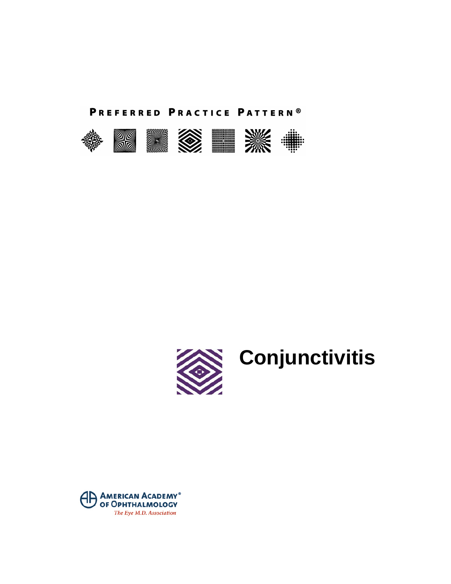# PREFERRED PRACTICE PATTERN®





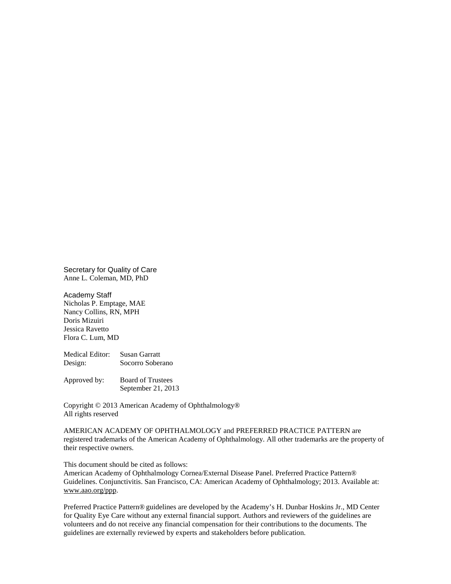Secretary for Quality of Care Anne L. Coleman, MD, PhD

Academy Staff Nicholas P. Emptage, MAE Nancy Collins, RN, MPH Doris Mizuiri Jessica Ravetto Flora C. Lum, MD

| <b>Medical Editor:</b> | Susan Garratt    |
|------------------------|------------------|
| Design:                | Socorro Soberano |

Approved by: Board of Trustees September 21, 2013

Copyright © 2013 American Academy of Ophthalmology® All rights reserved

AMERICAN ACADEMY OF OPHTHALMOLOGY and PREFERRED PRACTICE PATTERN are registered trademarks of the American Academy of Ophthalmology. All other trademarks are the property of their respective owners.

This document should be cited as follows:

American Academy of Ophthalmology Cornea/External Disease Panel. Preferred Practice Pattern® Guidelines. Conjunctivitis. San Francisco, CA: American Academy of Ophthalmology; 2013. Available at: www.aao.org/ppp.

Preferred Practice Pattern® guidelines are developed by the Academy's H. Dunbar Hoskins Jr., MD Center for Quality Eye Care without any external financial support. Authors and reviewers of the guidelines are volunteers and do not receive any financial compensation for their contributions to the documents. The guidelines are externally reviewed by experts and stakeholders before publication.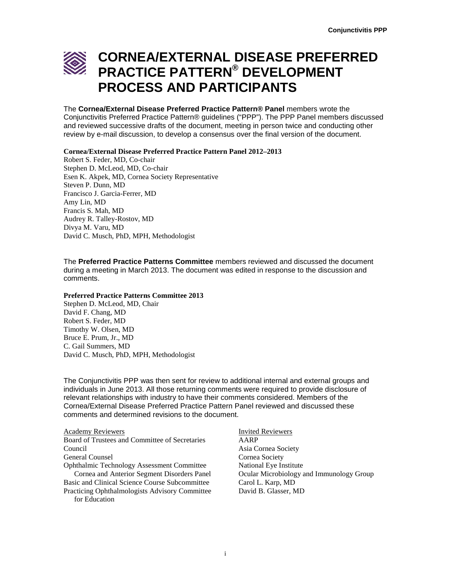# **CORNEA/EXTERNAL DISEASE PREFERRED PRACTICE PATTERN® DEVELOPMENT PROCESS AND PARTICIPANTS**

#### The **Cornea/External Disease Preferred Practice Pattern® Panel** members wrote the

Conjunctivitis Preferred Practice Pattern® guidelines ("PPP"). The PPP Panel members discussed and reviewed successive drafts of the document, meeting in person twice and conducting other review by e-mail discussion, to develop a consensus over the final version of the document.

#### **Cornea/External Disease Preferred Practice Pattern Panel 2012–2013**

Robert S. Feder, MD, Co-chair Stephen D. McLeod, MD, Co-chair Esen K. Akpek, MD, Cornea Society Representative Steven P. Dunn, MD Francisco J. Garcia-Ferrer, MD Amy Lin, MD Francis S. Mah, MD Audrey R. Talley-Rostov, MD Divya M. Varu, MD David C. Musch, PhD, MPH, Methodologist

The **Preferred Practice Patterns Committee** members reviewed and discussed the document during a meeting in March 2013. The document was edited in response to the discussion and comments.

#### **Preferred Practice Patterns Committee 2013**

Stephen D. McLeod, MD, Chair David F. Chang, MD Robert S. Feder, MD Timothy W. Olsen, MD Bruce E. Prum, Jr., MD C. Gail Summers, MD David C. Musch, PhD, MPH, Methodologist

The Conjunctivitis PPP was then sent for review to additional internal and external groups and individuals in June 2013. All those returning comments were required to provide disclosure of relevant relationships with industry to have their comments considered. Members of the Cornea/External Disease Preferred Practice Pattern Panel reviewed and discussed these comments and determined revisions to the document.

Academy Reviewers Board of Trustees and Committee of Secretaries Council General Counsel Ophthalmic Technology Assessment Committee Cornea and Anterior Segment Disorders Panel Basic and Clinical Science Course Subcommittee Practicing Ophthalmologists Advisory Committee for Education

Invited Reviewers AARP Asia Cornea Society Cornea Society National Eye Institute Ocular Microbiology and Immunology Group Carol L. Karp, MD David B. Glasser, MD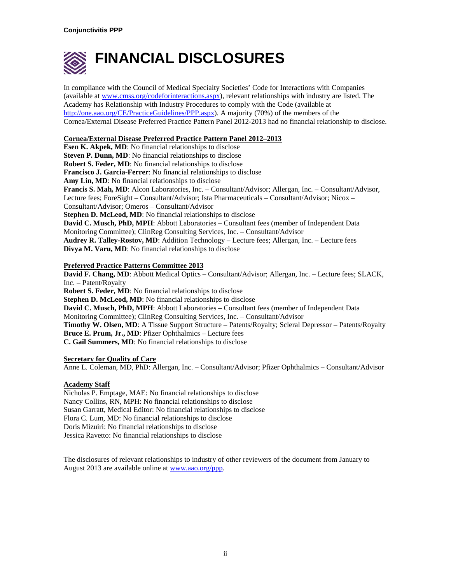# **FINANCIAL DISCLOSURES**

In compliance with the Council of Medical Specialty Societies' Code for Interactions with Companies (available at [www.cmss.org/codeforinteractions.aspx\)](http://www.cmss.org/codeforinteractions.aspx), relevant relationships with industry are listed. The Academy has Relationship with Industry Procedures to comply with the Code (available at [http://one.aao.org/CE/PracticeGuidelines/PPP.aspx\)](http://one.aao.org/CE/PracticeGuidelines/PPP.aspx). A majority (70%) of the members of the Cornea/External Disease Preferred Practice Pattern Panel 2012-2013 had no financial relationship to disclose.

#### **Cornea/External Disease Preferred Practice Pattern Panel 2012–2013**

**Esen K. Akpek, MD**: No financial relationships to disclose **Steven P. Dunn, MD**: No financial relationships to disclose **Robert S. Feder, MD**: No financial relationships to disclose **Francisco J. Garcia-Ferrer**: No financial relationships to disclose **Amy Lin, MD**: No financial relationships to disclose **Francis S. Mah, MD**: Alcon Laboratories, Inc. – Consultant/Advisor; Allergan, Inc. – Consultant/Advisor, Lecture fees; ForeSight – Consultant/Advisor; Ista Pharmaceuticals – Consultant/Advisor; Nicox – Consultant/Advisor; Omeros – Consultant/Advisor **Stephen D. McLeod, MD**: No financial relationships to disclose **David C. Musch, PhD, MPH**: Abbott Laboratories – Consultant fees (member of Independent Data Monitoring Committee); ClinReg Consulting Services, Inc. – Consultant/Advisor **Audrey R. Talley-Rostov, MD**: Addition Technology – Lecture fees; Allergan, Inc. – Lecture fees **Divya M. Varu, MD**: No financial relationships to disclose

#### **Preferred Practice Patterns Committee 2013**

**David F. Chang, MD**: Abbott Medical Optics – Consultant/Advisor; Allergan, Inc. – Lecture fees; SLACK, Inc. – Patent/Royalty **Robert S. Feder, MD**: No financial relationships to disclose **Stephen D. McLeod, MD**: No financial relationships to disclose **David C. Musch, PhD, MPH**: Abbott Laboratories – Consultant fees (member of Independent Data Monitoring Committee); ClinReg Consulting Services, Inc. – Consultant/Advisor **Timothy W. Olsen, MD**: A Tissue Support Structure – Patents/Royalty; Scleral Depressor – Patents/Royalty **Bruce E. Prum, Jr., MD**: Pfizer Ophthalmics – Lecture fees **C. Gail Summers, MD**: No financial relationships to disclose

#### **Secretary for Quality of Care**

Anne L. Coleman, MD, PhD: Allergan, Inc. – Consultant/Advisor; Pfizer Ophthalmics – Consultant/Advisor

#### **Academy Staff**

Nicholas P. Emptage, MAE: No financial relationships to disclose Nancy Collins, RN, MPH: No financial relationships to disclose Susan Garratt, Medical Editor: No financial relationships to disclose Flora C. Lum, MD: No financial relationships to disclose Doris Mizuiri: No financial relationships to disclose Jessica Ravetto: No financial relationships to disclose

The disclosures of relevant relationships to industry of other reviewers of the document from January to August 2013 are available online at [www.aao.org/ppp.](http://www.aao.org/ppp)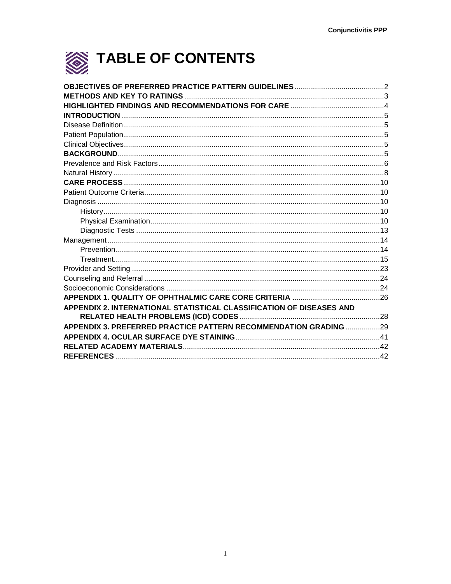

| APPENDIX 2. INTERNATIONAL STATISTICAL CLASSIFICATION OF DISEASES AND |  |
|----------------------------------------------------------------------|--|
|                                                                      |  |
| APPENDIX 3. PREFERRED PRACTICE PATTERN RECOMMENDATION GRADING 29     |  |
|                                                                      |  |
|                                                                      |  |
|                                                                      |  |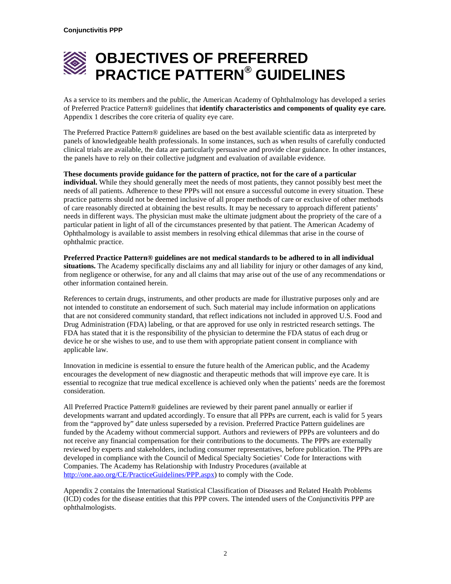# **OBJECTIVES OF PREFERRED PRACTICE PATTERN® GUIDELINES**

As a service to its members and the public, the American Academy of Ophthalmology has developed a series of Preferred Practice Pattern® guidelines that **identify characteristics and components of quality eye care.**  Appendix 1 describes the core criteria of quality eye care.

The Preferred Practice Pattern® guidelines are based on the best available scientific data as interpreted by panels of knowledgeable health professionals. In some instances, such as when results of carefully conducted clinical trials are available, the data are particularly persuasive and provide clear guidance. In other instances, the panels have to rely on their collective judgment and evaluation of available evidence.

**These documents provide guidance for the pattern of practice, not for the care of a particular individual.** While they should generally meet the needs of most patients, they cannot possibly best meet the needs of all patients. Adherence to these PPPs will not ensure a successful outcome in every situation. These practice patterns should not be deemed inclusive of all proper methods of care or exclusive of other methods of care reasonably directed at obtaining the best results. It may be necessary to approach different patients' needs in different ways. The physician must make the ultimate judgment about the propriety of the care of a particular patient in light of all of the circumstances presented by that patient. The American Academy of Ophthalmology is available to assist members in resolving ethical dilemmas that arise in the course of ophthalmic practice.

**Preferred Practice Pattern® guidelines are not medical standards to be adhered to in all individual situations.** The Academy specifically disclaims any and all liability for injury or other damages of any kind, from negligence or otherwise, for any and all claims that may arise out of the use of any recommendations or other information contained herein.

References to certain drugs, instruments, and other products are made for illustrative purposes only and are not intended to constitute an endorsement of such. Such material may include information on applications that are not considered community standard, that reflect indications not included in approved U.S. Food and Drug Administration (FDA) labeling, or that are approved for use only in restricted research settings. The FDA has stated that it is the responsibility of the physician to determine the FDA status of each drug or device he or she wishes to use, and to use them with appropriate patient consent in compliance with applicable law.

Innovation in medicine is essential to ensure the future health of the American public, and the Academy encourages the development of new diagnostic and therapeutic methods that will improve eye care. It is essential to recognize that true medical excellence is achieved only when the patients' needs are the foremost consideration.

All Preferred Practice Pattern® guidelines are reviewed by their parent panel annually or earlier if developments warrant and updated accordingly. To ensure that all PPPs are current, each is valid for 5 years from the "approved by" date unless superseded by a revision. Preferred Practice Pattern guidelines are funded by the Academy without commercial support. Authors and reviewers of PPPs are volunteers and do not receive any financial compensation for their contributions to the documents. The PPPs are externally reviewed by experts and stakeholders, including consumer representatives, before publication. The PPPs are developed in compliance with the Council of Medical Specialty Societies' Code for Interactions with Companies. The Academy has Relationship with Industry Procedures (available at [http://one.aao.org/CE/PracticeGuidelines/PPP.aspx\)](http://one.aao.org/CE/PracticeGuidelines/PPP.aspx) to comply with the Code.

Appendix 2 contains the International Statistical Classification of Diseases and Related Health Problems (ICD) codes for the disease entities that this PPP covers. The intended users of the Conjunctivitis PPP are ophthalmologists.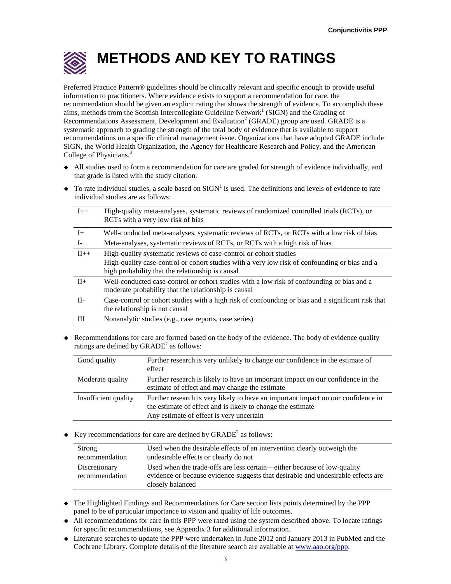# **METHODS AND KEY TO RATINGS**

Preferred Practice Pattern® guidelines should be clinically relevant and specific enough to provide useful information to practitioners. Where evidence exists to support a recommendation for care, the recommendation should be given an explicit rating that shows the strength of evidence. To accomplish these aims, methods from the Scottish Intercollegiate Guideline Networ[k](#page-45-0)<sup>1</sup> (SIGN) and the Grading of Recommendations Assessment, Development and Evaluation<sup>2</sup> (GRADE) group are used. GRADE is a systematic approach to grading the strength of the total body of evidence that is available to support recommendations on a specific clinical management issue. Organizations that have adopted GRADE include SIGN, the World Health Organization, the Agency for Healthcare Research and Policy, and the American College of Physicians[.](#page-45-2)<sup>3</sup>

- All studies used to form a recommendation for care are graded for strength of evidence individually, and that grade is listed with the study citation.
- $\bullet$  To rate individual studies, a scale based on SIG[N](#page-45-0)<sup>1</sup> is used. The definitions and levels of evidence to rate individual studies are as follows:

| $I++$        | High-quality meta-analyses, systematic reviews of randomized controlled trials (RCTs), or<br>RCTs with a very low risk of bias                                                                                         |
|--------------|------------------------------------------------------------------------------------------------------------------------------------------------------------------------------------------------------------------------|
| $I+$         | Well-conducted meta-analyses, systematic reviews of RCTs, or RCTs with a low risk of bias                                                                                                                              |
| $\mathbf{I}$ | Meta-analyses, systematic reviews of RCTs, or RCTs with a high risk of bias                                                                                                                                            |
| $II++$       | High-quality systematic reviews of case-control or cohort studies<br>High-quality case-control or cohort studies with a very low risk of confounding or bias and a<br>high probability that the relationship is causal |
| $II+$        | Well-conducted case-control or cohort studies with a low risk of confounding or bias and a<br>moderate probability that the relationship is causal                                                                     |
| $II-$        | Case-control or cohort studies with a high risk of confounding or bias and a significant risk that<br>the relationship is not causal                                                                                   |
| Ш            | Nonanalytic studies (e.g., case reports, case series)                                                                                                                                                                  |

 Recommendations for care are formed based on the body of the evidence. The body of evidence quality ratings are defined by  $\text{GRADE}^2$  $\text{GRADE}^2$  $\text{GRADE}^2$  as follows:

| Good quality         | Further research is very unlikely to change our confidence in the estimate of<br>effect                                                                                                     |
|----------------------|---------------------------------------------------------------------------------------------------------------------------------------------------------------------------------------------|
| Moderate quality     | Further research is likely to have an important impact on our confidence in the<br>estimate of effect and may change the estimate                                                           |
| Insufficient quality | Further research is very likely to have an important impact on our confidence in<br>the estimate of effect and is likely to change the estimate<br>Any estimate of effect is very uncertain |

 $\blacklozenge$  Key recommendations for care are defined by GRADE<sup>[2](#page-45-1)</sup> as follows:

| Strong                          | Used when the desirable effects of an intervention clearly outweigh the                                                                                                         |
|---------------------------------|---------------------------------------------------------------------------------------------------------------------------------------------------------------------------------|
| recommendation                  | undesirable effects or clearly do not                                                                                                                                           |
| Discretionary<br>recommendation | Used when the trade-offs are less certain—either because of low-quality<br>evidence or because evidence suggests that desirable and undesirable effects are<br>closely balanced |

- The Highlighted Findings and Recommendations for Care section lists points determined by the PPP panel to be of particular importance to vision and quality of life outcomes.
- All recommendations for care in this PPP were rated using the system described above. To locate ratings for specific recommendations, see Appendix 3 for additional information.
- Literature searches to update the PPP were undertaken in June 2012 and January 2013 in PubMed and the Cochrane Library. Complete details of the literature search are available at [www.aao.org/ppp.](http://www.aao.org/ppp)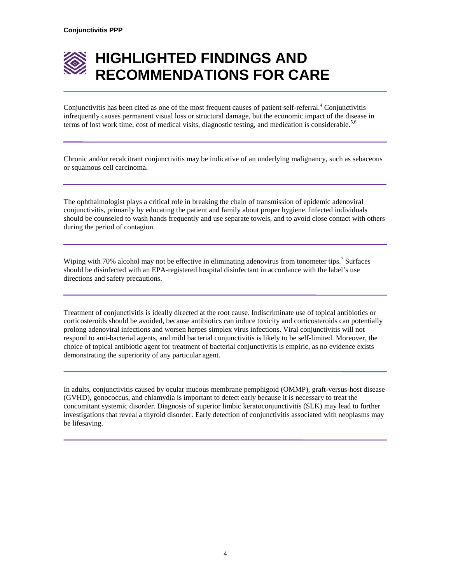# **HIGHLIGHTED FINDINGS AND RECOMMENDATIONS FOR CARE**

Conjunctivitis has been cited as one of the most frequent causes of patient self-referra[l.](#page-45-3)<sup>4</sup> Conjunctivitis infrequently causes permanent visual loss or structural damage, but the economic impact of the disease in terms of lost work time, cost of medical visits, diagnostic testing, and medication is considerable.<sup>[5,](#page-45-4)[6](#page-45-5)</sup>

Chronic and/or recalcitrant conjunctivitis may be indicative of an underlying malignancy, such as sebaceous or squamous cell carcinoma.

The ophthalmologist plays a critical role in breaking the chain of transmission of epidemic adenoviral conjunctivitis, primarily by educating the patient and family about proper hygiene. Infected individuals should be counseled to wash hands frequently and use separate towels, and to avoid close contact with others during the period of contagion.

Wiping with 70% alcohol may not be effective in eliminating adenovirus from tonometer tips[.](#page-45-6)<sup>7</sup> Surfaces should be disinfected with an EPA-registered hospital disinfectant in accordance with the label's use directions and safety precautions.

Treatment of conjunctivitis is ideally directed at the root cause. Indiscriminate use of topical antibiotics or corticosteroids should be avoided, because antibiotics can induce toxicity and corticosteroids can potentially prolong adenoviral infections and worsen herpes simplex virus infections. Viral conjunctivitis will not respond to anti-bacterial agents, and mild bacterial conjunctivitis is likely to be self-limited. Moreover, the choice of topical antibiotic agent for treatment of bacterial conjunctivitis is empiric, as no evidence exists demonstrating the superiority of any particular agent.

In adults, conjunctivitis caused by ocular mucous membrane pemphigoid (OMMP), graft-versus-host disease (GVHD), gonococcus, and chlamydia is important to detect early because it is necessary to treat the concomitant systemic disorder. Diagnosis of superior limbic keratoconjunctivitis (SLK) may lead to further investigations that reveal a thyroid disorder. Early detection of conjunctivitis associated with neoplasms may be lifesaving.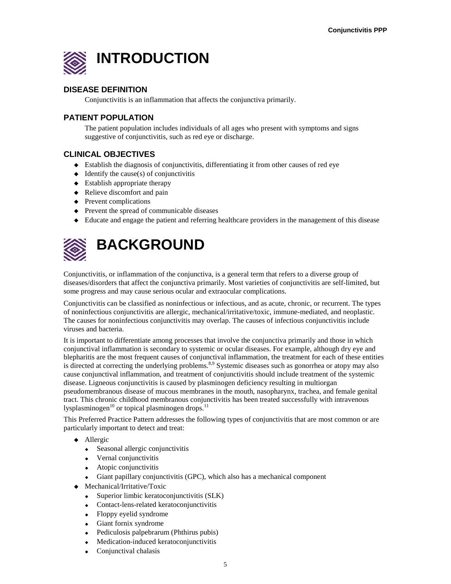

## **DISEASE DEFINITION**

Conjunctivitis is an inflammation that affects the conjunctiva primarily.

## **PATIENT POPULATION**

The patient population includes individuals of all ages who present with symptoms and signs suggestive of conjunctivitis, such as red eye or discharge.

# **CLINICAL OBJECTIVES**

- Establish the diagnosis of conjunctivitis, differentiating it from other causes of red eye
- $\blacklozenge$  Identify the cause(s) of conjunctivitis
- $\triangleleft$  Establish appropriate therapy
- Relieve discomfort and pain
- Prevent complications
- Prevent the spread of communicable diseases
- Educate and engage the patient and referring healthcare providers in the management of this disease



Conjunctivitis, or inflammation of the conjunctiva, is a general term that refers to a diverse group of diseases/disorders that affect the conjunctiva primarily. Most varieties of conjunctivitis are self-limited, but some progress and may cause serious ocular and extraocular complications.

Conjunctivitis can be classified as noninfectious or infectious, and as acute, chronic, or recurrent. The types of noninfectious conjunctivitis are allergic, mechanical/irritative/toxic, immune-mediated, and neoplastic. The causes for noninfectious conjunctivitis may overlap. The causes of infectious conjunctivitis include viruses and bacteria.

It is important to differentiate among processes that involve the conjunctiva primarily and those in which conjunctival inflammation is secondary to systemic or ocular diseases. For example, although dry eye and blepharitis are the most frequent causes of conjunctival inflammation, the treatment for each of these entities is directed at correcting the underlying problems.<sup>[8,](#page-45-7)[9](#page-45-8)</sup> Systemic diseases such as gonorrhea or atopy may also cause conjunctival inflammation, and treatment of conjunctivitis should include treatment of the systemic disease. Ligneous conjunctivitis is caused by plasminogen deficiency resulting in multiorgan pseudomembranous disease of mucous membranes in the mouth, nasopharynx, trachea, and female genital tract. This chronic childhood membranous conjunctivitis has been treated successfully with intravenous lysplasminogen $^{10}$  or topical plasminogen drops.<sup>[11](#page-45-10)</sup>

This Preferred Practice Pattern addresses the following types of conjunctivitis that are most common or are particularly important to detect and treat:

- ◆ Allergic
	- Seasonal allergic conjunctivitis
	- Vernal conjunctivitis
	- $\leftarrow$  Atopic conjunctivitis
	- Giant papillary conjunctivitis (GPC), which also has a mechanical component
- Mechanical/Irritative/Toxic
	- Superior limbic keratoconjunctivitis (SLK)
	- Contact-lens-related keratoconjunctivitis
	- Floppy eyelid syndrome
	- Giant fornix syndrome
	- Pediculosis palpebrarum (Phthirus pubis)
	- Medication-induced keratoconjunctivitis
	- Conjunctival chalasis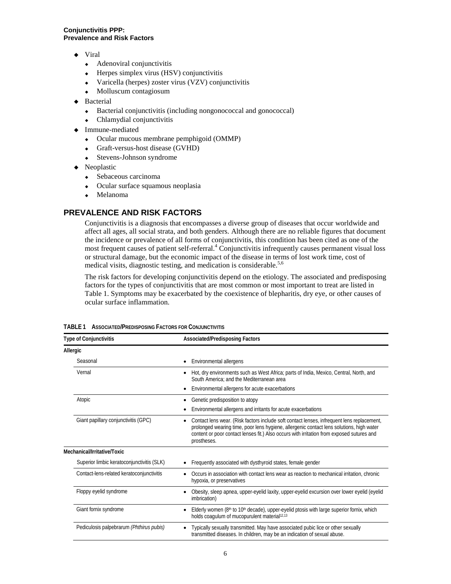- ◆ Viral
	- $\triangleleft$  Adenoviral conjunctivitis
	- $\leftarrow$  Herpes simplex virus (HSV) conjunctivitis
	- Varicella (herpes) zoster virus (VZV) conjunctivitis
	- Molluscum contagiosum
- ◆ Bacterial
	- Bacterial conjunctivitis (including nongonococcal and gonococcal)
	- $\leftarrow$  Chlamydial conjunctivitis
- Immune-mediated
	- Ocular mucous membrane pemphigoid (OMMP)
	- Graft-versus-host disease (GVHD)
	- Stevens-Johnson syndrome
- Neoplastic
	- Sebaceous carcinoma
	- Ocular surface squamous neoplasia
	- Melanoma

### **PREVALENCE AND RISK FACTORS**

Conjunctivitis is a diagnosis that encompasses a diverse group of diseases that occur worldwide and affect all ages, all social strata, and both genders. Although there are no reliable figures that document the incidence or prevalence of all forms of conjunctivitis, this condition has been cited as one of the most frequent causes of patient self-referral.[4](#page-45-3) Conjunctivitis infrequently causes permanent visual loss or structural damage, but the economic impact of the disease in terms of lost work time, cost of medical visits, diagnostic testing, and medication is considerable.<sup>[5,](#page-45-4)[6](#page-45-5)</sup>

The risk factors for developing conjunctivitis depend on the etiology. The associated and predisposing factors for the types of conjunctivitis that are most common or most important to treat are listed in Table 1. Symptoms may be exacerbated by the coexistence of blepharitis, dry eye, or other causes of ocular surface inflammation.

| <b>Type of Conjunctivitis</b>              | <b>Associated/Predisposing Factors</b>                                                                                                                                                                                                                                                             |
|--------------------------------------------|----------------------------------------------------------------------------------------------------------------------------------------------------------------------------------------------------------------------------------------------------------------------------------------------------|
| Allergic                                   |                                                                                                                                                                                                                                                                                                    |
| Seasonal                                   | Environmental allergens                                                                                                                                                                                                                                                                            |
| Vernal                                     | Hot, dry environments such as West Africa; parts of India, Mexico, Central, North, and<br>South America: and the Mediterranean area                                                                                                                                                                |
|                                            | Environmental allergens for acute exacerbations                                                                                                                                                                                                                                                    |
| Atopic                                     | Genetic predisposition to atopy                                                                                                                                                                                                                                                                    |
|                                            | Environmental allergens and irritants for acute exacerbations                                                                                                                                                                                                                                      |
| Giant papillary conjunctivitis (GPC)       | Contact lens wear. (Risk factors include soft contact lenses, infrequent lens replacement,<br>prolonged wearing time, poor lens hygiene, allergenic contact lens solutions, high water<br>content or poor contact lenses fit.) Also occurs with irritation from exposed sutures and<br>prostheses. |
| Mechanical/Irritative/Toxic                |                                                                                                                                                                                                                                                                                                    |
| Superior limbic keratoconjunctivitis (SLK) | Frequently associated with dysthyroid states, female gender                                                                                                                                                                                                                                        |
| Contact-lens-related keratoconjunctivitis  | Occurs in association with contact lens wear as reaction to mechanical irritation, chronic<br>hypoxia, or preservatives                                                                                                                                                                            |
| Floppy eyelid syndrome                     | Obesity, sleep apnea, upper-eyelid laxity, upper-eyelid excursion over lower eyelid (eyelid<br>imbrication)                                                                                                                                                                                        |
| Giant fornix syndrome                      | Elderly women (8 <sup>th</sup> to 10 <sup>th</sup> decade), upper-eyelid ptosis with large superior fornix, which<br>holds coaqulum of mucopurulent material <sup>12,13</sup>                                                                                                                      |
| Pediculosis palpebrarum (Phthirus pubis)   | Typically sexually transmitted. May have associated pubic lice or other sexually<br>transmitted diseases. In children, may be an indication of sexual abuse.                                                                                                                                       |

| <b>TABLE 1 ASSOCIATED/PREDISPOSING FACTORS FOR CONJUNCTIVITIS</b> |
|-------------------------------------------------------------------|
|                                                                   |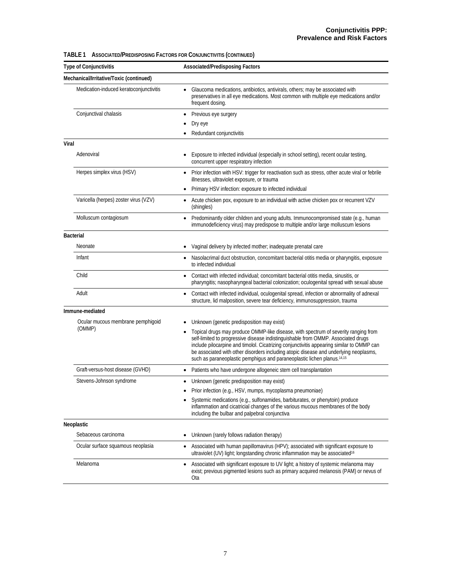| <b>Type of Conjunctivitis</b>           | <b>Associated/Predisposing Factors</b>                                                                                                                                                                                                                                                                                                                                                                                                                             |
|-----------------------------------------|--------------------------------------------------------------------------------------------------------------------------------------------------------------------------------------------------------------------------------------------------------------------------------------------------------------------------------------------------------------------------------------------------------------------------------------------------------------------|
| Mechanical/Irritative/Toxic (continued) |                                                                                                                                                                                                                                                                                                                                                                                                                                                                    |
| Medication-induced keratoconjunctivitis | Glaucoma medications, antibiotics, antivirals, others; may be associated with<br>$\bullet$<br>preservatives in all eye medications. Most common with multiple eye medications and/or<br>frequent dosing.                                                                                                                                                                                                                                                           |
| Conjunctival chalasis                   | Previous eye surgery<br>٠                                                                                                                                                                                                                                                                                                                                                                                                                                          |
|                                         | Dry eye                                                                                                                                                                                                                                                                                                                                                                                                                                                            |
|                                         | Redundant conjunctivitis<br>٠                                                                                                                                                                                                                                                                                                                                                                                                                                      |
| Viral                                   |                                                                                                                                                                                                                                                                                                                                                                                                                                                                    |
| Adenoviral                              | Exposure to infected individual (especially in school setting), recent ocular testing,<br>concurrent upper respiratory infection                                                                                                                                                                                                                                                                                                                                   |
| Herpes simplex virus (HSV)              | Prior infection with HSV: trigger for reactivation such as stress, other acute viral or febrile<br>$\bullet$<br>illnesses, ultraviolet exposure, or trauma                                                                                                                                                                                                                                                                                                         |
|                                         | Primary HSV infection: exposure to infected individual                                                                                                                                                                                                                                                                                                                                                                                                             |
| Varicella (herpes) zoster virus (VZV)   | • Acute chicken pox, exposure to an individual with active chicken pox or recurrent VZV<br>(shingles)                                                                                                                                                                                                                                                                                                                                                              |
| Molluscum contagiosum                   | Predominantly older children and young adults. Immunocompromised state (e.g., human<br>immunodeficiency virus) may predispose to multiple and/or large molluscum lesions                                                                                                                                                                                                                                                                                           |
| <b>Bacterial</b>                        |                                                                                                                                                                                                                                                                                                                                                                                                                                                                    |
| Neonate                                 | Vaginal delivery by infected mother; inadequate prenatal care                                                                                                                                                                                                                                                                                                                                                                                                      |
| Infant                                  | Nasolacrimal duct obstruction, concomitant bacterial otitis media or pharyngitis, exposure<br>to infected individual                                                                                                                                                                                                                                                                                                                                               |
| Child                                   | Contact with infected individual; concomitant bacterial otitis media, sinusitis, or<br>pharyngitis; nasopharyngeal bacterial colonization; oculogenital spread with sexual abuse                                                                                                                                                                                                                                                                                   |
| Adult                                   | Contact with infected individual, oculogenital spread, infection or abnormality of adnexal<br>structure, lid malposition, severe tear deficiency, immunosuppression, trauma                                                                                                                                                                                                                                                                                        |
| Immune-mediated                         |                                                                                                                                                                                                                                                                                                                                                                                                                                                                    |
| Ocular mucous membrane pemphigoid       | Unknown (genetic predisposition may exist)                                                                                                                                                                                                                                                                                                                                                                                                                         |
| (OMMP)                                  | Topical drugs may produce OMMP-like disease, with spectrum of severity ranging from<br>$\bullet$<br>self-limited to progressive disease indistinguishable from OMMP. Associated drugs<br>include pilocarpine and timolol. Cicatrizing conjunctivitis appearing similar to OMMP can<br>be associated with other disorders including atopic disease and underlying neoplasms,<br>such as paraneoplastic pemphigus and paraneoplastic lichen planus. <sup>14,15</sup> |
| Graft-versus-host disease (GVHD)        | Patients who have undergone allogeneic stem cell transplantation<br>$\bullet$                                                                                                                                                                                                                                                                                                                                                                                      |
| Stevens-Johnson syndrome                | Unknown (genetic predisposition may exist)                                                                                                                                                                                                                                                                                                                                                                                                                         |
|                                         | Prior infection (e.g., HSV, mumps, mycoplasma pneumoniae)                                                                                                                                                                                                                                                                                                                                                                                                          |
|                                         | Systemic medications (e.g., sulfonamides, barbiturates, or phenytoin) produce<br>inflammation and cicatricial changes of the various mucous membranes of the body<br>including the bulbar and palpebral conjunctiva                                                                                                                                                                                                                                                |
| Neoplastic                              |                                                                                                                                                                                                                                                                                                                                                                                                                                                                    |
| Sebaceous carcinoma                     | Unknown (rarely follows radiation therapy)                                                                                                                                                                                                                                                                                                                                                                                                                         |
| Ocular surface squamous neoplasia       | Associated with human papillomavirus (HPV); associated with significant exposure to<br>ultraviolet (UV) light; longstanding chronic inflammation may be associated <sup>16</sup>                                                                                                                                                                                                                                                                                   |
| Melanoma                                | Associated with significant exposure to UV light; a history of systemic melanoma may<br>$\bullet$<br>exist; previous pigmented lesions such as primary acquired melanosis (PAM) or nevus of<br>Ota                                                                                                                                                                                                                                                                 |

**TABLE 1 ASSOCIATED/PREDISPOSING FACTORS FOR CONJUNCTIVITIS (CONTINUED)**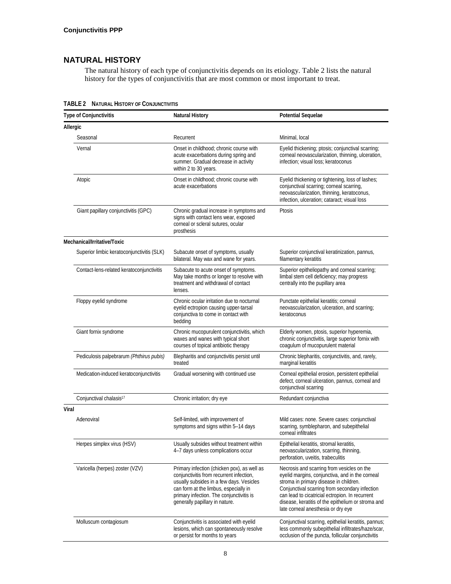# **NATURAL HISTORY**

The natural history of each type of conjunctivitis depends on its etiology. Table 2 lists the natural history for the types of conjunctivitis that are most common or most important to treat.

| Type of Conjunctivitis                     | <b>Natural History</b>                                                                                                                                                                                                                                     | <b>Potential Sequelae</b>                                                                                                                                                                                                                                                                                                                |
|--------------------------------------------|------------------------------------------------------------------------------------------------------------------------------------------------------------------------------------------------------------------------------------------------------------|------------------------------------------------------------------------------------------------------------------------------------------------------------------------------------------------------------------------------------------------------------------------------------------------------------------------------------------|
| Allergic                                   |                                                                                                                                                                                                                                                            |                                                                                                                                                                                                                                                                                                                                          |
| Seasonal                                   | Recurrent                                                                                                                                                                                                                                                  | Minimal, local                                                                                                                                                                                                                                                                                                                           |
| Vernal                                     | Onset in childhood; chronic course with<br>acute exacerbations during spring and<br>summer. Gradual decrease in activity<br>within 2 to 30 years.                                                                                                          | Eyelid thickening; ptosis; conjunctival scarring;<br>corneal neovascularization, thinning, ulceration,<br>infection: visual loss: keratoconus                                                                                                                                                                                            |
| Atopic                                     | Onset in childhood: chronic course with<br>acute exacerbations                                                                                                                                                                                             | Eyelid thickening or tightening, loss of lashes;<br>conjunctival scarring; corneal scarring,<br>neovascularization, thinning, keratoconus,<br>infection, ulceration; cataract; visual loss                                                                                                                                               |
| Giant papillary conjunctivitis (GPC)       | Chronic gradual increase in symptoms and<br>signs with contact lens wear, exposed<br>corneal or scleral sutures, ocular<br>prosthesis                                                                                                                      | Ptosis                                                                                                                                                                                                                                                                                                                                   |
| Mechanical/Irritative/Toxic                |                                                                                                                                                                                                                                                            |                                                                                                                                                                                                                                                                                                                                          |
| Superior limbic keratoconjunctivitis (SLK) | Subacute onset of symptoms, usually<br>bilateral. May wax and wane for years.                                                                                                                                                                              | Superior conjunctival keratinization, pannus,<br>filamentary keratitis                                                                                                                                                                                                                                                                   |
| Contact-lens-related keratoconjunctivitis  | Subacute to acute onset of symptoms.<br>May take months or longer to resolve with<br>treatment and withdrawal of contact<br>lenses.                                                                                                                        | Superior epitheliopathy and corneal scarring;<br>limbal stem cell deficiency; may progress<br>centrally into the pupillary area                                                                                                                                                                                                          |
| Floppy eyelid syndrome                     | Chronic ocular irritation due to nocturnal<br>eyelid ectropion causing upper-tarsal<br>conjunctiva to come in contact with<br>bedding                                                                                                                      | Punctate epithelial keratitis; corneal<br>neovascularization, ulceration, and scarring;<br>keratoconus                                                                                                                                                                                                                                   |
| Giant fornix syndrome                      | Chronic mucopurulent conjunctivitis, which<br>waxes and wanes with typical short<br>courses of topical antibiotic therapy                                                                                                                                  | Elderly women, ptosis, superior hyperemia,<br>chronic conjunctivitis, large superior fornix with<br>coagulum of mucopurulent material                                                                                                                                                                                                    |
| Pediculosis palpebrarum (Phthirus pubis)   | Blepharitis and conjunctivitis persist until<br>treated                                                                                                                                                                                                    | Chronic blepharitis, conjunctivitis, and, rarely,<br>marginal keratitis                                                                                                                                                                                                                                                                  |
| Medication-induced keratoconjunctivitis    | Gradual worsening with continued use                                                                                                                                                                                                                       | Corneal epithelial erosion, persistent epithelial<br>defect, corneal ulceration, pannus, corneal and<br>conjunctival scarring                                                                                                                                                                                                            |
| Conjunctival chalasis <sup>17</sup>        | Chronic irritation; dry eye                                                                                                                                                                                                                                | Redundant conjunctiva                                                                                                                                                                                                                                                                                                                    |
| Viral                                      |                                                                                                                                                                                                                                                            |                                                                                                                                                                                                                                                                                                                                          |
| Adenoviral                                 | Self-limited, with improvement of<br>symptoms and signs within 5-14 days                                                                                                                                                                                   | Mild cases: none. Severe cases: conjunctival<br>scarring, symblepharon, and subepithelial<br>corneal infiltrates                                                                                                                                                                                                                         |
| Herpes simplex virus (HSV)                 | Usually subsides without treatment within<br>4-7 days unless complications occur                                                                                                                                                                           | Epithelial keratitis, stromal keratitis,<br>neovascularization, scarring, thinning,<br>perforation, uveitis, trabeculitis                                                                                                                                                                                                                |
| Varicella (herpes) zoster (VZV)            | Primary infection (chicken pox), as well as<br>conjunctivitis from recurrent infection,<br>usually subsides in a few days. Vesicles<br>can form at the limbus, especially in<br>primary infection. The conjunctivitis is<br>generally papillary in nature. | Necrosis and scarring from vesicles on the<br>eyelid margins, conjunctiva, and in the corneal<br>stroma in primary disease in children.<br>Conjunctival scarring from secondary infection<br>can lead to cicatricial ectropion. In recurrent<br>disease, keratitis of the epithelium or stroma and<br>late corneal anesthesia or dry eye |
| Molluscum contagiosum                      | Conjunctivitis is associated with eyelid<br>lesions, which can spontaneously resolve<br>or persist for months to years                                                                                                                                     | Conjunctival scarring, epithelial keratitis, pannus;<br>less commonly subepithelial infiltrates/haze/scar,<br>occlusion of the puncta, follicular conjunctivitis                                                                                                                                                                         |

**TABLE 2 NATURAL HISTORY OF CONJUNCTIVITIS**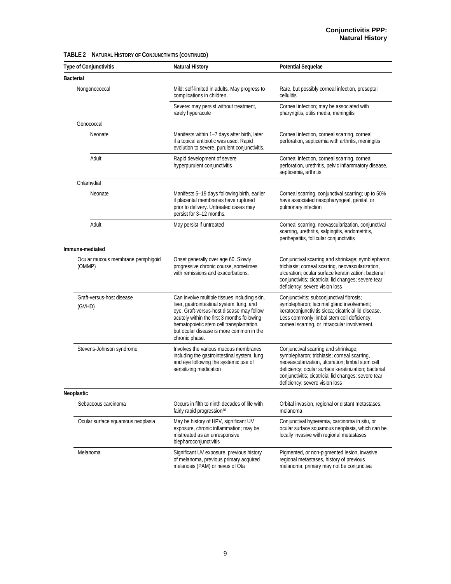| <b>Type of Conjunctivitis</b>               | <b>Natural History</b>                                                                                                                                                                                                                                                                          | <b>Potential Sequelae</b>                                                                                                                                                                                                                                                                 |
|---------------------------------------------|-------------------------------------------------------------------------------------------------------------------------------------------------------------------------------------------------------------------------------------------------------------------------------------------------|-------------------------------------------------------------------------------------------------------------------------------------------------------------------------------------------------------------------------------------------------------------------------------------------|
| <b>Bacterial</b>                            |                                                                                                                                                                                                                                                                                                 |                                                                                                                                                                                                                                                                                           |
| Nongonococcal                               | Mild: self-limited in adults. May progress to<br>complications in children.                                                                                                                                                                                                                     | Rare, but possibly corneal infection, preseptal<br>cellulitis                                                                                                                                                                                                                             |
|                                             | Severe: may persist without treatment,<br>rarely hyperacute                                                                                                                                                                                                                                     | Corneal infection; may be associated with<br>pharyngitis, otitis media, meningitis                                                                                                                                                                                                        |
| Gonococcal                                  |                                                                                                                                                                                                                                                                                                 |                                                                                                                                                                                                                                                                                           |
| Neonate                                     | Manifests within 1-7 days after birth, later<br>if a topical antibiotic was used. Rapid<br>evolution to severe, purulent conjunctivitis.                                                                                                                                                        | Corneal infection, corneal scarring, corneal<br>perforation, septicemia with arthritis, meningitis                                                                                                                                                                                        |
| Adult                                       | Rapid development of severe<br>hyperpurulent conjunctivitis                                                                                                                                                                                                                                     | Corneal infection, corneal scarring, corneal<br>perforation, urethritis, pelvic inflammatory disease,<br>septicemia, arthritis                                                                                                                                                            |
| Chlamydial                                  |                                                                                                                                                                                                                                                                                                 |                                                                                                                                                                                                                                                                                           |
| Neonate                                     | Manifests 5-19 days following birth, earlier<br>if placental membranes have ruptured<br>prior to delivery. Untreated cases may<br>persist for 3-12 months.                                                                                                                                      | Corneal scarring, conjunctival scarring; up to 50%<br>have associated nasopharyngeal, genital, or<br>pulmonary infection                                                                                                                                                                  |
| Adult                                       | May persist if untreated                                                                                                                                                                                                                                                                        | Corneal scarring, neovascularization, conjunctival<br>scarring, urethritis, salpingitis, endometritis,<br>perihepatitis, follicular conjunctivitis                                                                                                                                        |
| Immune-mediated                             |                                                                                                                                                                                                                                                                                                 |                                                                                                                                                                                                                                                                                           |
| Ocular mucous membrane pemphigoid<br>(OMMP) | Onset generally over age 60. Slowly<br>progressive chronic course, sometimes<br>with remissions and exacerbations.                                                                                                                                                                              | Conjunctival scarring and shrinkage; symblepharon;<br>trichiasis; corneal scarring, neovascularization,<br>ulceration; ocular surface keratinization; bacterial<br>conjunctivitis; cicatricial lid changes; severe tear<br>deficiency; severe vision loss                                 |
| Graft-versus-host disease<br>(GVHD)         | Can involve multiple tissues including skin,<br>liver, gastrointestinal system, lung, and<br>eye. Graft-versus-host disease may follow<br>acutely within the first 3 months following<br>hematopoietic stem cell transplantation,<br>but ocular disease is more common in the<br>chronic phase. | Conjunctivitis; subconjunctival fibrosis;<br>symblepharon; lacrimal gland involvement;<br>keratoconjunctivitis sicca; cicatricial lid disease.<br>Less commonly limbal stem cell deficiency,<br>corneal scarring, or intraocular involvement.                                             |
| Stevens-Johnson syndrome                    | Involves the various mucous membranes<br>including the gastrointestinal system, lung<br>and eye following the systemic use of<br>sensitizing medication                                                                                                                                         | Conjunctival scarring and shrinkage;<br>symblepharon; trichiasis; corneal scarring,<br>neovascularization, ulceration: limbal stem cell<br>deficiency; ocular surface keratinization; bacterial<br>conjunctivitis; cicatricial lid changes; severe tear<br>deficiency; severe vision loss |
| Neoplastic                                  |                                                                                                                                                                                                                                                                                                 |                                                                                                                                                                                                                                                                                           |
| Sebaceous carcinoma                         | Occurs in fifth to ninth decades of life with<br>fairly rapid progression <sup>18</sup>                                                                                                                                                                                                         | Orbital invasion, regional or distant metastases,<br>melanoma                                                                                                                                                                                                                             |
| Ocular surface squamous neoplasia           | May be history of HPV, significant UV<br>exposure, chronic inflammation; may be<br>mistreated as an unresponsive<br>blepharoconjunctivitis                                                                                                                                                      | Conjunctival hyperemia, carcinoma in situ, or<br>ocular surface squamous neoplasia, which can be<br>locally invasive with regional metastases                                                                                                                                             |
| Melanoma                                    | Significant UV exposure, previous history<br>of melanoma, previous primary acquired<br>melanosis (PAM) or nevus of Ota                                                                                                                                                                          | Pigmented, or non-pigmented lesion, invasive<br>regional metastases, history of previous<br>melanoma, primary may not be conjunctiva                                                                                                                                                      |

# **TABLE 2 NATURAL HISTORY OF CONJUNCTIVITIS (CONTINUED)**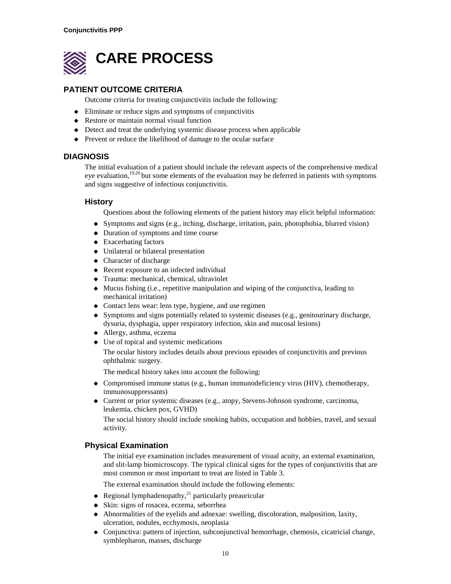

### **PATIENT OUTCOME CRITERIA**

Outcome criteria for treating conjunctivitis include the following:

- Eliminate or reduce signs and symptoms of conjunctivitis
- ◆ Restore or maintain normal visual function
- Detect and treat the underlying systemic disease process when applicable
- Prevent or reduce the likelihood of damage to the ocular surface

#### **DIAGNOSIS**

The initial evaluation of a patient should include the relevant aspects of the comprehensive medical eye evaluation,<sup>[19,](#page-46-6)[20](#page-46-7)</sup> but some elements of the evaluation may be deferred in patients with symptoms and signs suggestive of infectious conjunctivitis.

#### **History**

Questions about the following elements of the patient history may elicit helpful information:

- $\blacklozenge$  Symptoms and signs (e.g., itching, discharge, irritation, pain, photophobia, blurred vision)
- Duration of symptoms and time course
- ◆ Exacerbating factors
- Unilateral or bilateral presentation
- Character of discharge
- Recent exposure to an infected individual
- Trauma: mechanical, chemical, ultraviolet
- $\blacklozenge$  Mucus fishing (i.e., repetitive manipulation and wiping of the conjunctiva, leading to mechanical irritation)
- Contact lens wear: lens type, hygiene, and use regimen
- $\bullet$  Symptoms and signs potentially related to systemic diseases (e.g., genitourinary discharge, dysuria, dysphagia, upper respiratory infection, skin and mucosal lesions)
- Allergy, asthma, eczema
- Use of topical and systemic medications

The ocular history includes details about previous episodes of conjunctivitis and previous ophthalmic surgery.

The medical history takes into account the following:

- $\triangle$  Compromised immune status (e.g., human immunodeficiency virus (HIV), chemotherapy, immunosuppressants)
- Current or prior systemic diseases (e.g., atopy, Stevens-Johnson syndrome, carcinoma, leukemia, chicken pox, GVHD)

The social history should include smoking habits, occupation and hobbies, travel, and sexual activity.

#### **Physical Examination**

The initial eye examination includes measurement of visual acuity, an external examination, and slit-lamp biomicroscopy. The typical clinical signs for the types of conjunctivitis that are most common or most important to treat are listed in Table 3.

The external examination should include the following elements:

- $\triangle$  Regional lymphadenopathy,<sup>[21](#page-46-8)</sup> particularly preauricular
- Skin: signs of rosacea, eczema, seborrhea
- Abnormalities of the eyelids and adnexae: swelling, discoloration, malposition, laxity, ulceration, nodules, ecchymosis, neoplasia
- Conjunctiva: pattern of injection, subconjunctival hemorrhage, chemosis, cicatricial change, symblepharon, masses, discharge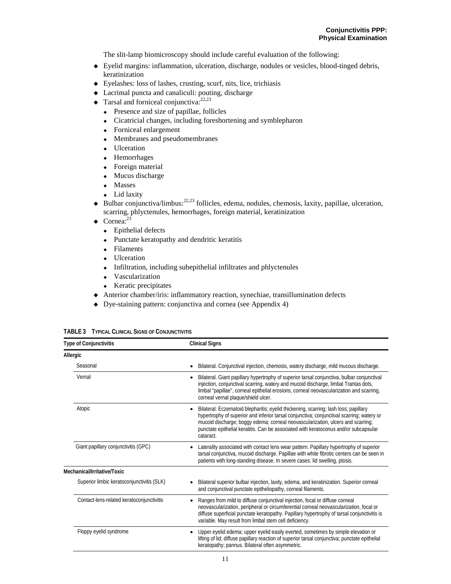The slit-lamp biomicroscopy should include careful evaluation of the following:

- Eyelid margins: inflammation, ulceration, discharge, nodules or vesicles, blood-tinged debris, keratinization
- Eyelashes: loss of lashes, crusting, scurf, nits, lice, trichiasis
- Lacrimal puncta and canaliculi: pouting, discharge
- $\blacklozenge$  Tarsal and forniceal conjunctiva:  $22,23$  $22,23$ 
	- Presence and size of papillae, follicles
	- Cicatricial changes, including foreshortening and symblepharon
	- Forniceal enlargement
	- Membranes and pseudomembranes
	- Ulceration
	- Hemorrhages
	- Foreign material
	- Mucus discharge
	- Masses
	- Lid laxity
- $\blacklozenge$  Bulbar conjunctiva/limbus:  $^{22,23}$  $^{22,23}$  $^{22,23}$  follicles, edema, nodules, chemosis, laxity, papillae, ulceration, scarring, phlyctenules, hemorrhages, foreign material, keratinization
- $\bullet$  Cornea:<sup>23</sup>
	- Epithelial defects
	- Punctate keratopathy and dendritic keratitis
	- Filaments
	- Ulceration
	- Infiltration, including subepithelial infiltrates and phlyctenules
	- Vascularization
	- $\leftarrow$  Keratic precipitates
- Anterior chamber/iris: inflammatory reaction, synechiae, transillumination defects
- Dye-staining pattern: conjunctiva and cornea (see Appendix 4)

|  | <b>TABLE 3 TYPICAL CLINICAL SIGNS OF CONJUNCTIVITIS</b> |
|--|---------------------------------------------------------|
|--|---------------------------------------------------------|

| <b>Type of Conjunctivitis</b>              | <b>Clinical Signs</b>                                                                                                                                                                                                                                                                                                                                                                  |
|--------------------------------------------|----------------------------------------------------------------------------------------------------------------------------------------------------------------------------------------------------------------------------------------------------------------------------------------------------------------------------------------------------------------------------------------|
| Allergic                                   |                                                                                                                                                                                                                                                                                                                                                                                        |
| Seasonal                                   | Bilateral. Conjunctival injection, chemosis, watery discharge, mild mucous discharge.<br>$\bullet$                                                                                                                                                                                                                                                                                     |
| Vernal                                     | Bilateral. Giant papillary hypertrophy of superior tarsal conjunctiva, bulbar conjunctival<br>$\bullet$<br>injection, conjunctival scarring, watery and mucoid discharge, limbal Trantas dots,<br>limbal "papillae", corneal epithelial erosions, corneal neovascularization and scarring,<br>corneal vernal plaque/shield ulcer.                                                      |
| Atopic                                     | Bilateral. Eczematoid blepharitis; eyelid thickening, scarring; lash loss; papillary<br>$\bullet$<br>hypertrophy of superior and inferior tarsal conjunctiva; conjunctival scarring; watery or<br>mucoid discharge; boggy edema; corneal neovascularization, ulcers and scarring;<br>punctate epithelial keratitis. Can be associated with keratoconus and/or subcapsular<br>cataract. |
| Giant papillary conjunctivitis (GPC)       | Laterality associated with contact lens wear pattern. Papillary hypertrophy of superior<br>tarsal conjunctiva, mucoid discharge. Papillae with white fibrotic centers can be seen in<br>patients with long-standing disease. In severe cases: lid swelling, ptosis.                                                                                                                    |
| Mechanical/Irritative/Toxic                |                                                                                                                                                                                                                                                                                                                                                                                        |
| Superior limbic keratoconjunctivitis (SLK) | Bilateral superior bulbar injection, laxity, edema, and keratinization. Superior corneal<br>$\bullet$<br>and conjunctival punctate epitheliopathy, corneal filaments.                                                                                                                                                                                                                  |
| Contact-lens-related keratoconjunctivitis  | Ranges from mild to diffuse conjunctival injection, focal or diffuse corneal<br>neovascularization, peripheral or circumferential corneal neovascularization, focal or<br>diffuse superficial punctate keratopathy. Papillary hypertrophy of tarsal conjunctivitis is<br>variable. May result from limbal stem cell deficiency.                                                        |
| Floppy eyelid syndrome                     | Upper eyelid edema; upper eyelid easily everted, sometimes by simple elevation or<br>$\bullet$<br>lifting of lid; diffuse papillary reaction of superior tarsal conjunctiva; punctate epithelial<br>keratopathy; pannus. Bilateral often asymmetric.                                                                                                                                   |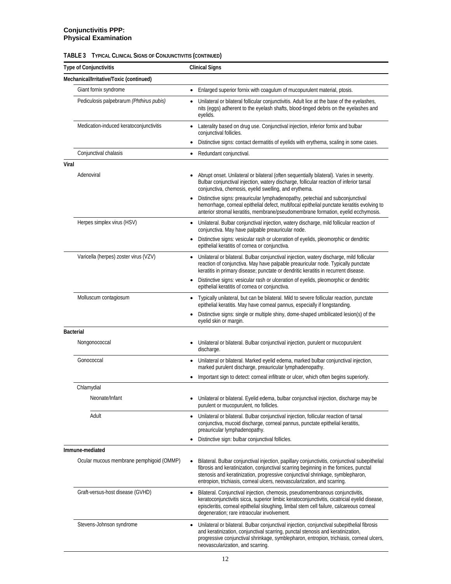| TABLE 3 TYPICAL CLINICAL SIGNS OF CONJUNCTIVITIS (CONTINUED) |  |
|--------------------------------------------------------------|--|
|--------------------------------------------------------------|--|

|                  | Type of Conjunctivitis                   | <b>Clinical Signs</b>                                                                                                                                                                                                                                                                                                                                 |
|------------------|------------------------------------------|-------------------------------------------------------------------------------------------------------------------------------------------------------------------------------------------------------------------------------------------------------------------------------------------------------------------------------------------------------|
|                  | Mechanical/Irritative/Toxic (continued)  |                                                                                                                                                                                                                                                                                                                                                       |
|                  | Giant fornix syndrome                    | Enlarged superior fornix with coagulum of mucopurulent material, ptosis.<br>$\bullet$                                                                                                                                                                                                                                                                 |
|                  | Pediculosis palpebrarum (Phthirus pubis) | Unilateral or bilateral follicular conjunctivitis. Adult lice at the base of the eyelashes,<br>$\bullet$<br>nits (eggs) adherent to the eyelash shafts, blood-tinged debris on the eyelashes and<br>eyelids.                                                                                                                                          |
|                  | Medication-induced keratoconjunctivitis  | Laterality based on drug use. Conjunctival injection, inferior fornix and bulbar<br>conjunctival follicles.                                                                                                                                                                                                                                           |
|                  |                                          | Distinctive signs: contact dermatitis of eyelids with erythema, scaling in some cases.                                                                                                                                                                                                                                                                |
|                  | Conjunctival chalasis                    | Redundant conjunctival.<br>$\bullet$                                                                                                                                                                                                                                                                                                                  |
| Viral            |                                          |                                                                                                                                                                                                                                                                                                                                                       |
|                  | Adenoviral                               | Abrupt onset. Unilateral or bilateral (often sequentially bilateral). Varies in severity.<br>$\bullet$<br>Bulbar conjunctival injection, watery discharge, follicular reaction of inferior tarsal<br>conjunctiva, chemosis, eyelid swelling, and erythema.                                                                                            |
|                  |                                          | Distinctive signs: preauricular lymphadenopathy, petechial and subconjunctival<br>$\bullet$<br>hemorrhage, corneal epithelial defect, multifocal epithelial punctate keratitis evolving to<br>anterior stromal keratitis, membrane/pseudomembrane formation, eyelid ecchymosis.                                                                       |
|                  | Herpes simplex virus (HSV)               | Unilateral. Bulbar conjunctival injection, watery discharge, mild follicular reaction of<br>$\bullet$<br>conjunctiva. May have palpable preauricular node.                                                                                                                                                                                            |
|                  |                                          | Distinctive signs: vesicular rash or ulceration of eyelids, pleomorphic or dendritic<br>epithelial keratitis of cornea or conjunctiva.                                                                                                                                                                                                                |
|                  | Varicella (herpes) zoster virus (VZV)    | Unilateral or bilateral. Bulbar conjunctival injection, watery discharge, mild follicular<br>reaction of conjunctiva. May have palpable preauricular node. Typically punctate<br>keratitis in primary disease; punctate or dendritic keratitis in recurrent disease.                                                                                  |
|                  |                                          | Distinctive signs: vesicular rash or ulceration of eyelids, pleomorphic or dendritic<br>epithelial keratitis of cornea or conjunctiva.                                                                                                                                                                                                                |
|                  | Molluscum contagiosum                    | Typically unilateral, but can be bilateral. Mild to severe follicular reaction, punctate<br>$\bullet$<br>epithelial keratitis. May have corneal pannus, especially if longstanding.                                                                                                                                                                   |
|                  |                                          | Distinctive signs: single or multiple shiny, dome-shaped umbilicated lesion(s) of the<br>eyelid skin or margin.                                                                                                                                                                                                                                       |
| <b>Bacterial</b> |                                          |                                                                                                                                                                                                                                                                                                                                                       |
|                  | Nongonococcal                            | Unilateral or bilateral. Bulbar conjunctival injection, purulent or mucopurulent<br>$\bullet$<br>discharge.                                                                                                                                                                                                                                           |
|                  | Gonococcal                               | Unilateral or bilateral. Marked eyelid edema, marked bulbar conjunctival injection,<br>$\bullet$<br>marked purulent discharge, preauricular lymphadenopathy.                                                                                                                                                                                          |
|                  |                                          | Important sign to detect: corneal infiltrate or ulcer, which often begins superiorly.<br>$\bullet$                                                                                                                                                                                                                                                    |
|                  | Chlamydial                               |                                                                                                                                                                                                                                                                                                                                                       |
|                  | Neonate/Infant                           | Unilateral or bilateral. Eyelid edema, bulbar conjunctival injection, discharge may be<br>purulent or mucopurulent, no follicles.                                                                                                                                                                                                                     |
|                  | Adult                                    | Unilateral or bilateral. Bulbar conjunctival injection, follicular reaction of tarsal<br>conjunctiva, mucoid discharge, corneal pannus, punctate epithelial keratitis,<br>preauricular lymphadenopathy.                                                                                                                                               |
|                  |                                          | Distinctive sign: bulbar conjunctival follicles.<br>$\bullet$                                                                                                                                                                                                                                                                                         |
|                  | Immune-mediated                          |                                                                                                                                                                                                                                                                                                                                                       |
|                  | Ocular mucous membrane pemphigoid (OMMP) | Bilateral. Bulbar conjunctival injection, papillary conjunctivitis, conjunctival subepithelial<br>fibrosis and keratinization, conjunctival scarring beginning in the fornices, punctal<br>stenosis and keratinization, progressive conjunctival shrinkage, symblepharon,<br>entropion, trichiasis, corneal ulcers, neovascularization, and scarring. |
|                  | Graft-versus-host disease (GVHD)         | Bilateral. Conjunctival injection, chemosis, pseudomembranous conjunctivitis,<br>keratoconjunctivitis sicca, superior limbic keratoconjunctivitis, cicatricial eyelid disease,<br>episcleritis, corneal epithelial sloughing, limbal stem cell failure, calcareous corneal<br>degeneration; rare intraocular involvement.                             |
|                  | Stevens-Johnson syndrome                 | Unilateral or bilateral. Bulbar conjunctival injection, conjunctival subepithelial fibrosis<br>$\bullet$<br>and keratinization, conjunctival scarring, punctal stenosis and keratinization,<br>progressive conjunctival shrinkage, symblepharon, entropion, trichiasis, corneal ulcers,<br>neovascularization, and scarring.                          |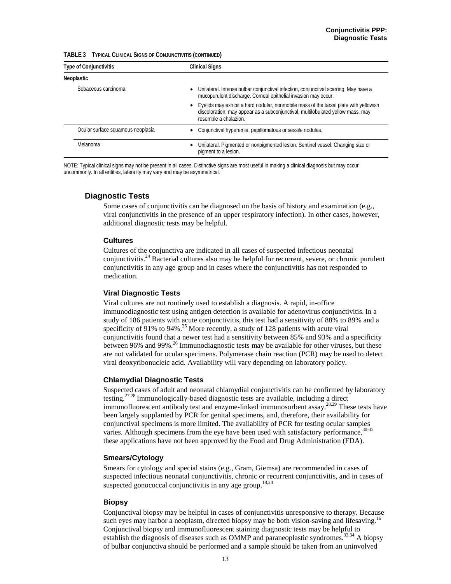|  | TABLE 3 TYPICAL CLINICAL SIGNS OF CONJUNCTIVITIS (CONTINUED) |  |  |
|--|--------------------------------------------------------------|--|--|
|--|--------------------------------------------------------------|--|--|

| <b>Type of Conjunctivitis</b>     | <b>Clinical Signs</b>                                                                                                                                                                               |  |
|-----------------------------------|-----------------------------------------------------------------------------------------------------------------------------------------------------------------------------------------------------|--|
| Neoplastic                        |                                                                                                                                                                                                     |  |
| Sebaceous carcinoma               | Unilateral. Intense bulbar conjunctival infection, conjunctival scarring. May have a<br>٠<br>mucopurulent discharge. Corneal epithelial invasion may occur.                                         |  |
|                                   | • Eyelids may exhibit a hard nodular, nonmobile mass of the tarsal plate with yellowish<br>discoloration; may appear as a subconjunctival, multilobulated yellow mass, may<br>resemble a chalazion. |  |
| Ocular surface squamous neoplasia | • Conjunctival hyperemia, papillomatous or sessile nodules.                                                                                                                                         |  |
| Melanoma                          | Unilateral. Pigmented or nonpigmented lesion. Sentinel vessel. Changing size or<br>٠<br>pigment to a lesion.                                                                                        |  |

NOTE: Typical clinical signs may not be present in all cases. Distinctive signs are most useful in making a clinical diagnosis but may occur uncommonly. In all entities, laterality may vary and may be asymmetrical.

#### **Diagnostic Tests**

Some cases of conjunctivitis can be diagnosed on the basis of history and examination (e.g., viral conjunctivitis in the presence of an upper respiratory infection). In other cases, however, additional diagnostic tests may be helpful.

#### **Cultures**

Cultures of the conjunctiva are indicated in all cases of suspected infectious neonatal conjunctivitis. $24$  Bacterial cultures also may be helpful for recurrent, severe, or chronic purulent conjunctivitis in any age group and in cases where the conjunctivitis has not responded to medication.

#### **Viral Diagnostic Tests**

Viral cultures are not routinely used to establish a diagnosis. A rapid, in-office immunodiagnostic test using antigen detection is available for adenovirus conjunctivitis. In a study of 186 patients with acute conjunctivitis, this test had a sensitivity of 88% to 89% and a specificity of 91% to 94%.<sup>[25](#page-46-12)</sup> More recently, a study of 128 patients with acute viral conjunctivitis found that a newer test had a sensitivity between 85% and 93% and a specificity between 96% and 99%.<sup>[26](#page-46-13)</sup> Immunodiagnostic tests may be available for other viruses, but these are not validated for ocular specimens. Polymerase chain reaction (PCR) may be used to detect viral deoxyribonucleic acid. Availability will vary depending on laboratory policy.

#### **Chlamydial Diagnostic Tests**

Suspected cases of adult and neonatal chlamydial conjunctivitis can be confirmed by laboratory testing.<sup>[27,](#page-46-14)[28](#page-46-15)</sup> Immunologically-based diagnostic tests are available, including a direct immunofluorescent antibody test and enzyme-linked immunosorbent assay.<sup>[28,](#page-46-15)[29](#page-46-16)</sup> These tests have been largely supplanted by PCR for genital specimens, and, therefore, their availability for conjunctival specimens is more limited. The availability of PCR for testing ocular samples varies. Although specimens from the eye have been used with satisfactory performance,<sup>[30-32](#page-46-17)</sup> these applications have not been approved by the Food and Drug Administration (FDA).

#### **Smears/Cytology**

Smears for cytology and special stains (e.g., Gram, Giemsa) are recommended in cases of suspected infectious neonatal conjunctivitis, chronic or recurrent conjunctivitis, and in cases of suspected gonococcal conjunctivitis in any age group.<sup>[18,](#page-46-5)[24](#page-46-11)</sup>

#### **Biopsy**

Conjunctival biopsy may be helpful in cases of conjunctivitis unresponsive to therapy. Because such eyes may harbor a neoplasm, directed biopsy may be both vision-saving and lifesaving.<sup>[16](#page-46-3)</sup> Conjunctival biopsy and immunofluorescent staining diagnostic tests may be helpful to establish the diagnosis of diseases such as OMMP and paraneoplastic syndromes.<sup>[33,](#page-46-18)[34](#page-46-19)</sup> A biopsy of bulbar conjunctiva should be performed and a sample should be taken from an uninvolved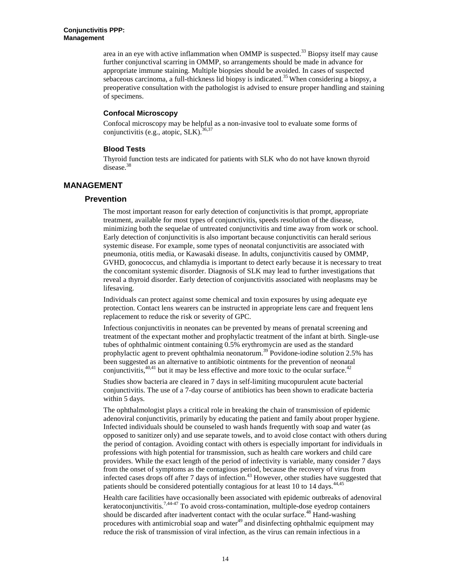area in an eye with active inflammation when OMMP is suspected.<sup>[33](#page-46-18)</sup> Biopsy itself may cause further conjunctival scarring in OMMP, so arrangements should be made in advance for appropriate immune staining. Multiple biopsies should be avoided. In cases of suspected sebaceous carcinoma, a full-thickness lid biopsy is indicated.<sup>[35](#page-46-20)</sup> When considering a biopsy, a preoperative consultation with the pathologist is advised to ensure proper handling and staining of specimens.

#### **Confocal Microscopy**

Confocal microscopy may be helpful as a non-invasive tool to evaluate some forms of conjunctivitis (e.g., atopic, SLK).<sup>[36,](#page-46-21)[37](#page-47-0)</sup>

#### **Blood Tests**

Thyroid function tests are indicated for patients with SLK who do not have known thyroid disease.<sup>[38](#page-47-1)</sup>

#### **MANAGEMENT**

#### **Prevention**

The most important reason for early detection of conjunctivitis is that prompt, appropriate treatment, available for most types of conjunctivitis, speeds resolution of the disease, minimizing both the sequelae of untreated conjunctivitis and time away from work or school. Early detection of conjunctivitis is also important because conjunctivitis can herald serious systemic disease. For example, some types of neonatal conjunctivitis are associated with pneumonia, otitis media, or Kawasaki disease. In adults, conjunctivitis caused by OMMP, GVHD, gonococcus, and chlamydia is important to detect early because it is necessary to treat the concomitant systemic disorder. Diagnosis of SLK may lead to further investigations that reveal a thyroid disorder. Early detection of conjunctivitis associated with neoplasms may be lifesaving.

Individuals can protect against some chemical and toxin exposures by using adequate eye protection. Contact lens wearers can be instructed in appropriate lens care and frequent lens replacement to reduce the risk or severity of GPC.

Infectious conjunctivitis in neonates can be prevented by means of prenatal screening and treatment of the expectant mother and prophylactic treatment of the infant at birth. Single-use tubes of ophthalmic ointment containing 0.5% erythromycin are used as the standard prophylactic agent to prevent ophthalmia neonatorum.<sup>[39](#page-47-2)</sup> Povidone-iodine solution 2.5% has been suggested as an alternative to antibiotic ointments for the prevention of neonatal conjunctivitis,  $40,41$  $40,41$  but it may be less effective and more toxic to the ocular surface.  $42$ 

Studies show bacteria are cleared in 7 days in self-limiting mucopurulent acute bacterial conjunctivitis. The use of a 7-day course of antibiotics has been shown to eradicate bacteria within 5 days.

The ophthalmologist plays a critical role in breaking the chain of transmission of epidemic adenoviral conjunctivitis, primarily by educating the patient and family about proper hygiene. Infected individuals should be counseled to wash hands frequently with soap and water (as opposed to sanitizer only) and use separate towels, and to avoid close contact with others during the period of contagion. Avoiding contact with others is especially important for individuals in professions with high potential for transmission, such as health care workers and child care providers. While the exact length of the period of infectivity is variable, many consider 7 days from the onset of symptoms as the contagious period, because the recovery of virus from infected cases drops off after  $7$  days of infection.<sup>[43](#page-47-6)</sup> However, other studies have suggested that patients should be considered potentially contagious for at least 10 to 14 days.<sup>[44,](#page-47-7)[45](#page-47-8)</sup>

Health care facilities have occasionally been associated with epidemic outbreaks of adenoviral keratoconjunctivitis.<sup>[7,](#page-45-6)[44-47](#page-47-7)</sup> To avoid cross-contamination, multiple-dose eyedrop containers should be discarded after inadvertent contact with the ocular surface.<sup>[48](#page-47-9)</sup> Hand-washing procedures with antimicrobial soap and water<sup>[49](#page-47-10)</sup> and disinfecting ophthalmic equipment may reduce the risk of transmission of viral infection, as the virus can remain infectious in a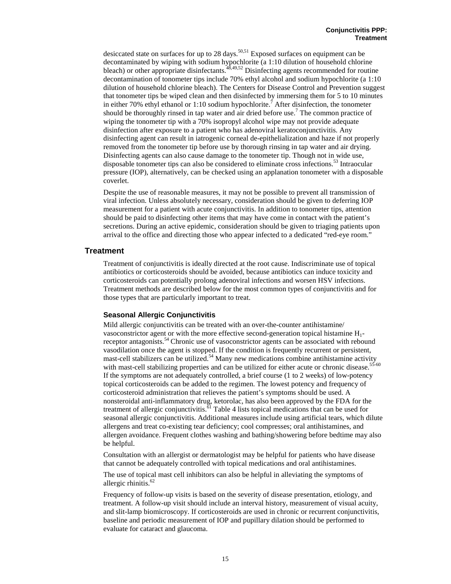desiccated state on surfaces for up to 28 days.<sup>[50,](#page-47-11)[51](#page-47-12)</sup> Exposed surfaces on equipment can be decontaminated by wiping with sodium hypochlorite (a 1:10 dilution of household chlorine bleach) or other appropriate disinfectants.<sup>[48,](#page-47-9)[49,](#page-47-10)[52](#page-47-13)</sup> Disinfecting agents recommended for routine decontamination of tonometer tips include 70% ethyl alcohol and sodium hypochlorite (a 1:10 dilution of household chlorine bleach). The Centers for Disease Control and Prevention suggest that tonometer tips be wiped clean and then disinfected by immersing them for 5 to 10 minutes in either 70% ethyl ethanol or 1:10 sodium hypochlorite[.](#page-45-6)<sup>7</sup> After disinfection, the tonometer should be thoroughly rinsed in tap water and air dried before use[.](#page-45-6)<sup>7</sup> The common practice of wiping the tonometer tip with a 70% isopropyl alcohol wipe may not provide adequate disinfection after exposure to a patient who has adenoviral keratoconjunctivitis. Any disinfecting agent can result in iatrogenic corneal de-epithelialization and haze if not properly removed from the tonometer tip before use by thorough rinsing in tap water and air drying. Disinfecting agents can also cause damage to the tonometer tip. Though not in wide use, disposable tonometer tips can also be considered to eliminate cross infections.<sup>[53](#page-47-14)</sup> Intraocular pressure (IOP), alternatively, can be checked using an applanation tonometer with a disposable coverlet.

Despite the use of reasonable measures, it may not be possible to prevent all transmission of viral infection. Unless absolutely necessary, consideration should be given to deferring IOP measurement for a patient with acute conjunctivitis. In addition to tonometer tips, attention should be paid to disinfecting other items that may have come in contact with the patient's secretions. During an active epidemic, consideration should be given to triaging patients upon arrival to the office and directing those who appear infected to a dedicated "red-eye room."

#### **Treatment**

Treatment of conjunctivitis is ideally directed at the root cause. Indiscriminate use of topical antibiotics or corticosteroids should be avoided, because antibiotics can induce toxicity and corticosteroids can potentially prolong adenoviral infections and worsen HSV infections. Treatment methods are described below for the most common types of conjunctivitis and for those types that are particularly important to treat.

#### **Seasonal Allergic Conjunctivitis**

Mild allergic conjunctivitis can be treated with an over-the-counter antihistamine/ vasoconstrictor agent or with the more effective second-generation topical histamine  $H_{1}$ -receptor antagonists.<sup>[54](#page-47-15)</sup> Chronic use of vasoconstrictor agents can be associated with rebound vasodilation once the agent is stopped. If the condition is frequently recurrent or persistent, mast-cell stabilizers can be utilized.<sup>[54](#page-47-15)</sup> Many new medications combine antihistamine activity with mast-cell stabilizing properties and can be utilized for either acute or chronic disease.<sup>[55-60](#page-47-16)</sup> If the symptoms are not adequately controlled, a brief course (1 to 2 weeks) of low-potency topical corticosteroids can be added to the regimen. The lowest potency and frequency of corticosteroid administration that relieves the patient's symptoms should be used. A nonsteroidal anti-inflammatory drug, ketorolac, has also been approved by the FDA for the treatment of allergic conjunctivitis.<sup> $\delta$ 1</sup> Table 4 lists topical medications that can be used for seasonal allergic conjunctivitis. Additional measures include using artificial tears, which dilute allergens and treat co-existing tear deficiency; cool compresses; oral antihistamines, and allergen avoidance. Frequent clothes washing and bathing/showering before bedtime may also be helpful.

Consultation with an allergist or dermatologist may be helpful for patients who have disease that cannot be adequately controlled with topical medications and oral antihistamines.

The use of topical mast cell inhibitors can also be helpful in alleviating the symptoms of allergic rhinitis.<sup>[62](#page-48-1)</sup>

Frequency of follow-up visits is based on the severity of disease presentation, etiology, and treatment. A follow-up visit should include an interval history, measurement of visual acuity, and slit-lamp biomicroscopy. If corticosteroids are used in chronic or recurrent conjunctivitis, baseline and periodic measurement of IOP and pupillary dilation should be performed to evaluate for cataract and glaucoma.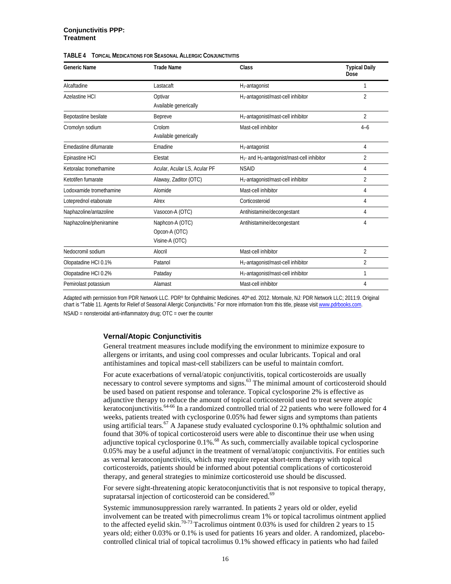#### **Conjunctivitis PPP: Treatment**

| <b>Generic Name</b>     | <b>Trade Name</b>            | Class                                                               | <b>Typical Daily</b><br>Dose |
|-------------------------|------------------------------|---------------------------------------------------------------------|------------------------------|
| Alcaftadine             | Lastacaft                    | $H_1$ -antagonist                                                   | 1                            |
| Azelastine HCI          | Optivar                      | H <sub>1</sub> -antagonist/mast-cell inhibitor                      | $\overline{2}$               |
|                         | Available generically        |                                                                     |                              |
| Bepotastine besilate    | Bepreve                      | $H_1$ -antagonist/mast-cell inhibitor                               | $\overline{2}$               |
| Cromolyn sodium         | Crolom                       | Mast-cell inhibitor                                                 | $4 - 6$                      |
|                         | Available generically        |                                                                     |                              |
| Emedastine difumarate   | Emadine                      | $H_1$ -antagonist                                                   | 4                            |
| Epinastine HCI          | Elestat                      | H <sub>1</sub> - and H <sub>2</sub> -antagonist/mast-cell inhibitor | 2                            |
| Ketoralac tromethamine  | Acular, Acular LS, Acular PF | <b>NSAID</b>                                                        | 4                            |
| Ketotifen fumarate      | Alaway, Zaditor (OTC)        | H <sub>1</sub> -antagonist/mast-cell inhibitor                      | $\overline{2}$               |
| Lodoxamide tromethamine | Alomide                      | Mast-cell inhibitor                                                 | 4                            |
| Loteprednol etabonate   | Alrex                        | Corticosteroid                                                      | 4                            |
| Naphazoline/antazoline  | Vasocon-A (OTC)              | Antihistamine/decongestant                                          | 4                            |
| Naphazoline/pheniramine | Naphcon-A (OTC)              | Antihistamine/decongestant                                          | 4                            |
|                         | Opcon-A (OTC)                |                                                                     |                              |
|                         | Visine-A (OTC)               |                                                                     |                              |
| Nedocromil sodium       | Alocril                      | Mast-cell inhibitor                                                 | $\overline{2}$               |
| Olopatadine HCI 0.1%    | Patanol                      | H <sub>1</sub> -antagonist/mast-cell inhibitor                      | 2                            |
| Olopatadine HCI 0.2%    | Pataday                      | H <sub>1</sub> -antagonist/mast-cell inhibitor                      | 1                            |
| Pemirolast potassium    | Alamast                      | Mast-cell inhibitor                                                 | 4                            |

#### **TABLE 4 TOPICAL MEDICATIONS FOR SEASONAL ALLERGIC CONJUNCTIVITIS**

Adapted with permission from PDR Network LLC. PDR® for Ophthalmic Medicines. 40<sup>th</sup> ed. 2012. Montvale, NJ: PDR Network LLC; 2011:9. Original chart is "Table 11. Agents for Relief of Seasonal Allergic Conjunctivitis." For more information from this title, please visit www.pdrbooks.com. NSAID = nonsteroidal anti-inflammatory drug; OTC = over the counter

#### **Vernal/Atopic Conjunctivitis**

General treatment measures include modifying the environment to minimize exposure to allergens or irritants, and using cool compresses and ocular lubricants. Topical and oral antihistamines and topical mast-cell stabilizers can be useful to maintain comfort.

For acute exacerbations of vernal/atopic conjunctivitis, topical corticosteroids are usually necessary to control severe symptoms and signs. $^{63}$  $^{63}$  $^{63}$  The minimal amount of corticosteroid should be used based on patient response and tolerance. Topical cyclosporine 2% is effective as adjunctive therapy to reduce the amount of topical corticosteroid used to treat severe atopic keratoconjunctivitis.<sup>[64-66](#page-48-3)</sup> In a randomized controlled trial of 22 patients who were followed for 4 weeks, patients treated with cyclosporine 0.05% had fewer signs and symptoms than patients using artificial tears.<sup>[67](#page-48-4)</sup> A Japanese study evaluated cyclosporine  $0.1\%$  ophthalmic solution and found that 30% of topical corticosteroid users were able to discontinue their use when using adjunctive topical cyclosporine  $0.1\%$ .<sup>[68](#page-48-5)</sup> As such, commercially available topical cyclosporine 0.05% may be a useful adjunct in the treatment of vernal/atopic conjunctivitis. For entities such as vernal keratoconjunctivitis, which may require repeat short-term therapy with topical corticosteroids, patients should be informed about potential complications of corticosteroid therapy, and general strategies to minimize corticosteroid use should be discussed.

For severe sight-threatening atopic keratoconjunctivitis that is not responsive to topical therapy, supratarsal injection of corticosteroid can be considered.<sup>[69](#page-48-6)</sup>

Systemic immunosuppression rarely warranted. In patients 2 years old or older, eyelid involvement can be treated with pimecrolimus cream 1% or topical tacrolimus ointment applied to the affected eyelid skin.<sup>[70-73](#page-48-7)</sup> Tacrolimus ointment 0.03% is used for children 2 years to  $15$ years old; either 0.03% or 0.1% is used for patients 16 years and older. A randomized, placebocontrolled clinical trial of topical tacrolimus 0.1% showed efficacy in patients who had failed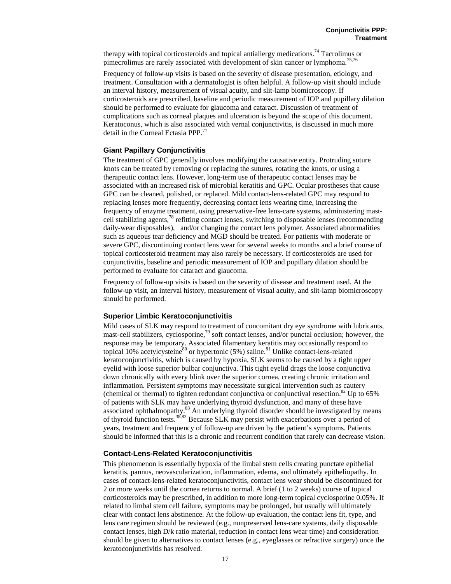therapy with topical corticosteroids and topical antiallergy medications.<sup>[74](#page-48-8)</sup> Tacrolimus or pimecrolimus are rarely associated with development of skin cancer or lymphoma.<sup>[75,](#page-48-9)[76](#page-48-10)</sup>

Frequency of follow-up visits is based on the severity of disease presentation, etiology, and treatment. Consultation with a dermatologist is often helpful. A follow-up visit should include an interval history, measurement of visual acuity, and slit-lamp biomicroscopy. If corticosteroids are prescribed, baseline and periodic measurement of IOP and pupillary dilation should be performed to evaluate for glaucoma and cataract. Discussion of treatment of complications such as corneal plaques and ulceration is beyond the scope of this document. Keratoconus, which is also associated with vernal conjunctivitis, is discussed in much more detail in the Corneal Ectasia PPP.<sup>[77](#page-48-11)</sup>

#### **Giant Papillary Conjunctivitis**

The treatment of GPC generally involves modifying the causative entity. Protruding suture knots can be treated by removing or replacing the sutures, rotating the knots, or using a therapeutic contact lens. However, long-term use of therapeutic contact lenses may be associated with an increased risk of microbial keratitis and GPC. Ocular prostheses that cause GPC can be cleaned, polished, or replaced. Mild contact-lens-related GPC may respond to replacing lenses more frequently, decreasing contact lens wearing time, increasing the frequency of enzyme treatment, using preservative-free lens-care systems, administering mastcell stabilizing agents,[78](#page-48-12) refitting contact lenses, switching to disposable lenses (recommending daily-wear disposables), and/or changing the contact lens polymer. Associated abnormalities such as aqueous tear deficiency and MGD should be treated. For patients with moderate or severe GPC, discontinuing contact lens wear for several weeks to months and a brief course of topical corticosteroid treatment may also rarely be necessary. If corticosteroids are used for conjunctivitis, baseline and periodic measurement of IOP and pupillary dilation should be performed to evaluate for cataract and glaucoma.

Frequency of follow-up visits is based on the severity of disease and treatment used. At the follow-up visit, an interval history, measurement of visual acuity, and slit-lamp biomicroscopy should be performed.

#### **Superior Limbic Keratoconjunctivitis**

Mild cases of SLK may respond to treatment of concomitant dry eye syndrome with lubricants, mast-cell stabilizers, cyclosporine,<sup>[79](#page-48-13)</sup> soft contact lenses, and/or punctal occlusion; however, the response may be temporary. Associated filamentary keratitis may occasionally respond to topical 10% acetylcysteine $80$  or hypertonic (5%) saline. $81$  Unlike contact-lens-related keratoconjunctivitis, which is caused by hypoxia, SLK seems to be caused by a tight upper eyelid with loose superior bulbar conjunctiva. This tight eyelid drags the loose conjunctiva down chronically with every blink over the superior cornea, creating chronic irritation and inflammation. Persistent symptoms may necessitate surgical intervention such as cautery (chemical or thermal) to tighten redundant conjunctiva or conjunctival resection.<sup>[82](#page-49-0)</sup> Up to 65% of patients with SLK may have underlying thyroid dysfunction, and many of these have associated ophthalmopathy.<sup>[83](#page-49-1)</sup> An underlying thyroid disorder should be investigated by means of thyroid function tests.<sup>[38,](#page-47-1)[83](#page-49-1)</sup> Because SLK may persist with exacerbations over a period of years, treatment and frequency of follow-up are driven by the patient's symptoms. Patients should be informed that this is a chronic and recurrent condition that rarely can decrease vision.

#### **Contact-Lens-Related Keratoconjunctivitis**

This phenomenon is essentially hypoxia of the limbal stem cells creating punctate epithelial keratitis, pannus, neovascularization, inflammation, edema, and ultimately epitheliopathy. In cases of contact-lens-related keratoconjunctivitis, contact lens wear should be discontinued for 2 or more weeks until the cornea returns to normal. A brief (1 to 2 weeks) course of topical corticosteroids may be prescribed, in addition to more long-term topical cyclosporine 0.05%. If related to limbal stem cell failure, symptoms may be prolonged, but usually will ultimately clear with contact lens abstinence. At the follow-up evaluation, the contact lens fit, type, and lens care regimen should be reviewed (e.g., nonpreserved lens-care systems, daily disposable contact lenses, high D/k ratio material, reduction in contact lens wear time) and consideration should be given to alternatives to contact lenses (e.g., eyeglasses or refractive surgery) once the keratoconjunctivitis has resolved.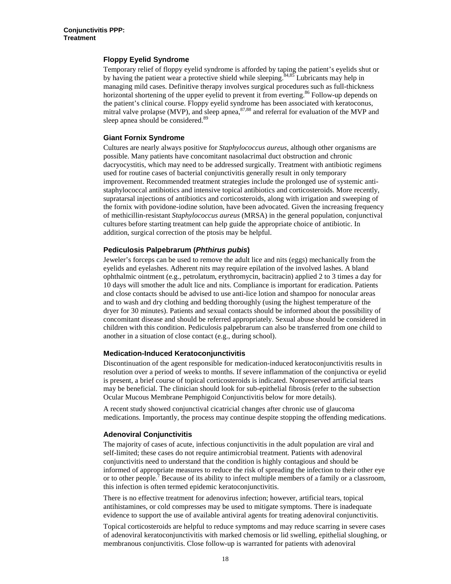#### **Floppy Eyelid Syndrome**

Temporary relief of floppy eyelid syndrome is afforded by taping the patient's eyelids shut or by having the patient wear a protective shield while sleeping. $84,85$  $84,85$  Lubricants may help in managing mild cases. Definitive therapy involves surgical procedures such as full-thickness horizontal shortening of the upper eyelid to prevent it from everting.<sup>[86](#page-49-4)</sup> Follow-up depends on the patient's clinical course. Floppy eyelid syndrome has been associated with keratoconus, mitral valve prolapse (MVP), and sleep apnea,  $87,88$  $87,88$  and referral for evaluation of the MVP and sleep apnea should be considered.<sup>[89](#page-49-7)</sup>

#### **Giant Fornix Syndrome**

Cultures are nearly always positive for *Staphylococcus aureus*, although other organisms are possible. Many patients have concomitant nasolacrimal duct obstruction and chronic dacryocystitis, which may need to be addressed surgically. Treatment with antibiotic regimens used for routine cases of bacterial conjunctivitis generally result in only temporary improvement. Recommended treatment strategies include the prolonged use of systemic antistaphylococcal antibiotics and intensive topical antibiotics and corticosteroids. More recently, supratarsal injections of antibiotics and corticosteroids, along with irrigation and sweeping of the fornix with povidone-iodine solution, have been advocated. Given the increasing frequency of methicillin-resistant *Staphylococcus aureus* (MRSA) in the general population, conjunctival cultures before starting treatment can help guide the appropriate choice of antibiotic. In addition, surgical correction of the ptosis may be helpful.

#### **Pediculosis Palpebrarum (***Phthirus pubis***)**

Jeweler's forceps can be used to remove the adult lice and nits (eggs) mechanically from the eyelids and eyelashes. Adherent nits may require epilation of the involved lashes. A bland ophthalmic ointment (e.g., petrolatum, erythromycin, bacitracin) applied 2 to 3 times a day for 10 days will smother the adult lice and nits. Compliance is important for eradication. Patients and close contacts should be advised to use anti-lice lotion and shampoo for nonocular areas and to wash and dry clothing and bedding thoroughly (using the highest temperature of the dryer for 30 minutes). Patients and sexual contacts should be informed about the possibility of concomitant disease and should be referred appropriately. Sexual abuse should be considered in children with this condition. Pediculosis palpebrarum can also be transferred from one child to another in a situation of close contact (e.g., during school).

#### **Medication-Induced Keratoconjunctivitis**

Discontinuation of the agent responsible for medication-induced keratoconjunctivitis results in resolution over a period of weeks to months. If severe inflammation of the conjunctiva or eyelid is present, a brief course of topical corticosteroids is indicated. Nonpreserved artificial tears may be beneficial. The clinician should look for sub-epithelial fibrosis (refer to the subsection Ocular Mucous Membrane Pemphigoid Conjunctivitis below for more details).

A recent study showed conjunctival cicatricial changes after chronic use of glaucoma medications. Importantly, the process may continue despite stopping the offending medications.

#### **Adenoviral Conjunctivitis**

The majority of cases of acute, infectious conjunctivitis in the adult population are viral and self-limited; these cases do not require antimicrobial treatment. Patients with adenoviral conjunctivitis need to understand that the condition is highly contagious and should be informed of appropriate measures to reduce the risk of spreading the infection to their other eye or to other peopl[e.](#page-45-6)<sup>7</sup> Because of its ability to infect multiple members of a family or a classroom, this infection is often termed epidemic keratoconjunctivitis.

There is no effective treatment for adenovirus infection; however, artificial tears, topical antihistamines, or cold compresses may be used to mitigate symptoms. There is inadequate evidence to support the use of available antiviral agents for treating adenoviral conjunctivitis.

Topical corticosteroids are helpful to reduce symptoms and may reduce scarring in severe cases of adenoviral keratoconjunctivitis with marked chemosis or lid swelling, epithelial sloughing, or membranous conjunctivitis. Close follow-up is warranted for patients with adenoviral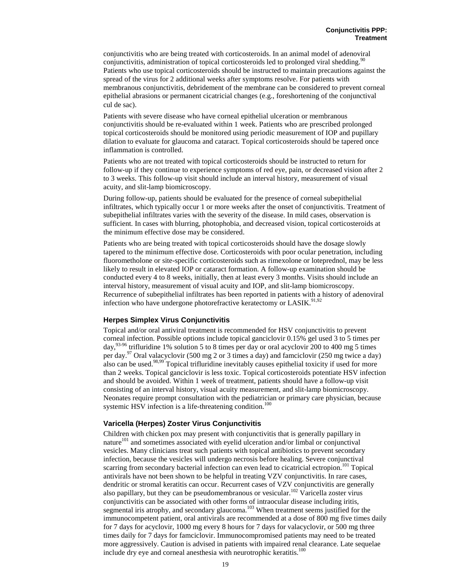conjunctivitis who are being treated with corticosteroids. In an animal model of adenoviral conjunctivitis, administration of topical corticosteroids led to prolonged viral shedding.<sup>[90](#page-49-8)</sup> Patients who use topical corticosteroids should be instructed to maintain precautions against the spread of the virus for 2 additional weeks after symptoms resolve. For patients with membranous conjunctivitis, debridement of the membrane can be considered to prevent corneal epithelial abrasions or permanent cicatricial changes (e.g., foreshortening of the conjunctival cul de sac).

Patients with severe disease who have corneal epithelial ulceration or membranous conjunctivitis should be re-evaluated within 1 week. Patients who are prescribed prolonged topical corticosteroids should be monitored using periodic measurement of IOP and pupillary dilation to evaluate for glaucoma and cataract. Topical corticosteroids should be tapered once inflammation is controlled.

Patients who are not treated with topical corticosteroids should be instructed to return for follow-up if they continue to experience symptoms of red eye, pain, or decreased vision after 2 to 3 weeks. This follow-up visit should include an interval history, measurement of visual acuity, and slit-lamp biomicroscopy.

During follow-up, patients should be evaluated for the presence of corneal subepithelial infiltrates, which typically occur 1 or more weeks after the onset of conjunctivitis. Treatment of subepithelial infiltrates varies with the severity of the disease. In mild cases, observation is sufficient. In cases with blurring, photophobia, and decreased vision, topical corticosteroids at the minimum effective dose may be considered.

Patients who are being treated with topical corticosteroids should have the dosage slowly tapered to the minimum effective dose. Corticosteroids with poor ocular penetration, including fluorometholone or site-specific corticosteroids such as rimexolone or loteprednol, may be less likely to result in elevated IOP or cataract formation. A follow-up examination should be conducted every 4 to 8 weeks, initially, then at least every 3 months. Visits should include an interval history, measurement of visual acuity and IOP, and slit-lamp biomicroscopy. Recurrence of subepithelial infiltrates has been reported in patients with a history of adenoviral infection who have undergone photorefractive keratectomy or  $LASIK$ <sup>[91,](#page-49-9)[92](#page-49-10)</sup>

#### **Herpes Simplex Virus Conjunctivitis**

Topical and/or oral antiviral treatment is recommended for HSV conjunctivitis to prevent corneal infection. Possible options include topical ganciclovir 0.15% gel used 3 to 5 times per day,[93-96](#page-49-11) trifluridine 1% solution 5 to 8 times per day or oral acyclovir 200 to 400 mg 5 times per day.[97](#page-49-12) Oral valacyclovir (500 mg 2 or 3 times a day) and famciclovir (250 mg twice a day) also can be used.<sup>[98,](#page-49-13)[99](#page-49-14)</sup> Topical trifluridine inevitably causes epithelial toxicity if used for more than 2 weeks. Topical ganciclovir is less toxic. Topical corticosteroids potentiate HSV infection and should be avoided. Within 1 week of treatment, patients should have a follow-up visit consisting of an interval history, visual acuity measurement, and slit-lamp biomicroscopy. Neonates require prompt consultation with the pediatrician or primary care physician, because systemic HSV infection is a life-threatening condition.<sup>[100](#page-49-15)</sup>

#### **Varicella (Herpes) Zoster Virus Conjunctivitis**

Children with chicken pox may present with conjunctivitis that is generally papillary in nature<sup>[101](#page-49-16)</sup> and sometimes associated with eyelid ulceration and/or limbal or conjunctival vesicles. Many clinicians treat such patients with topical antibiotics to prevent secondary infection, because the vesicles will undergo necrosis before healing. Severe conjunctival scarring from secondary bacterial infection can even lead to cicatricial ectropion.<sup>[101](#page-49-16)</sup> Topical antivirals have not been shown to be helpful in treating VZV conjunctivitis. In rare cases, dendritic or stromal keratitis can occur. Recurrent cases of VZV conjunctivitis are generally also papillary, but they can be pseudomembranous or vesicular.<sup>[102](#page-49-17)</sup> Varicella zoster virus conjunctivitis can be associated with other forms of intraocular disease including iritis, segmental iris atrophy, and secondary glaucoma.<sup>[103](#page-49-18)</sup> When treatment seems justified for the immunocompetent patient, oral antivirals are recommended at a dose of 800 mg five times daily for 7 days for acyclovir, 1000 mg every 8 hours for 7 days for valacyclovir, or 500 mg three times daily for 7 days for famciclovir. Immunocompromised patients may need to be treated more aggressively. Caution is advised in patients with impaired renal clearance. Late sequelae include dry eye and corneal anesthesia with neurotrophic keratitis.<sup>[100](#page-49-15)</sup>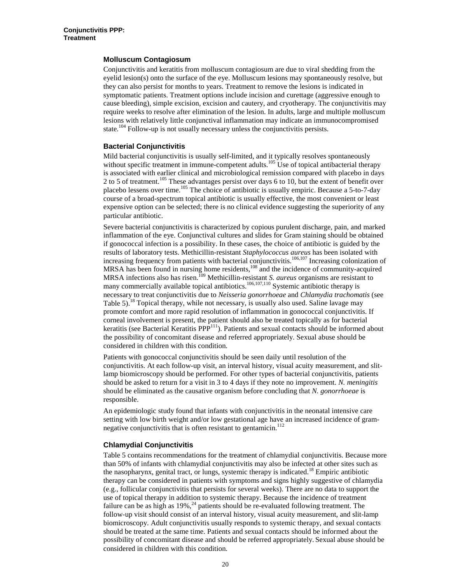#### **Molluscum Contagiosum**

Conjunctivitis and keratitis from molluscum contagiosum are due to viral shedding from the eyelid lesion(s) onto the surface of the eye. Molluscum lesions may spontaneously resolve, but they can also persist for months to years. Treatment to remove the lesions is indicated in symptomatic patients. Treatment options include incision and curettage (aggressive enough to cause bleeding), simple excision, excision and cautery, and cryotherapy. The conjunctivitis may require weeks to resolve after elimination of the lesion. In adults, large and multiple molluscum lesions with relatively little conjunctival inflammation may indicate an immunocompromised state.<sup>[104](#page-49-19)</sup> Follow-up is not usually necessary unless the conjunctivitis persists.

#### **Bacterial Conjunctivitis**

Mild bacterial conjunctivitis is usually self-limited, and it typically resolves spontaneously without specific treatment in immune-competent adults.<sup>[105](#page-49-20)</sup> Use of topical antibacterial therapy is associated with earlier clinical and microbiological remission compared with placebo in days 2 to 5 of treatment.<sup>[105](#page-49-20)</sup> These advantages persist over days 6 to 10, but the extent of benefit over placebo lessens over time.[105](#page-49-20) The choice of antibiotic is usually empiric. Because a 5-to-7-day course of a broad-spectrum topical antibiotic is usually effective, the most convenient or least expensive option can be selected; there is no clinical evidence suggesting the superiority of any particular antibiotic.

Severe bacterial conjunctivitis is characterized by copious purulent discharge, pain, and marked inflammation of the eye. Conjunctival cultures and slides for Gram staining should be obtained if gonococcal infection is a possibility. In these cases, the choice of antibiotic is guided by the results of laboratory tests. Methicillin-resistant *Staphylococcus aureus* has been isolated with increasing frequency from patients with bacterial conjunctivitis.<sup>[106,](#page-49-21)[107](#page-49-22)</sup> Increasing colonization of MRSA has been found in nursing home residents,<sup>[108](#page-49-23)</sup> and the incidence of community-acquired MRSA infections also has risen.[109](#page-49-24) Methicillin-resistant *S. aureus* organisms are resistant to many commercially available topical antibiotics.<sup>[106,](#page-49-21)[107,](#page-49-22)[110](#page-50-0)</sup> Systemic antibiotic therapy is necessary to treat conjunctivitis due to *Neisseria gonorrhoeae* and *Chlamydia trachomatis* (see Table 5).<sup>[18](#page-46-5)</sup> Topical therapy, while not necessary, is usually also used. Saline lavage may promote comfort and more rapid resolution of inflammation in gonococcal conjunctivitis. If corneal involvement is present, the patient should also be treated topically as for bacterial keratitis (see Bacterial Keratitis  $PPP<sup>111</sup>$ ). Patients and sexual contacts should be informed about the possibility of concomitant disease and referred appropriately. Sexual abuse should be considered in children with this condition.

Patients with gonococcal conjunctivitis should be seen daily until resolution of the conjunctivitis. At each follow-up visit, an interval history, visual acuity measurement, and slitlamp biomicroscopy should be performed. For other types of bacterial conjunctivitis, patients should be asked to return for a visit in 3 to 4 days if they note no improvement. *N. meningitis* should be eliminated as the causative organism before concluding that *N. gonorrhoeae* is responsible.

An epidemiologic study found that infants with conjunctivitis in the neonatal intensive care setting with low birth weight and/or low gestational age have an increased incidence of gramnegative conjunctivitis that is often resistant to gentamicin. $112$ 

#### **Chlamydial Conjunctivitis**

Table 5 contains recommendations for the treatment of chlamydial conjunctivitis. Because more than 50% of infants with chlamydial conjunctivitis may also be infected at other sites such as the nasopharynx, genital tract, or lungs, systemic therapy is indicated.<sup>[18](#page-46-5)</sup> Empiric antibiotic therapy can be considered in patients with symptoms and signs highly suggestive of chlamydia (e.g., follicular conjunctivitis that persists for several weeks). There are no data to support the use of topical therapy in addition to systemic therapy. Because the incidence of treatment failure can be as high as  $19\%$ ,  $^{24}$  $^{24}$  $^{24}$  patients should be re-evaluated following treatment. The follow-up visit should consist of an interval history, visual acuity measurement, and slit-lamp biomicroscopy. Adult conjunctivitis usually responds to systemic therapy, and sexual contacts should be treated at the same time. Patients and sexual contacts should be informed about the possibility of concomitant disease and should be referred appropriately. Sexual abuse should be considered in children with this condition.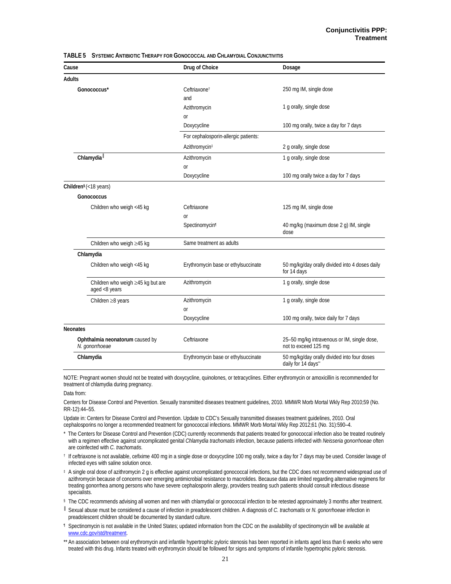| Cause           |                                                    | Drug of Choice                       | Dosage                                                              |
|-----------------|----------------------------------------------------|--------------------------------------|---------------------------------------------------------------------|
| <b>Adults</b>   |                                                    |                                      |                                                                     |
|                 | Gonococcus*                                        | Ceftriaxone <sup>t</sup>             | 250 mg IM, single dose                                              |
|                 |                                                    | and                                  |                                                                     |
|                 |                                                    | Azithromycin                         | 1 g orally, single dose                                             |
|                 |                                                    | <b>or</b>                            |                                                                     |
|                 |                                                    | Doxycycline                          | 100 mg orally, twice a day for 7 days                               |
|                 |                                                    | For cephalosporin-allergic patients: |                                                                     |
|                 |                                                    | Azithromycin <sup>#</sup>            | 2 g orally, single dose                                             |
|                 | Chlamydia                                          | Azithromycin                         | 1 g orally, single dose                                             |
|                 |                                                    | <b>or</b>                            |                                                                     |
|                 |                                                    | Doxycycline                          | 100 mg orally twice a day for 7 days                                |
|                 | Children <sup>§</sup> (<18 years)                  |                                      |                                                                     |
|                 | Gonococcus                                         |                                      |                                                                     |
|                 | Children who weigh <45 kg                          | Ceftriaxone                          | 125 mg IM, single dose                                              |
|                 |                                                    | <sub>or</sub>                        |                                                                     |
|                 |                                                    | Spectinomycin <sup>1</sup>           | 40 mg/kg (maximum dose 2 g) IM, single<br>dose                      |
|                 | Children who weigh ≥45 kg                          | Same treatment as adults             |                                                                     |
|                 | Chlamydia                                          |                                      |                                                                     |
|                 | Children who weigh <45 kg                          | Erythromycin base or ethylsuccinate  | 50 mg/kg/day orally divided into 4 doses daily<br>for 14 days       |
|                 | Children who weigh ≥45 kg but are<br>aged <8 years | Azithromycin                         | 1 g orally, single dose                                             |
|                 | Children $\geq$ 8 years                            | Azithromycin                         | 1 g orally, single dose                                             |
|                 |                                                    | <b>or</b>                            |                                                                     |
|                 |                                                    | Doxycycline                          | 100 mg orally, twice daily for 7 days                               |
| <b>Neonates</b> |                                                    |                                      |                                                                     |
|                 | Ophthalmia neonatorum caused by<br>N. gonorrhoeae  | Ceftriaxone                          | 25-50 mg/kg intravenous or IM, single dose,<br>not to exceed 125 mg |
|                 | Chlamydia                                          | Erythromycin base or ethylsuccinate  | 50 mg/kg/day orally divided into four doses<br>daily for 14 days"   |

**TABLE 5 SYSTEMIC ANTIBIOTIC THERAPY FOR GONOCOCCAL AND CHLAMYDIAL CONJUNCTIVITIS**

NOTE: Pregnant women should not be treated with doxycycline, quinolones, or tetracyclines. Either erythromycin or amoxicillin is recommended for treatment of chlamydia during pregnancy.

Data from:

Centers for Disease Control and Prevention. Sexually transmitted diseases treatment guidelines, 2010. MMWR Morb Mortal Wkly Rep 2010;59 (No. RR-12):44–55.

Update in: Centers for Disease Control and Prevention. Update to CDC's Sexually transmitted diseases treatment guidelines, 2010. Oral cephalosporins no longer a recommended treatment for gonococcal infections. MMWR Morb Mortal Wkly Rep 2012;61 (No. 31):590–4.

- The Centers for Disease Control and Prevention (CDC) currently recommends that patients treated for gonococcal infection also be treated routinely with a regimen effective against uncomplicated genital *Chlamydia trachomatis* infection, because patients infected with *Neisseria gonorrhoeae* often are coinfected with *C. trachomatis*.
- † If ceftriaxone is not available, cefixime 400 mg in a single dose or doxycycline 100 mg orally, twice a day for 7 days may be used. Consider lavage of infected eyes with saline solution once.
- ‡ A single oral dose of azithromycin 2 g is effective against uncomplicated gonococcal infections, but the CDC does not recommend widespread use of azithromycin because of concerns over emerging antimicrobial resistance to macrolides. Because data are limited regarding alternative regimens for treating gonorrhea among persons who have severe cephalosporin allergy, providers treating such patients should consult infectious disease specialists.
- § The CDC recommends advising all women and men with chlamydial or gonococcal infection to be retested approximately 3 months after treatment.
- ║ Sexual abuse must be considered a cause of infection in preadolescent children. A diagnosis of *C. trachomatis* or *N. gonorrhoeae* infection in preadolescent children should be documented by standard culture.
- ¶ Spectinomycin is not available in the United States; updated information from the CDC on the availability of spectinomycin will be available at [www.cdc.gov/std/treatment.](http://www.cdc.gov/std/treatment)

<sup>\*\*</sup> An association between oral erythromycin and infantile hypertrophic pyloric stenosis has been reported in infants aged less than 6 weeks who were treated with this drug. Infants treated with erythromycin should be followed for signs and symptoms of infantile hypertrophic pyloric stenosis.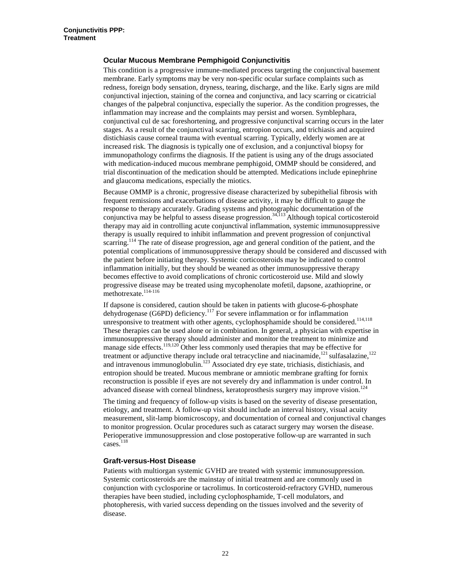#### **Ocular Mucous Membrane Pemphigoid Conjunctivitis**

This condition is a progressive immune-mediated process targeting the conjunctival basement membrane. Early symptoms may be very non-specific ocular surface complaints such as redness, foreign body sensation, dryness, tearing, discharge, and the like. Early signs are mild conjunctival injection, staining of the cornea and conjunctiva, and lacy scarring or cicatricial changes of the palpebral conjunctiva, especially the superior. As the condition progresses, the inflammation may increase and the complaints may persist and worsen. Symblephara, conjunctival cul de sac foreshortening, and progressive conjunctival scarring occurs in the later stages. As a result of the conjunctival scarring, entropion occurs, and trichiasis and acquired distichiasis cause corneal trauma with eventual scarring. Typically, elderly women are at increased risk. The diagnosis is typically one of exclusion, and a conjunctival biopsy for immunopathology confirms the diagnosis. If the patient is using any of the drugs associated with medication-induced mucous membrane pemphigoid, OMMP should be considered, and trial discontinuation of the medication should be attempted. Medications include epinephrine and glaucoma medications, especially the miotics.

Because OMMP is a chronic, progressive disease characterized by subepithelial fibrosis with frequent remissions and exacerbations of disease activity, it may be difficult to gauge the response to therapy accurately. Grading systems and photographic documentation of the conjunctiva may be helpful to assess disease progression.<sup>[34,](#page-46-19)[113](#page-50-3)</sup> Although topical corticosteroid therapy may aid in controlling acute conjunctival inflammation, systemic immunosuppressive therapy is usually required to inhibit inflammation and prevent progression of conjunctival scarring.<sup>[114](#page-50-4)</sup> The rate of disease progression, age and general condition of the patient, and the potential complications of immunosuppressive therapy should be considered and discussed with the patient before initiating therapy. Systemic corticosteroids may be indicated to control inflammation initially, but they should be weaned as other immunosuppressive therapy becomes effective to avoid complications of chronic corticosteroid use. Mild and slowly progressive disease may be treated using mycophenolate mofetil, dapsone, azathioprine, or methotrexate.<sup>[114-116](#page-50-4)</sup>

If dapsone is considered, caution should be taken in patients with glucose-6-phosphate dehydrogenase (G6PD) deficiency.<sup>[117](#page-50-5)</sup> For severe inflammation or for inflammation unresponsive to treatment with other agents, cyclophosphamide should be considered.<sup>[114,](#page-50-4)[118](#page-50-6)</sup> These therapies can be used alone or in combination. In general, a physician with expertise in immunosuppressive therapy should administer and monitor the treatment to minimize and manage side effects.<sup>[119,](#page-50-7)[120](#page-50-8)</sup> Other less commonly used therapies that may be effective for treatment or adjunctive therapy include oral tetracycline and niacinamide,<sup>[121](#page-50-9)</sup> sulfasalazine,<sup>[122](#page-50-10)</sup> and intravenous immunoglobulin.<sup>[123](#page-50-11)</sup> Associated dry eye state, trichiasis, distichiasis, and entropion should be treated. Mucous membrane or amniotic membrane grafting for fornix reconstruction is possible if eyes are not severely dry and inflammation is under control. In advanced disease with corneal blindness, keratoprosthesis surgery may improve vision.<sup>[124](#page-50-12)</sup>

The timing and frequency of follow-up visits is based on the severity of disease presentation, etiology, and treatment. A follow-up visit should include an interval history, visual acuity measurement, slit-lamp biomicroscopy, and documentation of corneal and conjunctival changes to monitor progression. Ocular procedures such as cataract surgery may worsen the disease. Perioperative immunosuppression and close postoperative follow-up are warranted in such cases.<sup>[118](#page-50-6)</sup>

#### **Graft-versus-Host Disease**

Patients with multiorgan systemic GVHD are treated with systemic immunosuppression. Systemic corticosteroids are the mainstay of initial treatment and are commonly used in conjunction with cyclosporine or tacrolimus. In corticosteroid-refractory GVHD, numerous therapies have been studied, including cyclophosphamide, T-cell modulators, and photopheresis, with varied success depending on the tissues involved and the severity of disease.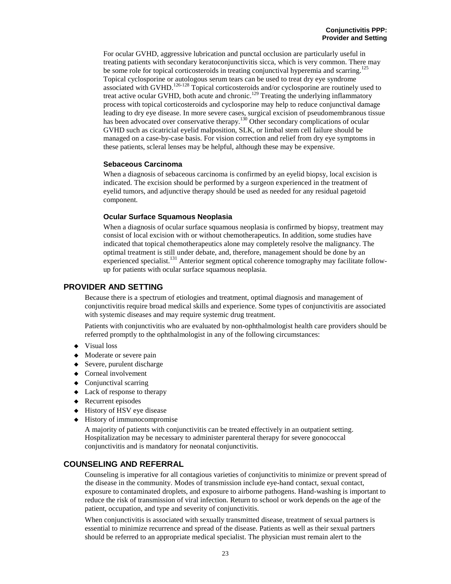For ocular GVHD, aggressive lubrication and punctal occlusion are particularly useful in treating patients with secondary keratoconjunctivitis sicca, which is very common. There may be some role for topical corticosteroids in treating conjunctival hyperemia and scarring.<sup>[125](#page-50-13)</sup> Topical cyclosporine or autologous serum tears can be used to treat dry eye syndrome associated with GVHD.<sup>[126-128](#page-50-14)</sup> Topical corticosteroids and/or cyclosporine are routinely used to treat active ocular GVHD, both acute and chronic.<sup>[129](#page-50-15)</sup> Treating the underlying inflammatory process with topical corticosteroids and cyclosporine may help to reduce conjunctival damage leading to dry eye disease. In more severe cases, surgical excision of pseudomembranous tissue has been advocated over conservative therapy.<sup>[130](#page-50-16)</sup> Other secondary complications of ocular GVHD such as cicatricial eyelid malposition, SLK, or limbal stem cell failure should be managed on a case-by-case basis. For vision correction and relief from dry eye symptoms in these patients, scleral lenses may be helpful, although these may be expensive.

#### **Sebaceous Carcinoma**

When a diagnosis of sebaceous carcinoma is confirmed by an eyelid biopsy, local excision is indicated. The excision should be performed by a surgeon experienced in the treatment of eyelid tumors, and adjunctive therapy should be used as needed for any residual pagetoid component.

#### **Ocular Surface Squamous Neoplasia**

When a diagnosis of ocular surface squamous neoplasia is confirmed by biopsy, treatment may consist of local excision with or without chemotherapeutics. In addition, some studies have indicated that topical chemotherapeutics alone may completely resolve the malignancy. The optimal treatment is still under debate, and, therefore, management should be done by an experienced specialist.<sup>[131](#page-50-17)</sup> Anterior segment optical coherence tomography may facilitate followup for patients with ocular surface squamous neoplasia.

#### **PROVIDER AND SETTING**

Because there is a spectrum of etiologies and treatment, optimal diagnosis and management of conjunctivitis require broad medical skills and experience. Some types of conjunctivitis are associated with systemic diseases and may require systemic drug treatment.

Patients with conjunctivitis who are evaluated by non-ophthalmologist health care providers should be referred promptly to the ophthalmologist in any of the following circumstances:

- ◆ Visual loss
- Moderate or severe pain
- $\triangle$  Severe, purulent discharge
- Corneal involvement
- $\triangle$  Conjunctival scarring
- $\triangleleft$  Lack of response to therapy
- ◆ Recurrent episodes
- $\triangle$  History of HSV eye disease
- $\triangleleft$  History of immunocompromise

A majority of patients with conjunctivitis can be treated effectively in an outpatient setting. Hospitalization may be necessary to administer parenteral therapy for severe gonococcal conjunctivitis and is mandatory for neonatal conjunctivitis.

#### **COUNSELING AND REFERRAL**

Counseling is imperative for all contagious varieties of conjunctivitis to minimize or prevent spread of the disease in the community. Modes of transmission include eye-hand contact, sexual contact, exposure to contaminated droplets, and exposure to airborne pathogens. Hand-washing is important to reduce the risk of transmission of viral infection. Return to school or work depends on the age of the patient, occupation, and type and severity of conjunctivitis.

When conjunctivitis is associated with sexually transmitted disease, treatment of sexual partners is essential to minimize recurrence and spread of the disease. Patients as well as their sexual partners should be referred to an appropriate medical specialist. The physician must remain alert to the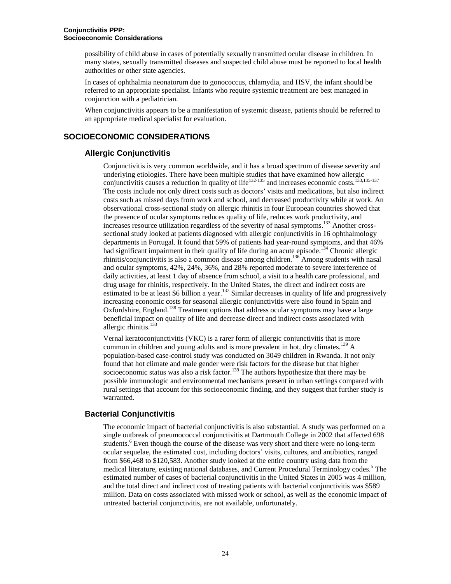possibility of child abuse in cases of potentially sexually transmitted ocular disease in children. In many states, sexually transmitted diseases and suspected child abuse must be reported to local health authorities or other state agencies.

In cases of ophthalmia neonatorum due to gonococcus, chlamydia, and HSV, the infant should be referred to an appropriate specialist. Infants who require systemic treatment are best managed in conjunction with a pediatrician.

When conjunctivitis appears to be a manifestation of systemic disease, patients should be referred to an appropriate medical specialist for evaluation.

### **SOCIOECONOMIC CONSIDERATIONS**

### **Allergic Conjunctivitis**

Conjunctivitis is very common worldwide, and it has a broad spectrum of disease severity and underlying etiologies. There have been multiple studies that have examined how allergic conjunctivitis causes a reduction in quality of life<sup>[132-135](#page-50-18)</sup> and increases economic costs.<sup>[133,](#page-50-19)[135-137](#page-51-0)</sup> The costs include not only direct costs such as doctors' visits and medications, but also indirect costs such as missed days from work and school, and decreased productivity while at work. An observational cross-sectional study on allergic rhinitis in four European countries showed that the presence of ocular symptoms reduces quality of life, reduces work productivity, and increases resource utilization regardless of the severity of nasal symptoms.<sup>[133](#page-50-19)</sup> Another crosssectional study looked at patients diagnosed with allergic conjunctivitis in 16 ophthalmology departments in Portugal. It found that 59% of patients had year-round symptoms, and that 46% had significant impairment in their quality of life during an acute episode.<sup>[134](#page-51-1)</sup> Chronic allergic rhinitis/conjunctivitis is also a common disease among children.[136](#page-51-2) Among students with nasal and ocular symptoms, 42%, 24%, 36%, and 28% reported moderate to severe interference of daily activities, at least 1 day of absence from school, a visit to a health care professional, and drug usage for rhinitis, respectively. In the United States, the direct and indirect costs are estimated to be at least \$6 billion a year.<sup>[137](#page-51-3)</sup> Similar decreases in quality of life and progressively increasing economic costs for seasonal allergic conjunctivitis were also found in Spain and Oxfordshire, England.<sup>[138](#page-51-4)</sup> Treatment options that address ocular symptoms may have a large beneficial impact on quality of life and decrease direct and indirect costs associated with allergic rhinitis. $133$ 

Vernal keratoconjunctivitis (VKC) is a rarer form of allergic conjunctivitis that is more common in children and young adults and is more prevalent in hot, dry climates.<sup>[139](#page-51-5)</sup> A population-based case-control study was conducted on 3049 children in Rwanda. It not only found that hot climate and male gender were risk factors for the disease but that higher socioeconomic status was also a risk factor.<sup>[139](#page-51-5)</sup> The authors hypothesize that there may be possible immunologic and environmental mechanisms present in urban settings compared with rural settings that account for this socioeconomic finding, and they suggest that further study is warranted.

### **Bacterial Conjunctivitis**

The economic impact of bacterial conjunctivitis is also substantial. A study was performed on a single outbreak of pneumococcal conjunctivitis at Dartmouth College in 2002 that affected 698 student[s.](#page-45-5)<sup>6</sup> Even though the course of the disease was very short and there were no long-term ocular sequelae, the estimated cost, including doctors' visits, cultures, and antibiotics, ranged from \$66,468 to \$120,583. Another study looked at the entire country using data from the medical literature, existing national databases, and Current Procedural Terminology code[s.](#page-45-4)<sup>5</sup> The estimated number of cases of bacterial conjunctivitis in the United States in 2005 was 4 million, and the total direct and indirect cost of treating patients with bacterial conjunctivitis was \$589 million. Data on costs associated with missed work or school, as well as the economic impact of untreated bacterial conjunctivitis, are not available, unfortunately.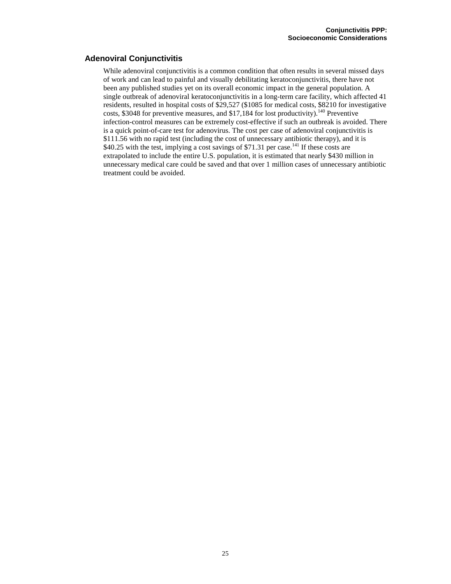### **Adenoviral Conjunctivitis**

While adenoviral conjunctivitis is a common condition that often results in several missed days of work and can lead to painful and visually debilitating keratoconjunctivitis, there have not been any published studies yet on its overall economic impact in the general population. A single outbreak of adenoviral keratoconjunctivitis in a long-term care facility, which affected 41 residents, resulted in hospital costs of \$29,527 (\$1085 for medical costs, \$8210 for investigative costs, \$3048 for preventive measures, and \$17,184 for lost productivity).<sup>[140](#page-51-6)</sup> Preventive infection-control measures can be extremely cost-effective if such an outbreak is avoided. There is a quick point-of-care test for adenovirus. The cost per case of adenoviral conjunctivitis is \$111.56 with no rapid test (including the cost of unnecessary antibiotic therapy), and it is  $$40.25$  with the test, implying a cost savings of \$71.31 per case.<sup>[141](#page-51-7)</sup> If these costs are extrapolated to include the entire U.S. population, it is estimated that nearly \$430 million in unnecessary medical care could be saved and that over 1 million cases of unnecessary antibiotic treatment could be avoided.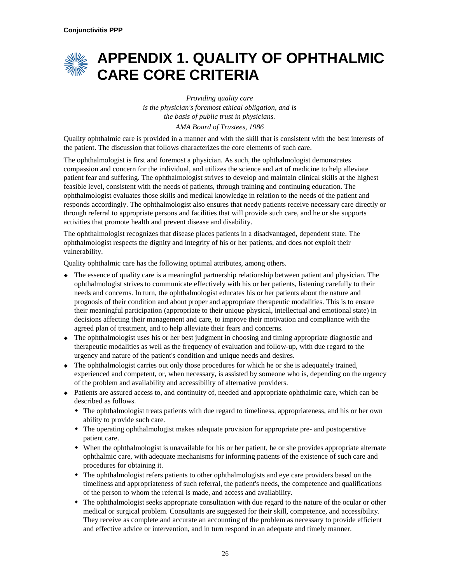

*Providing quality care is the physician's foremost ethical obligation, and is the basis of public trust in physicians. AMA Board of Trustees, 1986*

Quality ophthalmic care is provided in a manner and with the skill that is consistent with the best interests of the patient. The discussion that follows characterizes the core elements of such care.

The ophthalmologist is first and foremost a physician. As such, the ophthalmologist demonstrates compassion and concern for the individual, and utilizes the science and art of medicine to help alleviate patient fear and suffering. The ophthalmologist strives to develop and maintain clinical skills at the highest feasible level, consistent with the needs of patients, through training and continuing education. The ophthalmologist evaluates those skills and medical knowledge in relation to the needs of the patient and responds accordingly. The ophthalmologist also ensures that needy patients receive necessary care directly or through referral to appropriate persons and facilities that will provide such care, and he or she supports activities that promote health and prevent disease and disability.

The ophthalmologist recognizes that disease places patients in a disadvantaged, dependent state. The ophthalmologist respects the dignity and integrity of his or her patients, and does not exploit their vulnerability.

Quality ophthalmic care has the following optimal attributes, among others.

- The essence of quality care is a meaningful partnership relationship between patient and physician. The ophthalmologist strives to communicate effectively with his or her patients, listening carefully to their needs and concerns. In turn, the ophthalmologist educates his or her patients about the nature and prognosis of their condition and about proper and appropriate therapeutic modalities. This is to ensure their meaningful participation (appropriate to their unique physical, intellectual and emotional state) in decisions affecting their management and care, to improve their motivation and compliance with the agreed plan of treatment, and to help alleviate their fears and concerns.
- The ophthalmologist uses his or her best judgment in choosing and timing appropriate diagnostic and therapeutic modalities as well as the frequency of evaluation and follow-up, with due regard to the urgency and nature of the patient's condition and unique needs and desires.
- The ophthalmologist carries out only those procedures for which he or she is adequately trained, experienced and competent, or, when necessary, is assisted by someone who is, depending on the urgency of the problem and availability and accessibility of alternative providers.
- Patients are assured access to, and continuity of, needed and appropriate ophthalmic care, which can be described as follows.
	- The ophthalmologist treats patients with due regard to timeliness, appropriateness, and his or her own ability to provide such care.
	- The operating ophthalmologist makes adequate provision for appropriate pre- and postoperative patient care.
	- When the ophthalmologist is unavailable for his or her patient, he or she provides appropriate alternate ophthalmic care, with adequate mechanisms for informing patients of the existence of such care and procedures for obtaining it.
	- The ophthalmologist refers patients to other ophthalmologists and eye care providers based on the timeliness and appropriateness of such referral, the patient's needs, the competence and qualifications of the person to whom the referral is made, and access and availability.
	- The ophthalmologist seeks appropriate consultation with due regard to the nature of the ocular or other medical or surgical problem. Consultants are suggested for their skill, competence, and accessibility. They receive as complete and accurate an accounting of the problem as necessary to provide efficient and effective advice or intervention, and in turn respond in an adequate and timely manner.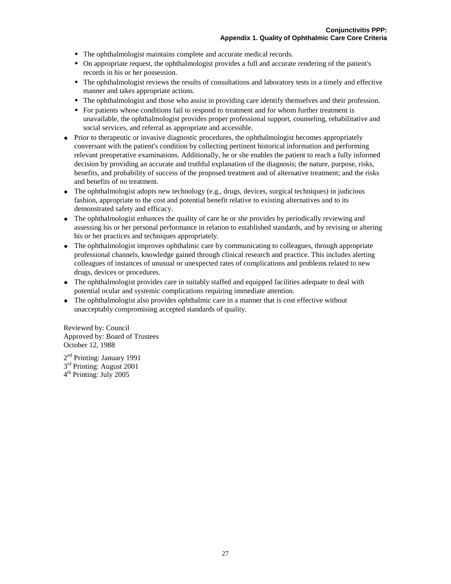- The ophthalmologist maintains complete and accurate medical records.
- On appropriate request, the ophthalmologist provides a full and accurate rendering of the patient's records in his or her possession.
- The ophthalmologist reviews the results of consultations and laboratory tests in a timely and effective manner and takes appropriate actions.
- The ophthalmologist and those who assist in providing care identify themselves and their profession.
- For patients whose conditions fail to respond to treatment and for whom further treatment is unavailable, the ophthalmologist provides proper professional support, counseling, rehabilitative and social services, and referral as appropriate and accessible.
- Prior to therapeutic or invasive diagnostic procedures, the ophthalmologist becomes appropriately conversant with the patient's condition by collecting pertinent historical information and performing relevant preoperative examinations. Additionally, he or she enables the patient to reach a fully informed decision by providing an accurate and truthful explanation of the diagnosis; the nature, purpose, risks, benefits, and probability of success of the proposed treatment and of alternative treatment; and the risks and benefits of no treatment.
- The ophthalmologist adopts new technology (e.g., drugs, devices, surgical techniques) in judicious fashion, appropriate to the cost and potential benefit relative to existing alternatives and to its demonstrated safety and efficacy.
- The ophthalmologist enhances the quality of care he or she provides by periodically reviewing and assessing his or her personal performance in relation to established standards, and by revising or altering his or her practices and techniques appropriately.
- The ophthalmologist improves ophthalmic care by communicating to colleagues, through appropriate professional channels, knowledge gained through clinical research and practice. This includes alerting colleagues of instances of unusual or unexpected rates of complications and problems related to new drugs, devices or procedures.
- The ophthalmologist provides care in suitably staffed and equipped facilities adequate to deal with potential ocular and systemic complications requiring immediate attention.
- The ophthalmologist also provides ophthalmic care in a manner that is cost effective without unacceptably compromising accepted standards of quality.

Reviewed by: Council Approved by: Board of Trustees October 12, 1988

2nd Printing: January 1991 3<sup>rd</sup> Printing: August 2001 4th Printing: July 2005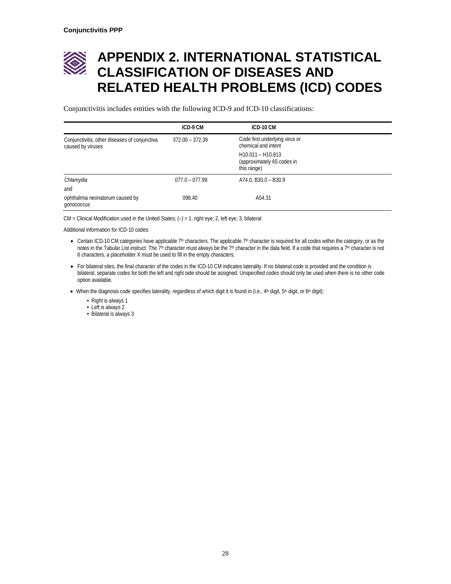

# **APPENDIX 2. INTERNATIONAL STATISTICAL CLASSIFICATION OF DISEASES AND RELATED HEALTH PROBLEMS (ICD) CODES**

Conjunctivitis includes entities with the following ICD-9 and ICD-10 classifications:

|                                                                    | ICD-9 CM          | ICD-10 CM                                                        |  |
|--------------------------------------------------------------------|-------------------|------------------------------------------------------------------|--|
| Conjunctivitis, other diseases of conjunctiva<br>caused by viruses | $372.00 - 372.39$ | Code first underlying virus or<br>chemical and intent            |  |
|                                                                    |                   | $H10.011 - H10.813$<br>(approximately 65 codes in<br>this range) |  |
| Chlamydia                                                          | $077.0 - 077.99$  | A74.0, B30.0 - B30.9                                             |  |
| and                                                                |                   |                                                                  |  |
| ophthalmia neonatorum caused by<br>gonococcus                      | 098.40            | A54.31                                                           |  |

CM = Clinical Modification used in the United States; (–) = 1, right eye; 2, left eye; 3, bilateral

Additional information for ICD-10 codes:

- Certain ICD-10 CM categories have applicable  $7<sup>th</sup>$  characters. The applicable  $7<sup>th</sup>$  character is required for all codes within the category, or as the notes in the Tabular List instruct. The 7<sup>th</sup> character must always be the 7<sup>th</sup> character in the data field. If a code that requires a 7<sup>th</sup> character is not 6 characters, a placeholder X must be used to fill in the empty characters.
- For bilateral sites, the final character of the codes in the ICD-10 CM indicates laterality. If no bilateral code is provided and the condition is bilateral, separate codes for both the left and right side should be assigned. Unspecified codes should only be used when there is no other code option available.
- When the diagnosis code specifies laterality, regardless of which digit it is found in (i.e., 4<sup>th</sup> digit, 5<sup>th</sup> digit, or 6<sup>th</sup> digit):
	- Right is always 1
	- Left is always 2
	- Bilateral is always 3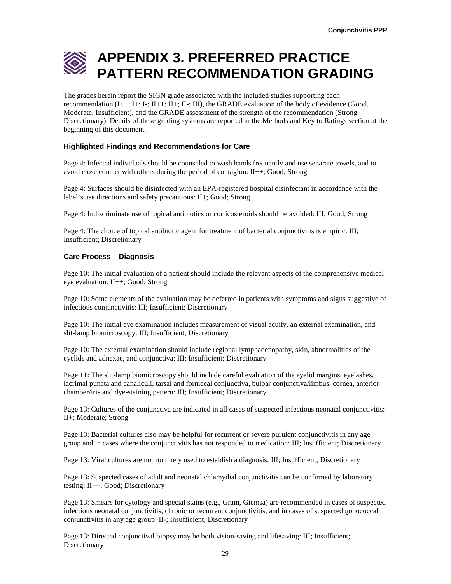# **APPENDIX 3. PREFERRED PRACTICE PATTERN RECOMMENDATION GRADING**

The grades herein report the SIGN grade associated with the included studies supporting each recommendation  $(I++; I+, I-, II++; II+, II-; III)$ , the GRADE evaluation of the body of evidence (Good, Moderate, Insufficient), and the GRADE assessment of the strength of the recommendation (Strong, Discretionary). Details of these grading systems are reported in the Methods and Key to Ratings section at the beginning of this document.

### **Highlighted Findings and Recommendations for Care**

Page 4: Infected individuals should be counseled to wash hands frequently and use separate towels, and to avoid close contact with others during the period of contagion: II++; Good; Strong

Page 4: Surfaces should be disinfected with an EPA-registered hospital disinfectant in accordance with the label's use directions and safety precautions: II+; Good; Strong

Page 4: Indiscriminate use of topical antibiotics or corticosteroids should be avoided: III; Good; Strong

Page 4: The choice of topical antibiotic agent for treatment of bacterial conjunctivitis is empiric: III; Insufficient; Discretionary

#### **Care Process – Diagnosis**

Page 10: The initial evaluation of a patient should include the relevant aspects of the comprehensive medical eye evaluation: II++; Good; Strong

Page 10: Some elements of the evaluation may be deferred in patients with symptoms and signs suggestive of infectious conjunctivitis: III; Insufficient; Discretionary

Page 10: The initial eye examination includes measurement of visual acuity, an external examination, and slit-lamp biomicroscopy: III; Insufficient; Discretionary

Page 10: The external examination should include regional lymphadenopathy, skin, abnormalities of the eyelids and adnexae, and conjunctiva: III; Insufficient; Discretionary

Page 11: The slit-lamp biomicroscopy should include careful evaluation of the eyelid margins, eyelashes, lacrimal puncta and canaliculi, tarsal and forniceal conjunctiva, bulbar conjunctiva/limbus, cornea, anterior chamber/iris and dye-staining pattern: III; Insufficient; Discretionary

Page 13: Cultures of the conjunctiva are indicated in all cases of suspected infectious neonatal conjunctivitis: II+; Moderate; Strong

Page 13: Bacterial cultures also may be helpful for recurrent or severe purulent conjunctivitis in any age group and in cases where the conjunctivitis has not responded to medication: III; Insufficient; Discretionary

Page 13: Viral cultures are not routinely used to establish a diagnosis: III; Insufficient; Discretionary

Page 13: Suspected cases of adult and neonatal chlamydial conjunctivitis can be confirmed by laboratory testing: II++; Good; Discretionary

Page 13: Smears for cytology and special stains (e.g., Gram, Giemsa) are recommended in cases of suspected infectious neonatal conjunctivitis, chronic or recurrent conjunctivitis, and in cases of suspected gonococcal conjunctivitis in any age group: II-; Insufficient; Discretionary

Page 13: Directed conjunctival biopsy may be both vision-saving and lifesaving: III; Insufficient; Discretionary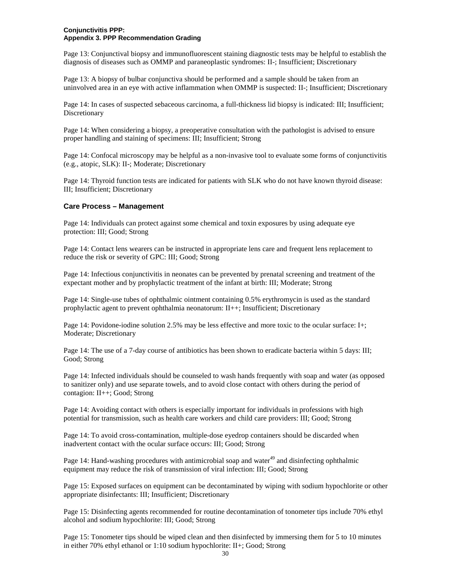#### **Conjunctivitis PPP: Appendix 3. PPP Recommendation Grading**

Page 13: Conjunctival biopsy and immunofluorescent staining diagnostic tests may be helpful to establish the diagnosis of diseases such as OMMP and paraneoplastic syndromes: II-; Insufficient; Discretionary

Page 13: A biopsy of bulbar conjunctiva should be performed and a sample should be taken from an uninvolved area in an eye with active inflammation when OMMP is suspected: II-; Insufficient; Discretionary

Page 14: In cases of suspected sebaceous carcinoma, a full-thickness lid biopsy is indicated: III; Insufficient; Discretionary

Page 14: When considering a biopsy, a preoperative consultation with the pathologist is advised to ensure proper handling and staining of specimens: III; Insufficient; Strong

Page 14: Confocal microscopy may be helpful as a non-invasive tool to evaluate some forms of conjunctivitis (e.g., atopic, SLK): II-; Moderate; Discretionary

Page 14: Thyroid function tests are indicated for patients with SLK who do not have known thyroid disease: III; Insufficient; Discretionary

#### **Care Process – Management**

Page 14: Individuals can protect against some chemical and toxin exposures by using adequate eye protection: III; Good; Strong

Page 14: Contact lens wearers can be instructed in appropriate lens care and frequent lens replacement to reduce the risk or severity of GPC: III; Good; Strong

Page 14: Infectious conjunctivitis in neonates can be prevented by prenatal screening and treatment of the expectant mother and by prophylactic treatment of the infant at birth: III; Moderate; Strong

Page 14: Single-use tubes of ophthalmic ointment containing 0.5% erythromycin is used as the standard prophylactic agent to prevent ophthalmia neonatorum: II++; Insufficient; Discretionary

Page 14: Povidone-iodine solution 2.5% may be less effective and more toxic to the ocular surface: I+; Moderate; Discretionary

Page 14: The use of a 7-day course of antibiotics has been shown to eradicate bacteria within 5 days: III; Good; Strong

Page 14: Infected individuals should be counseled to wash hands frequently with soap and water (as opposed to sanitizer only) and use separate towels, and to avoid close contact with others during the period of contagion: II++; Good; Strong

Page 14: Avoiding contact with others is especially important for individuals in professions with high potential for transmission, such as health care workers and child care providers: III; Good; Strong

Page 14: To avoid cross-contamination, multiple-dose eyedrop containers should be discarded when inadvertent contact with the ocular surface occurs: III; Good; Strong

Page 14: Hand-washing procedures with antimicrobial soap and water<sup>[49](#page-47-10)</sup> and disinfecting ophthalmic equipment may reduce the risk of transmission of viral infection: III; Good; Strong

Page 15: Exposed surfaces on equipment can be decontaminated by wiping with sodium hypochlorite or other appropriate disinfectants: III; Insufficient; Discretionary

Page 15: Disinfecting agents recommended for routine decontamination of tonometer tips include 70% ethyl alcohol and sodium hypochlorite: III; Good; Strong

Page 15: Tonometer tips should be wiped clean and then disinfected by immersing them for 5 to 10 minutes in either 70% ethyl ethanol or 1:10 sodium hypochlorite: II+; Good; Strong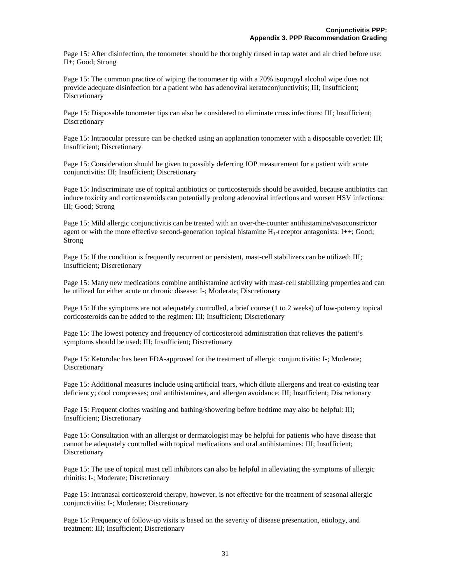Page 15: After disinfection, the tonometer should be thoroughly rinsed in tap water and air dried before use: II+; Good; Strong

Page 15: The common practice of wiping the tonometer tip with a 70% isopropyl alcohol wipe does not provide adequate disinfection for a patient who has adenoviral keratoconjunctivitis; III; Insufficient; Discretionary

Page 15: Disposable tonometer tips can also be considered to eliminate cross infections: III; Insufficient; Discretionary

Page 15: Intraocular pressure can be checked using an applanation tonometer with a disposable coverlet: III; Insufficient; Discretionary

Page 15: Consideration should be given to possibly deferring IOP measurement for a patient with acute conjunctivitis: III; Insufficient; Discretionary

Page 15: Indiscriminate use of topical antibiotics or corticosteroids should be avoided, because antibiotics can induce toxicity and corticosteroids can potentially prolong adenoviral infections and worsen HSV infections: III; Good; Strong

Page 15: Mild allergic conjunctivitis can be treated with an over-the-counter antihistamine/vasoconstrictor agent or with the more effective second-generation topical histamine  $H_1$ -receptor antagonists: I++; Good; Strong

Page 15: If the condition is frequently recurrent or persistent, mast-cell stabilizers can be utilized: III; Insufficient; Discretionary

Page 15: Many new medications combine antihistamine activity with mast-cell stabilizing properties and can be utilized for either acute or chronic disease: I-; Moderate; Discretionary

Page 15: If the symptoms are not adequately controlled, a brief course (1 to 2 weeks) of low-potency topical corticosteroids can be added to the regimen: III; Insufficient; Discretionary

Page 15: The lowest potency and frequency of corticosteroid administration that relieves the patient's symptoms should be used: III; Insufficient; Discretionary

Page 15: Ketorolac has been FDA-approved for the treatment of allergic conjunctivitis: I-; Moderate; Discretionary

Page 15: Additional measures include using artificial tears, which dilute allergens and treat co-existing tear deficiency; cool compresses; oral antihistamines, and allergen avoidance: III; Insufficient; Discretionary

Page 15: Frequent clothes washing and bathing/showering before bedtime may also be helpful: III; Insufficient; Discretionary

Page 15: Consultation with an allergist or dermatologist may be helpful for patients who have disease that cannot be adequately controlled with topical medications and oral antihistamines: III; Insufficient; Discretionary

Page 15: The use of topical mast cell inhibitors can also be helpful in alleviating the symptoms of allergic rhinitis: I-; Moderate; Discretionary

Page 15: Intranasal corticosteroid therapy, however, is not effective for the treatment of seasonal allergic conjunctivitis: I-; Moderate; Discretionary

Page 15: Frequency of follow-up visits is based on the severity of disease presentation, etiology, and treatment: III; Insufficient; Discretionary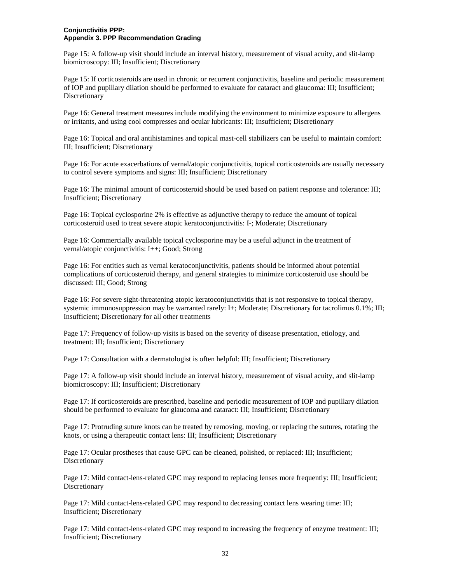#### **Conjunctivitis PPP: Appendix 3. PPP Recommendation Grading**

Page 15: A follow-up visit should include an interval history, measurement of visual acuity, and slit-lamp biomicroscopy: III; Insufficient; Discretionary

Page 15: If corticosteroids are used in chronic or recurrent conjunctivitis, baseline and periodic measurement of IOP and pupillary dilation should be performed to evaluate for cataract and glaucoma: III; Insufficient; Discretionary

Page 16: General treatment measures include modifying the environment to minimize exposure to allergens or irritants, and using cool compresses and ocular lubricants: III; Insufficient; Discretionary

Page 16: Topical and oral antihistamines and topical mast-cell stabilizers can be useful to maintain comfort: III; Insufficient; Discretionary

Page 16: For acute exacerbations of vernal/atopic conjunctivitis, topical corticosteroids are usually necessary to control severe symptoms and signs: III; Insufficient; Discretionary

Page 16: The minimal amount of corticosteroid should be used based on patient response and tolerance: III; Insufficient; Discretionary

Page 16: Topical cyclosporine 2% is effective as adjunctive therapy to reduce the amount of topical corticosteroid used to treat severe atopic keratoconjunctivitis: I-; Moderate; Discretionary

Page 16: Commercially available topical cyclosporine may be a useful adjunct in the treatment of vernal/atopic conjunctivitis: I++; Good; Strong

Page 16: For entities such as vernal keratoconjunctivitis, patients should be informed about potential complications of corticosteroid therapy, and general strategies to minimize corticosteroid use should be discussed: III; Good; Strong

Page 16: For severe sight-threatening atopic keratoconjunctivitis that is not responsive to topical therapy, systemic immunosuppression may be warranted rarely: I+; Moderate; Discretionary for tacrolimus 0.1%; III; Insufficient; Discretionary for all other treatments

Page 17: Frequency of follow-up visits is based on the severity of disease presentation, etiology, and treatment: III; Insufficient; Discretionary

Page 17: Consultation with a dermatologist is often helpful: III; Insufficient; Discretionary

Page 17: A follow-up visit should include an interval history, measurement of visual acuity, and slit-lamp biomicroscopy: III; Insufficient; Discretionary

Page 17: If corticosteroids are prescribed, baseline and periodic measurement of IOP and pupillary dilation should be performed to evaluate for glaucoma and cataract: III; Insufficient; Discretionary

Page 17: Protruding suture knots can be treated by removing, moving, or replacing the sutures, rotating the knots, or using a therapeutic contact lens: III; Insufficient; Discretionary

Page 17: Ocular prostheses that cause GPC can be cleaned, polished, or replaced: III; Insufficient; Discretionary

Page 17: Mild contact-lens-related GPC may respond to replacing lenses more frequently: III; Insufficient; Discretionary

Page 17: Mild contact-lens-related GPC may respond to decreasing contact lens wearing time: III; Insufficient; Discretionary

Page 17: Mild contact-lens-related GPC may respond to increasing the frequency of enzyme treatment: III; Insufficient; Discretionary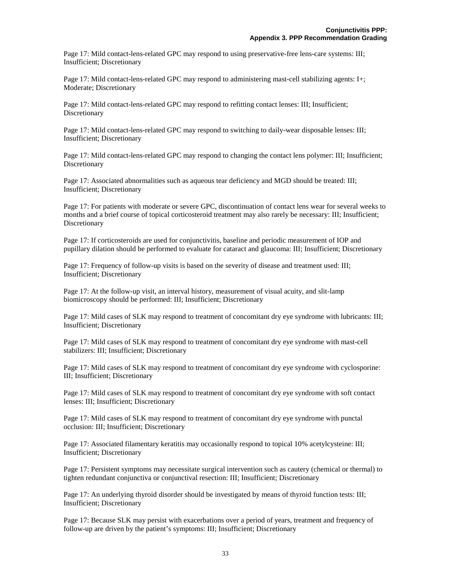Page 17: Mild contact-lens-related GPC may respond to using preservative-free lens-care systems: III; Insufficient; Discretionary

Page 17: Mild contact-lens-related GPC may respond to administering mast-cell stabilizing agents: I+; Moderate; Discretionary

Page 17: Mild contact-lens-related GPC may respond to refitting contact lenses: III; Insufficient; Discretionary

Page 17: Mild contact-lens-related GPC may respond to switching to daily-wear disposable lenses: III; Insufficient; Discretionary

Page 17: Mild contact-lens-related GPC may respond to changing the contact lens polymer: III; Insufficient; Discretionary

Page 17: Associated abnormalities such as aqueous tear deficiency and MGD should be treated: III; Insufficient; Discretionary

Page 17: For patients with moderate or severe GPC, discontinuation of contact lens wear for several weeks to months and a brief course of topical corticosteroid treatment may also rarely be necessary: III; Insufficient; Discretionary

Page 17: If corticosteroids are used for conjunctivitis, baseline and periodic measurement of IOP and pupillary dilation should be performed to evaluate for cataract and glaucoma: III; Insufficient; Discretionary

Page 17: Frequency of follow-up visits is based on the severity of disease and treatment used: III; Insufficient; Discretionary

Page 17: At the follow-up visit, an interval history, measurement of visual acuity, and slit-lamp biomicroscopy should be performed: III; Insufficient; Discretionary

Page 17: Mild cases of SLK may respond to treatment of concomitant dry eye syndrome with lubricants: III; Insufficient; Discretionary

Page 17: Mild cases of SLK may respond to treatment of concomitant dry eye syndrome with mast-cell stabilizers: III; Insufficient; Discretionary

Page 17: Mild cases of SLK may respond to treatment of concomitant dry eye syndrome with cyclosporine: III; Insufficient; Discretionary

Page 17: Mild cases of SLK may respond to treatment of concomitant dry eye syndrome with soft contact lenses: III; Insufficient; Discretionary

Page 17: Mild cases of SLK may respond to treatment of concomitant dry eye syndrome with punctal occlusion: III; Insufficient; Discretionary

Page 17: Associated filamentary keratitis may occasionally respond to topical 10% acetylcysteine: III; Insufficient; Discretionary

Page 17: Persistent symptoms may necessitate surgical intervention such as cautery (chemical or thermal) to tighten redundant conjunctiva or conjunctival resection: III; Insufficient; Discretionary

Page 17: An underlying thyroid disorder should be investigated by means of thyroid function tests: III; Insufficient; Discretionary

Page 17: Because SLK may persist with exacerbations over a period of years, treatment and frequency of follow-up are driven by the patient's symptoms: III; Insufficient; Discretionary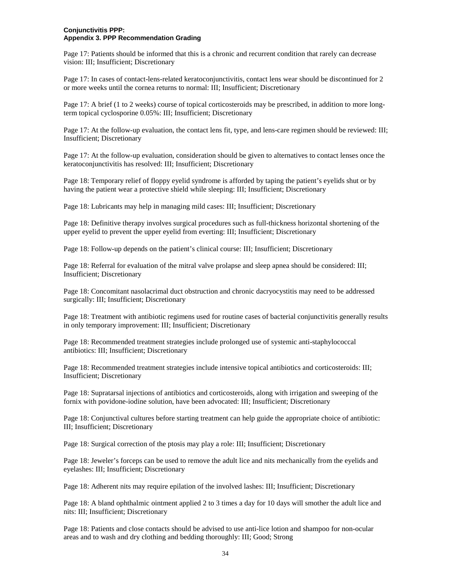#### **Conjunctivitis PPP: Appendix 3. PPP Recommendation Grading**

Page 17: Patients should be informed that this is a chronic and recurrent condition that rarely can decrease vision: III; Insufficient; Discretionary

Page 17: In cases of contact-lens-related keratoconjunctivitis, contact lens wear should be discontinued for 2 or more weeks until the cornea returns to normal: III; Insufficient; Discretionary

Page 17: A brief (1 to 2 weeks) course of topical corticosteroids may be prescribed, in addition to more longterm topical cyclosporine 0.05%: III; Insufficient; Discretionary

Page 17: At the follow-up evaluation, the contact lens fit, type, and lens-care regimen should be reviewed: III; Insufficient; Discretionary

Page 17: At the follow-up evaluation, consideration should be given to alternatives to contact lenses once the keratoconjunctivitis has resolved: III; Insufficient; Discretionary

Page 18: Temporary relief of floppy eyelid syndrome is afforded by taping the patient's eyelids shut or by having the patient wear a protective shield while sleeping: III; Insufficient; Discretionary

Page 18: Lubricants may help in managing mild cases: III; Insufficient; Discretionary

Page 18: Definitive therapy involves surgical procedures such as full-thickness horizontal shortening of the upper eyelid to prevent the upper eyelid from everting: III; Insufficient; Discretionary

Page 18: Follow-up depends on the patient's clinical course: III; Insufficient; Discretionary

Page 18: Referral for evaluation of the mitral valve prolapse and sleep apnea should be considered: III; Insufficient; Discretionary

Page 18: Concomitant nasolacrimal duct obstruction and chronic dacryocystitis may need to be addressed surgically: III; Insufficient; Discretionary

Page 18: Treatment with antibiotic regimens used for routine cases of bacterial conjunctivitis generally results in only temporary improvement: III; Insufficient; Discretionary

Page 18: Recommended treatment strategies include prolonged use of systemic anti-staphylococcal antibiotics: III; Insufficient; Discretionary

Page 18: Recommended treatment strategies include intensive topical antibiotics and corticosteroids: III; Insufficient; Discretionary

Page 18: Supratarsal injections of antibiotics and corticosteroids, along with irrigation and sweeping of the fornix with povidone-iodine solution, have been advocated: III; Insufficient; Discretionary

Page 18: Conjunctival cultures before starting treatment can help guide the appropriate choice of antibiotic: III; Insufficient; Discretionary

Page 18: Surgical correction of the ptosis may play a role: III; Insufficient; Discretionary

Page 18: Jeweler's forceps can be used to remove the adult lice and nits mechanically from the eyelids and eyelashes: III; Insufficient; Discretionary

Page 18: Adherent nits may require epilation of the involved lashes: III; Insufficient; Discretionary

Page 18: A bland ophthalmic ointment applied 2 to 3 times a day for 10 days will smother the adult lice and nits: III; Insufficient; Discretionary

Page 18: Patients and close contacts should be advised to use anti-lice lotion and shampoo for non-ocular areas and to wash and dry clothing and bedding thoroughly: III; Good; Strong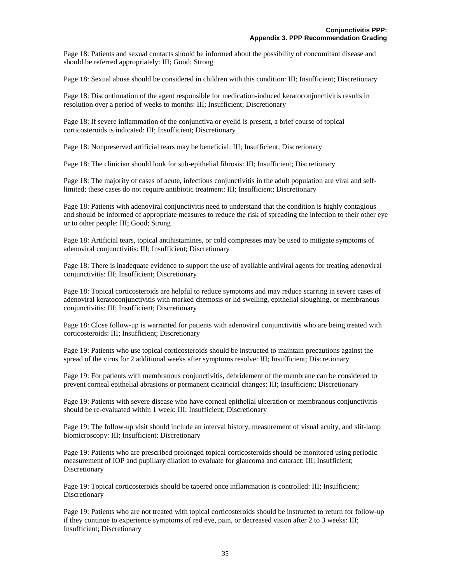Page 18: Patients and sexual contacts should be informed about the possibility of concomitant disease and should be referred appropriately: III; Good; Strong

Page 18: Sexual abuse should be considered in children with this condition: III; Insufficient; Discretionary

Page 18: Discontinuation of the agent responsible for medication-induced keratoconjunctivitis results in resolution over a period of weeks to months: III; Insufficient; Discretionary

Page 18: If severe inflammation of the conjunctiva or eyelid is present, a brief course of topical corticosteroids is indicated: III; Insufficient; Discretionary

Page 18: Nonpreserved artificial tears may be beneficial: III; Insufficient; Discretionary

Page 18: The clinician should look for sub-epithelial fibrosis: III; Insufficient; Discretionary

Page 18: The majority of cases of acute, infectious conjunctivitis in the adult population are viral and selflimited; these cases do not require antibiotic treatment: III; Insufficient; Discretionary

Page 18: Patients with adenoviral conjunctivitis need to understand that the condition is highly contagious and should be informed of appropriate measures to reduce the risk of spreading the infection to their other eye or to other people: III; Good; Strong

Page 18: Artificial tears, topical antihistamines, or cold compresses may be used to mitigate symptoms of adenoviral conjunctivitis: III; Insufficient; Discretionary

Page 18: There is inadequate evidence to support the use of available antiviral agents for treating adenoviral conjunctivitis: III; Insufficient; Discretionary

Page 18: Topical corticosteroids are helpful to reduce symptoms and may reduce scarring in severe cases of adenoviral keratoconjunctivitis with marked chemosis or lid swelling, epithelial sloughing, or membranous conjunctivitis: III; Insufficient; Discretionary

Page 18: Close follow-up is warranted for patients with adenoviral conjunctivitis who are being treated with corticosteroids: III; Insufficient; Discretionary

Page 19: Patients who use topical corticosteroids should be instructed to maintain precautions against the spread of the virus for 2 additional weeks after symptoms resolve: III; Insufficient; Discretionary

Page 19: For patients with membranous conjunctivitis, debridement of the membrane can be considered to prevent corneal epithelial abrasions or permanent cicatricial changes: III; Insufficient; Discretionary

Page 19: Patients with severe disease who have corneal epithelial ulceration or membranous conjunctivitis should be re-evaluated within 1 week: III; Insufficient; Discretionary

Page 19: The follow-up visit should include an interval history, measurement of visual acuity, and slit-lamp biomicroscopy: III; Insufficient; Discretionary

Page 19: Patients who are prescribed prolonged topical corticosteroids should be monitored using periodic measurement of IOP and pupillary dilation to evaluate for glaucoma and cataract: III; Insufficient; Discretionary

Page 19: Topical corticosteroids should be tapered once inflammation is controlled: III; Insufficient; Discretionary

Page 19: Patients who are not treated with topical corticosteroids should be instructed to return for follow-up if they continue to experience symptoms of red eye, pain, or decreased vision after 2 to 3 weeks: III; Insufficient; Discretionary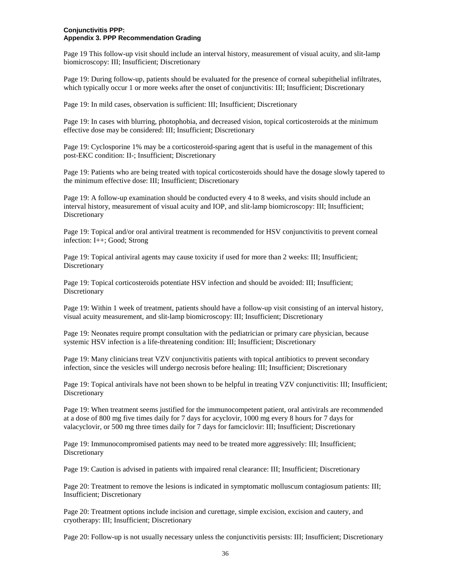#### **Conjunctivitis PPP: Appendix 3. PPP Recommendation Grading**

Page 19 This follow-up visit should include an interval history, measurement of visual acuity, and slit-lamp biomicroscopy: III; Insufficient; Discretionary

Page 19: During follow-up, patients should be evaluated for the presence of corneal subepithelial infiltrates, which typically occur 1 or more weeks after the onset of conjunctivitis: III; Insufficient; Discretionary

Page 19: In mild cases, observation is sufficient: III; Insufficient; Discretionary

Page 19: In cases with blurring, photophobia, and decreased vision, topical corticosteroids at the minimum effective dose may be considered: III; Insufficient; Discretionary

Page 19: Cyclosporine 1% may be a corticosteroid-sparing agent that is useful in the management of this post-EKC condition: II-; Insufficient; Discretionary

Page 19: Patients who are being treated with topical corticosteroids should have the dosage slowly tapered to the minimum effective dose: III; Insufficient; Discretionary

Page 19: A follow-up examination should be conducted every 4 to 8 weeks, and visits should include an interval history, measurement of visual acuity and IOP, and slit-lamp biomicroscopy: III; Insufficient; Discretionary

Page 19: Topical and/or oral antiviral treatment is recommended for HSV conjunctivitis to prevent corneal infection: I++; Good; Strong

Page 19: Topical antiviral agents may cause toxicity if used for more than 2 weeks: III; Insufficient; **Discretionary** 

Page 19: Topical corticosteroids potentiate HSV infection and should be avoided: III; Insufficient; Discretionary

Page 19: Within 1 week of treatment, patients should have a follow-up visit consisting of an interval history, visual acuity measurement, and slit-lamp biomicroscopy: III; Insufficient; Discretionary

Page 19: Neonates require prompt consultation with the pediatrician or primary care physician, because systemic HSV infection is a life-threatening condition: III; Insufficient; Discretionary

Page 19: Many clinicians treat VZV conjunctivitis patients with topical antibiotics to prevent secondary infection, since the vesicles will undergo necrosis before healing: III; Insufficient; Discretionary

Page 19: Topical antivirals have not been shown to be helpful in treating VZV conjunctivitis: III; Insufficient; Discretionary

Page 19: When treatment seems justified for the immunocompetent patient, oral antivirals are recommended at a dose of 800 mg five times daily for 7 days for acyclovir, 1000 mg every 8 hours for 7 days for valacyclovir, or 500 mg three times daily for 7 days for famciclovir: III; Insufficient; Discretionary

Page 19: Immunocompromised patients may need to be treated more aggressively: III; Insufficient; Discretionary

Page 19: Caution is advised in patients with impaired renal clearance: III; Insufficient; Discretionary

Page 20: Treatment to remove the lesions is indicated in symptomatic molluscum contagiosum patients: III; Insufficient; Discretionary

Page 20: Treatment options include incision and curettage, simple excision, excision and cautery, and cryotherapy: III; Insufficient; Discretionary

Page 20: Follow-up is not usually necessary unless the conjunctivitis persists: III; Insufficient; Discretionary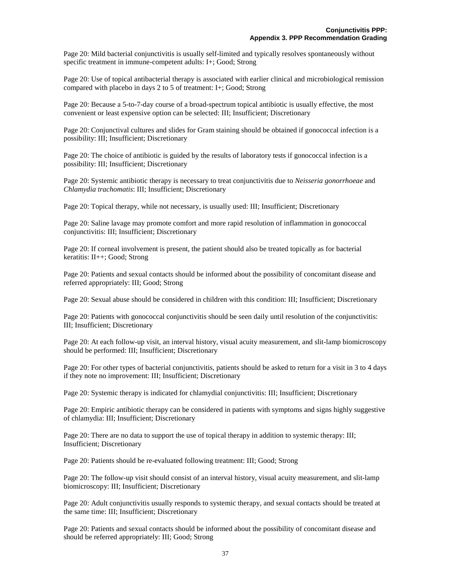Page 20: Mild bacterial conjunctivitis is usually self-limited and typically resolves spontaneously without specific treatment in immune-competent adults: I+; Good; Strong

Page 20: Use of topical antibacterial therapy is associated with earlier clinical and microbiological remission compared with placebo in days 2 to 5 of treatment: I+; Good; Strong

Page 20: Because a 5-to-7-day course of a broad-spectrum topical antibiotic is usually effective, the most convenient or least expensive option can be selected: III; Insufficient; Discretionary

Page 20: Conjunctival cultures and slides for Gram staining should be obtained if gonococcal infection is a possibility: III; Insufficient; Discretionary

Page 20: The choice of antibiotic is guided by the results of laboratory tests if gonococcal infection is a possibility: III; Insufficient; Discretionary

Page 20: Systemic antibiotic therapy is necessary to treat conjunctivitis due to *Neisseria gonorrhoeae* and *Chlamydia trachomatis*: III; Insufficient; Discretionary

Page 20: Topical therapy, while not necessary, is usually used: III; Insufficient; Discretionary

Page 20: Saline lavage may promote comfort and more rapid resolution of inflammation in gonococcal conjunctivitis: III; Insufficient; Discretionary

Page 20: If corneal involvement is present, the patient should also be treated topically as for bacterial keratitis: II++; Good; Strong

Page 20: Patients and sexual contacts should be informed about the possibility of concomitant disease and referred appropriately: III; Good; Strong

Page 20: Sexual abuse should be considered in children with this condition: III; Insufficient; Discretionary

Page 20: Patients with gonococcal conjunctivitis should be seen daily until resolution of the conjunctivitis: III; Insufficient; Discretionary

Page 20: At each follow-up visit, an interval history, visual acuity measurement, and slit-lamp biomicroscopy should be performed: III; Insufficient; Discretionary

Page 20: For other types of bacterial conjunctivitis, patients should be asked to return for a visit in 3 to 4 days if they note no improvement: III; Insufficient; Discretionary

Page 20: Systemic therapy is indicated for chlamydial conjunctivitis: III; Insufficient; Discretionary

Page 20: Empiric antibiotic therapy can be considered in patients with symptoms and signs highly suggestive of chlamydia: III; Insufficient; Discretionary

Page 20: There are no data to support the use of topical therapy in addition to systemic therapy: III; Insufficient; Discretionary

Page 20: Patients should be re-evaluated following treatment: III; Good; Strong

Page 20: The follow-up visit should consist of an interval history, visual acuity measurement, and slit-lamp biomicroscopy: III; Insufficient; Discretionary

Page 20: Adult conjunctivitis usually responds to systemic therapy, and sexual contacts should be treated at the same time: III; Insufficient; Discretionary

Page 20: Patients and sexual contacts should be informed about the possibility of concomitant disease and should be referred appropriately: III; Good; Strong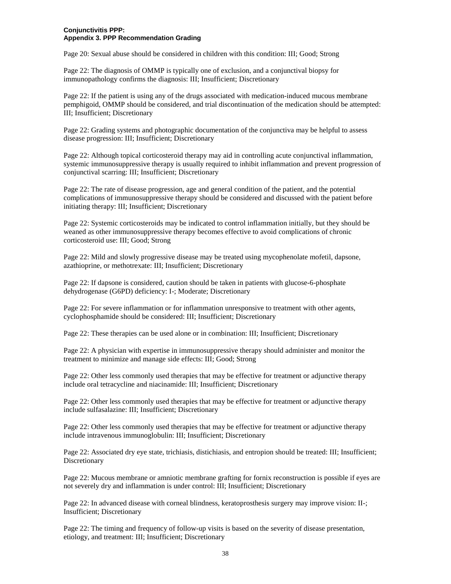#### **Conjunctivitis PPP: Appendix 3. PPP Recommendation Grading**

Page 20: Sexual abuse should be considered in children with this condition: III; Good; Strong

Page 22: The diagnosis of OMMP is typically one of exclusion, and a conjunctival biopsy for immunopathology confirms the diagnosis: III; Insufficient; Discretionary

Page 22: If the patient is using any of the drugs associated with medication-induced mucous membrane pemphigoid, OMMP should be considered, and trial discontinuation of the medication should be attempted: III; Insufficient; Discretionary

Page 22: Grading systems and photographic documentation of the conjunctiva may be helpful to assess disease progression: III; Insufficient; Discretionary

Page 22: Although topical corticosteroid therapy may aid in controlling acute conjunctival inflammation, systemic immunosuppressive therapy is usually required to inhibit inflammation and prevent progression of conjunctival scarring: III; Insufficient; Discretionary

Page 22: The rate of disease progression, age and general condition of the patient, and the potential complications of immunosuppressive therapy should be considered and discussed with the patient before initiating therapy: III; Insufficient; Discretionary

Page 22: Systemic corticosteroids may be indicated to control inflammation initially, but they should be weaned as other immunosuppressive therapy becomes effective to avoid complications of chronic corticosteroid use: III; Good; Strong

Page 22: Mild and slowly progressive disease may be treated using mycophenolate mofetil, dapsone, azathioprine, or methotrexate: III; Insufficient; Discretionary

Page 22: If dapsone is considered, caution should be taken in patients with glucose-6-phosphate dehydrogenase (G6PD) deficiency: I-; Moderate; Discretionary

Page 22: For severe inflammation or for inflammation unresponsive to treatment with other agents, cyclophosphamide should be considered: III; Insufficient; Discretionary

Page 22: These therapies can be used alone or in combination: III; Insufficient; Discretionary

Page 22: A physician with expertise in immunosuppressive therapy should administer and monitor the treatment to minimize and manage side effects: III; Good; Strong

Page 22: Other less commonly used therapies that may be effective for treatment or adjunctive therapy include oral tetracycline and niacinamide: III; Insufficient; Discretionary

Page 22: Other less commonly used therapies that may be effective for treatment or adjunctive therapy include sulfasalazine: III; Insufficient; Discretionary

Page 22: Other less commonly used therapies that may be effective for treatment or adjunctive therapy include intravenous immunoglobulin: III; Insufficient; Discretionary

Page 22: Associated dry eye state, trichiasis, distichiasis, and entropion should be treated: III; Insufficient; Discretionary

Page 22: Mucous membrane or amniotic membrane grafting for fornix reconstruction is possible if eyes are not severely dry and inflammation is under control: III; Insufficient; Discretionary

Page 22: In advanced disease with corneal blindness, keratoprosthesis surgery may improve vision: II-; Insufficient; Discretionary

Page 22: The timing and frequency of follow-up visits is based on the severity of disease presentation, etiology, and treatment: III; Insufficient; Discretionary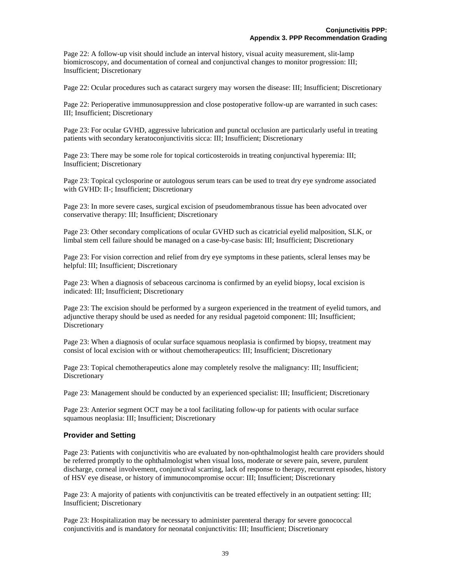Page 22: A follow-up visit should include an interval history, visual acuity measurement, slit-lamp biomicroscopy, and documentation of corneal and conjunctival changes to monitor progression: III; Insufficient; Discretionary

Page 22: Ocular procedures such as cataract surgery may worsen the disease: III; Insufficient; Discretionary

Page 22: Perioperative immunosuppression and close postoperative follow-up are warranted in such cases: III; Insufficient; Discretionary

Page 23: For ocular GVHD, aggressive lubrication and punctal occlusion are particularly useful in treating patients with secondary keratoconjunctivitis sicca: III; Insufficient; Discretionary

Page 23: There may be some role for topical corticosteroids in treating conjunctival hyperemia: III; Insufficient; Discretionary

Page 23: Topical cyclosporine or autologous serum tears can be used to treat dry eye syndrome associated with GVHD: II-; Insufficient; Discretionary

Page 23: In more severe cases, surgical excision of pseudomembranous tissue has been advocated over conservative therapy: III; Insufficient; Discretionary

Page 23: Other secondary complications of ocular GVHD such as cicatricial eyelid malposition, SLK, or limbal stem cell failure should be managed on a case-by-case basis: III; Insufficient; Discretionary

Page 23: For vision correction and relief from dry eye symptoms in these patients, scleral lenses may be helpful: III; Insufficient; Discretionary

Page 23: When a diagnosis of sebaceous carcinoma is confirmed by an eyelid biopsy, local excision is indicated: III; Insufficient; Discretionary

Page 23: The excision should be performed by a surgeon experienced in the treatment of eyelid tumors, and adjunctive therapy should be used as needed for any residual pagetoid component: III; Insufficient; Discretionary

Page 23: When a diagnosis of ocular surface squamous neoplasia is confirmed by biopsy, treatment may consist of local excision with or without chemotherapeutics: III; Insufficient; Discretionary

Page 23: Topical chemotherapeutics alone may completely resolve the malignancy: III; Insufficient; Discretionary

Page 23: Management should be conducted by an experienced specialist: III; Insufficient; Discretionary

Page 23: Anterior segment OCT may be a tool facilitating follow-up for patients with ocular surface squamous neoplasia: III; Insufficient; Discretionary

#### **Provider and Setting**

Page 23: Patients with conjunctivitis who are evaluated by non-ophthalmologist health care providers should be referred promptly to the ophthalmologist when visual loss, moderate or severe pain, severe, purulent discharge, corneal involvement, conjunctival scarring, lack of response to therapy, recurrent episodes, history of HSV eye disease, or history of immunocompromise occur: III; Insufficient; Discretionary

Page 23: A majority of patients with conjunctivitis can be treated effectively in an outpatient setting: III; Insufficient; Discretionary

Page 23: Hospitalization may be necessary to administer parenteral therapy for severe gonococcal conjunctivitis and is mandatory for neonatal conjunctivitis: III; Insufficient; Discretionary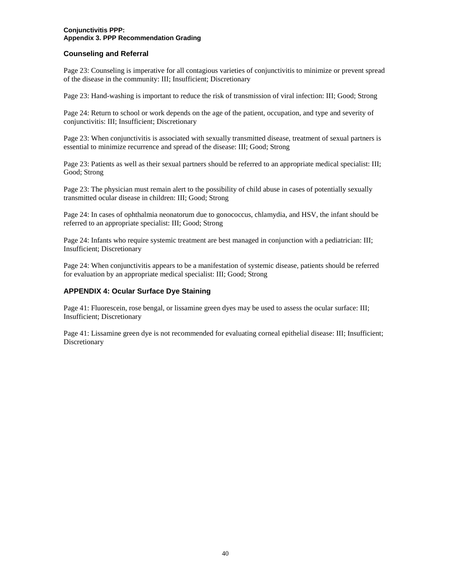#### **Conjunctivitis PPP: Appendix 3. PPP Recommendation Grading**

### **Counseling and Referral**

Page 23: Counseling is imperative for all contagious varieties of conjunctivitis to minimize or prevent spread of the disease in the community: III; Insufficient; Discretionary

Page 23: Hand-washing is important to reduce the risk of transmission of viral infection: III; Good; Strong

Page 24: Return to school or work depends on the age of the patient, occupation, and type and severity of conjunctivitis: III; Insufficient; Discretionary

Page 23: When conjunctivitis is associated with sexually transmitted disease, treatment of sexual partners is essential to minimize recurrence and spread of the disease: III; Good; Strong

Page 23: Patients as well as their sexual partners should be referred to an appropriate medical specialist: III; Good; Strong

Page 23: The physician must remain alert to the possibility of child abuse in cases of potentially sexually transmitted ocular disease in children: III; Good; Strong

Page 24: In cases of ophthalmia neonatorum due to gonococcus, chlamydia, and HSV, the infant should be referred to an appropriate specialist: III; Good; Strong

Page 24: Infants who require systemic treatment are best managed in conjunction with a pediatrician: III; Insufficient; Discretionary

Page 24: When conjunctivitis appears to be a manifestation of systemic disease, patients should be referred for evaluation by an appropriate medical specialist: III; Good; Strong

#### **APPENDIX 4: Ocular Surface Dye Staining**

Page 41: Fluorescein, rose bengal, or lissamine green dyes may be used to assess the ocular surface: III; Insufficient; Discretionary

Page 41: Lissamine green dye is not recommended for evaluating corneal epithelial disease: III; Insufficient; Discretionary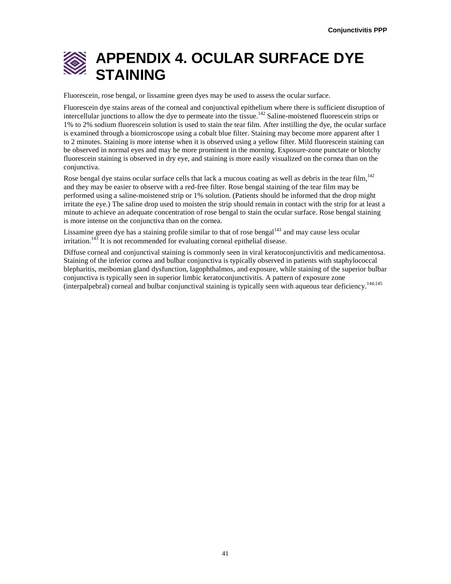# **APPENDIX 4. OCULAR SURFACE DYE STAINING**

Fluorescein, rose bengal, or lissamine green dyes may be used to assess the ocular surface.

Fluorescein dye stains areas of the corneal and conjunctival epithelium where there is sufficient disruption of intercellular junctions to allow the dye to permeate into the tissue.[142](#page-51-8) Saline-moistened fluorescein strips or 1% to 2% sodium fluorescein solution is used to stain the tear film. After instilling the dye, the ocular surface is examined through a biomicroscope using a cobalt blue filter. Staining may become more apparent after 1 to 2 minutes. Staining is more intense when it is observed using a yellow filter. Mild fluorescein staining can be observed in normal eyes and may be more prominent in the morning. Exposure-zone punctate or blotchy fluorescein staining is observed in dry eye, and staining is more easily visualized on the cornea than on the conjunctiva.

Rose bengal dye stains ocular surface cells that lack a mucous coating as well as debris in the tear film,<sup>[142](#page-51-8)</sup> and they may be easier to observe with a red-free filter. Rose bengal staining of the tear film may be performed using a saline-moistened strip or 1% solution. (Patients should be informed that the drop might irritate the eye.) The saline drop used to moisten the strip should remain in contact with the strip for at least a minute to achieve an adequate concentration of rose bengal to stain the ocular surface. Rose bengal staining is more intense on the conjunctiva than on the cornea.

Lissamine green dye has a staining profile similar to that of rose bengal<sup>[143](#page-51-9)</sup> and may cause less ocular irritation.<sup>[143](#page-51-9)</sup> It is not recommended for evaluating corneal epithelial disease.

Diffuse corneal and conjunctival staining is commonly seen in viral keratoconjunctivitis and medicamentosa. Staining of the inferior cornea and bulbar conjunctiva is typically observed in patients with staphylococcal blepharitis, meibomian gland dysfunction, lagophthalmos, and exposure, while staining of the superior bulbar conjunctiva is typically seen in superior limbic keratoconjunctivitis. A pattern of exposure zone (interpalpebral) corneal and bulbar conjunctival staining is typically seen with aqueous tear deficiency.[144,](#page-51-10)[145](#page-51-11)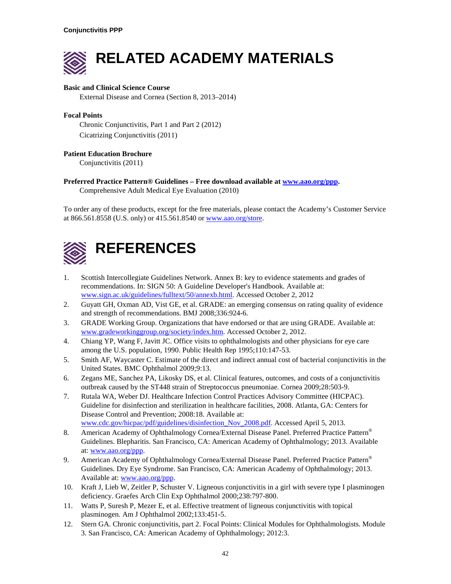

#### **Basic and Clinical Science Course**

External Disease and Cornea (Section 8, 2013–2014)

#### **Focal Points**

Chronic Conjunctivitis, Part 1 and Part 2 (2012) Cicatrizing Conjunctivitis (2011)

#### **Patient Education Brochure**

Conjunctivitis (2011)

#### **Preferred Practice Pattern® Guidelines – Free download available a[t www.aao.org/ppp.](http://www.aao.org/ppp)**

Comprehensive Adult Medical Eye Evaluation (2010)

To order any of these products, except for the free materials, please contact the Academy's Customer Service at 866.561.8558 (U.S. only) or 415.561.8540 or [www.aao.org/store.](http://www.aao.org/store)



# **REFERENCES**

- <span id="page-45-0"></span>1. Scottish Intercollegiate Guidelines Network. Annex B: key to evidence statements and grades of recommendations. In: SIGN 50: A Guideline Developer's Handbook. Available at: [www.sign.ac.uk/guidelines/fulltext/50/annexb.html.](http://www.sign.ac.uk/guidelines/fulltext/50/annexb.html) Accessed October 2, 2012
- <span id="page-45-1"></span>2. Guyatt GH, Oxman AD, Vist GE, et al. GRADE: an emerging consensus on rating quality of evidence and strength of recommendations. BMJ 2008;336:924-6.
- <span id="page-45-2"></span>3. GRADE Working Group. Organizations that have endorsed or that are using GRADE. Available at: [www.gradeworkinggroup.org/society/index.htm.](http://www.gradeworkinggroup.org/society/index.htm) Accessed October 2, 2012.
- <span id="page-45-3"></span>4. Chiang YP, Wang F, Javitt JC. Office visits to ophthalmologists and other physicians for eye care among the U.S. population, 1990. Public Health Rep 1995;110:147-53.
- <span id="page-45-4"></span>5. Smith AF, Waycaster C. Estimate of the direct and indirect annual cost of bacterial conjunctivitis in the United States. BMC Ophthalmol 2009;9:13.
- <span id="page-45-5"></span>6. Zegans ME, Sanchez PA, Likosky DS, et al. Clinical features, outcomes, and costs of a conjunctivitis outbreak caused by the ST448 strain of Streptococcus pneumoniae. Cornea 2009;28:503-9.
- <span id="page-45-6"></span>7. Rutala WA, Weber DJ. Healthcare Infection Control Practices Advisory Committee (HICPAC). Guideline for disinfection and sterilization in healthcare facilities, 2008. Atlanta, GA: Centers for Disease Control and Prevention; 2008:18. Available at: [www.cdc.gov/hicpac/pdf/guidelines/disinfection\\_Nov\\_2008.pdf.](http://www.cdc.gov/hicpac/pdf/guidelines/disinfection_Nov_2008.pdf) Accessed April 5, 2013.
- <span id="page-45-7"></span>8. American Academy of Ophthalmology Cornea/External Disease Panel. Preferred Practice Pattern® Guidelines. Blepharitis. San Francisco, CA: American Academy of Ophthalmology; 2013. Available at[: www.aao.org/ppp.](http://www.aao.org/ppp)
- <span id="page-45-8"></span>9. American Academy of Ophthalmology Cornea/External Disease Panel. Preferred Practice Pattern<sup>®</sup> Guidelines. Dry Eye Syndrome. San Francisco, CA: American Academy of Ophthalmology; 2013. Available at: [www.aao.org/ppp.](http://www.aao.org/ppp)
- <span id="page-45-9"></span>10. Kraft J, Lieb W, Zeitler P, Schuster V. Ligneous conjunctivitis in a girl with severe type I plasminogen deficiency. Graefes Arch Clin Exp Ophthalmol 2000;238:797-800.
- <span id="page-45-10"></span>11. Watts P, Suresh P, Mezer E, et al. Effective treatment of ligneous conjunctivitis with topical plasminogen. Am J Ophthalmol 2002;133:451-5.
- <span id="page-45-11"></span>12. Stern GA. Chronic conjunctivitis, part 2. Focal Points: Clinical Modules for Ophthalmologists. Module 3. San Francisco, CA: American Academy of Ophthalmology; 2012:3.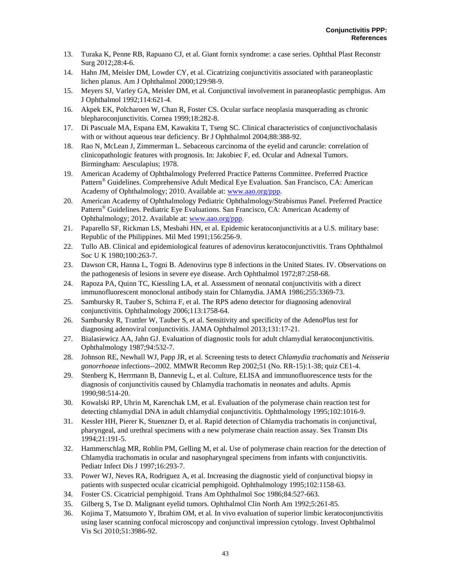- <span id="page-46-0"></span>13. Turaka K, Penne RB, Rapuano CJ, et al. Giant fornix syndrome: a case series. Ophthal Plast Reconstr Surg 2012;28:4-6.
- <span id="page-46-1"></span>14. Hahn JM, Meisler DM, Lowder CY, et al. Cicatrizing conjunctivitis associated with paraneoplastic lichen planus. Am J Ophthalmol 2000;129:98-9.
- <span id="page-46-2"></span>15. Meyers SJ, Varley GA, Meisler DM, et al. Conjunctival involvement in paraneoplastic pemphigus. Am J Ophthalmol 1992;114:621-4.
- <span id="page-46-3"></span>16. Akpek EK, Polcharoen W, Chan R, Foster CS. Ocular surface neoplasia masquerading as chronic blepharoconjunctivitis. Cornea 1999;18:282-8.
- <span id="page-46-4"></span>17. Di Pascuale MA, Espana EM, Kawakita T, Tseng SC. Clinical characteristics of conjunctivochalasis with or without aqueous tear deficiency. Br J Ophthalmol 2004;88:388-92.
- <span id="page-46-5"></span>18. Rao N, McLean J, Zimmerman L. Sebaceous carcinoma of the eyelid and caruncle: correlation of clinicopathologic features with prognosis. In: Jakobiec F, ed. Ocular and Adnexal Tumors. Birmingham: Aesculapius; 1978.
- <span id="page-46-6"></span>19. American Academy of Ophthalmology Preferred Practice Patterns Committee. Preferred Practice Pattern® Guidelines. Comprehensive Adult Medical Eye Evaluation. San Francisco, CA: American Academy of Ophthalmology; 2010. Available at[: www.aao.org/ppp.](http://www.aao.org/ppp)
- <span id="page-46-7"></span>20. American Academy of Ophthalmology Pediatric Ophthalmology/Strabismus Panel. Preferred Practice Pattern® Guidelines. Pediatric Eye Evaluations. San Francisco, CA: American Academy of Ophthalmology; 2012. Available at: [www.aao.org/ppp.](http://www.aao.org/ppp)
- <span id="page-46-8"></span>21. Paparello SF, Rickman LS, Mesbahi HN, et al. Epidemic keratoconjunctivitis at a U.S. military base: Republic of the Philippines. Mil Med 1991;156:256-9.
- <span id="page-46-9"></span>22. Tullo AB. Clinical and epidemiological features of adenovirus keratoconjunctivitis. Trans Ophthalmol Soc U K 1980;100:263-7.
- <span id="page-46-10"></span>23. Dawson CR, Hanna L, Togni B. Adenovirus type 8 infections in the United States. IV. Observations on the pathogenesis of lesions in severe eye disease. Arch Ophthalmol 1972;87:258-68.
- <span id="page-46-11"></span>24. Rapoza PA, Quinn TC, Kiessling LA, et al. Assessment of neonatal conjunctivitis with a direct immunofluorescent monoclonal antibody stain for Chlamydia. JAMA 1986;255:3369-73.
- <span id="page-46-12"></span>25. Sambursky R, Tauber S, Schirra F, et al. The RPS adeno detector for diagnosing adenoviral conjunctivitis. Ophthalmology 2006;113:1758-64.
- <span id="page-46-13"></span>26. Sambursky R, Trattler W, Tauber S, et al. Sensitivity and specificity of the AdenoPlus test for diagnosing adenoviral conjunctivitis. JAMA Ophthalmol 2013;131:17-21.
- <span id="page-46-14"></span>27. Bialasiewicz AA, Jahn GJ. Evaluation of diagnostic tools for adult chlamydial keratoconjunctivitis. Ophthalmology 1987;94:532-7.
- <span id="page-46-15"></span>28. Johnson RE, Newhall WJ, Papp JR, et al. Screening tests to detect *Chlamydia trachomatis* and *Neisseria gonorrhoeae* infections--2002. MMWR Recomm Rep 2002;51 (No. RR-15):1-38; quiz CE1-4.
- <span id="page-46-16"></span>29. Stenberg K, Herrmann B, Dannevig L, et al. Culture, ELISA and immunofluorescence tests for the diagnosis of conjunctivitis caused by Chlamydia trachomatis in neonates and adults. Apmis 1990;98:514-20.
- <span id="page-46-17"></span>30. Kowalski RP, Uhrin M, Karenchak LM, et al. Evaluation of the polymerase chain reaction test for detecting chlamydial DNA in adult chlamydial conjunctivitis. Ophthalmology 1995;102:1016-9.
- 31. Kessler HH, Pierer K, Stuenzner D, et al. Rapid detection of Chlamydia trachomatis in conjunctival, pharyngeal, and urethral specimens with a new polymerase chain reaction assay. Sex Transm Dis 1994;21:191-5.
- 32. Hammerschlag MR, Roblin PM, Gelling M, et al. Use of polymerase chain reaction for the detection of Chlamydia trachomatis in ocular and nasopharyngeal specimens from infants with conjunctivitis. Pediatr Infect Dis J 1997;16:293-7.
- <span id="page-46-18"></span>33. Power WJ, Neves RA, Rodriguez A, et al. Increasing the diagnostic yield of conjunctival biopsy in patients with suspected ocular cicatricial pemphigoid. Ophthalmology 1995;102:1158-63.
- <span id="page-46-19"></span>34. Foster CS. Cicatricial pemphigoid. Trans Am Ophthalmol Soc 1986;84:527-663.
- <span id="page-46-20"></span>35. Gilberg S, Tse D. Malignant eyelid tumors. Ophthalmol Clin North Am 1992;5:261-85.
- <span id="page-46-21"></span>36. Kojima T, Matsumoto Y, Ibrahim OM, et al. In vivo evaluation of superior limbic keratoconjunctivitis using laser scanning confocal microscopy and conjunctival impression cytology. Invest Ophthalmol Vis Sci 2010;51:3986-92.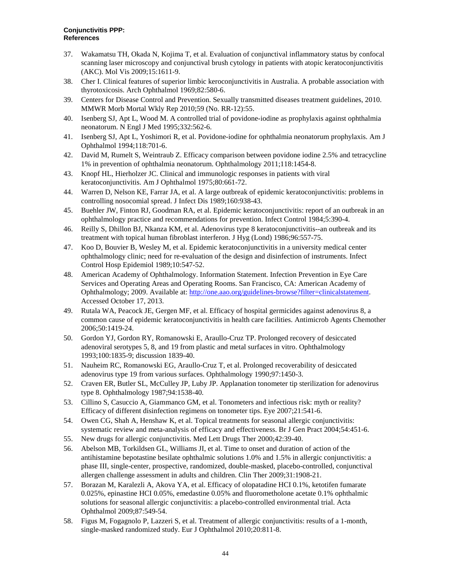#### **Conjunctivitis PPP: References**

- <span id="page-47-0"></span>37. Wakamatsu TH, Okada N, Kojima T, et al. Evaluation of conjunctival inflammatory status by confocal scanning laser microscopy and conjunctival brush cytology in patients with atopic keratoconjunctivitis (AKC). Mol Vis 2009;15:1611-9.
- <span id="page-47-1"></span>38. Cher I. Clinical features of superior limbic keroconjunctivitis in Australia. A probable association with thyrotoxicosis. Arch Ophthalmol 1969;82:580-6.
- <span id="page-47-2"></span>39. Centers for Disease Control and Prevention. Sexually transmitted diseases treatment guidelines, 2010. MMWR Morb Mortal Wkly Rep 2010;59 (No. RR-12):55.
- <span id="page-47-3"></span>40. Isenberg SJ, Apt L, Wood M. A controlled trial of povidone-iodine as prophylaxis against ophthalmia neonatorum. N Engl J Med 1995;332:562-6.
- <span id="page-47-4"></span>41. Isenberg SJ, Apt L, Yoshimori R, et al. Povidone-iodine for ophthalmia neonatorum prophylaxis. Am J Ophthalmol 1994;118:701-6.
- <span id="page-47-5"></span>42. David M, Rumelt S, Weintraub Z. Efficacy comparison between povidone iodine 2.5% and tetracycline 1% in prevention of ophthalmia neonatorum. Ophthalmology 2011;118:1454-8.
- <span id="page-47-6"></span>43. Knopf HL, Hierholzer JC. Clinical and immunologic responses in patients with viral keratoconjunctivitis. Am J Ophthalmol 1975;80:661-72.
- <span id="page-47-7"></span>44. Warren D, Nelson KE, Farrar JA, et al. A large outbreak of epidemic keratoconjunctivitis: problems in controlling nosocomial spread. J Infect Dis 1989;160:938-43.
- <span id="page-47-8"></span>45. Buehler JW, Finton RJ, Goodman RA, et al. Epidemic keratoconjunctivitis: report of an outbreak in an ophthalmology practice and recommendations for prevention. Infect Control 1984;5:390-4.
- 46. Reilly S, Dhillon BJ, Nkanza KM, et al. Adenovirus type 8 keratoconjunctivitis--an outbreak and its treatment with topical human fibroblast interferon. J Hyg (Lond) 1986;96:557-75.
- 47. Koo D, Bouvier B, Wesley M, et al. Epidemic keratoconjunctivitis in a university medical center ophthalmology clinic; need for re-evaluation of the design and disinfection of instruments. Infect Control Hosp Epidemiol 1989;10:547-52.
- <span id="page-47-9"></span>48. American Academy of Ophthalmology. Information Statement. Infection Prevention in Eye Care Services and Operating Areas and Operating Rooms. San Francisco, CA: American Academy of Ophthalmology; 2009. Available at: [http://one.aao.org/guidelines-browse?filter=clinicalstatement.](http://one.aao.org/guidelines-browse?filter=clinicalstatement) Accessed October 17, 2013.
- <span id="page-47-10"></span>49. Rutala WA, Peacock JE, Gergen MF, et al. Efficacy of hospital germicides against adenovirus 8, a common cause of epidemic keratoconjunctivitis in health care facilities. Antimicrob Agents Chemother 2006;50:1419-24.
- <span id="page-47-11"></span>50. Gordon YJ, Gordon RY, Romanowski E, Araullo-Cruz TP. Prolonged recovery of desiccated adenoviral serotypes 5, 8, and 19 from plastic and metal surfaces in vitro. Ophthalmology 1993;100:1835-9; discussion 1839-40.
- <span id="page-47-12"></span>51. Nauheim RC, Romanowski EG, Araullo-Cruz T, et al. Prolonged recoverability of desiccated adenovirus type 19 from various surfaces. Ophthalmology 1990;97:1450-3.
- <span id="page-47-13"></span>52. Craven ER, Butler SL, McCulley JP, Luby JP. Applanation tonometer tip sterilization for adenovirus type 8. Ophthalmology 1987;94:1538-40.
- <span id="page-47-14"></span>53. Cillino S, Casuccio A, Giammanco GM, et al. Tonometers and infectious risk: myth or reality? Efficacy of different disinfection regimens on tonometer tips. Eye 2007;21:541-6.
- <span id="page-47-15"></span>54. Owen CG, Shah A, Henshaw K, et al. Topical treatments for seasonal allergic conjunctivitis: systematic review and meta-analysis of efficacy and effectiveness. Br J Gen Pract 2004;54:451-6.
- <span id="page-47-16"></span>55. New drugs for allergic conjunctivitis. Med Lett Drugs Ther 2000;42:39-40.
- 56. Abelson MB, Torkildsen GL, Williams JI, et al. Time to onset and duration of action of the antihistamine bepotastine besilate ophthalmic solutions 1.0% and 1.5% in allergic conjunctivitis: a phase III, single-center, prospective, randomized, double-masked, placebo-controlled, conjunctival allergen challenge assessment in adults and children. Clin Ther 2009;31:1908-21.
- 57. Borazan M, Karalezli A, Akova YA, et al. Efficacy of olopatadine HCI 0.1%, ketotifen fumarate 0.025%, epinastine HCI 0.05%, emedastine 0.05% and fluorometholone acetate 0.1% ophthalmic solutions for seasonal allergic conjunctivitis: a placebo-controlled environmental trial. Acta Ophthalmol 2009;87:549-54.
- 58. Figus M, Fogagnolo P, Lazzeri S, et al. Treatment of allergic conjunctivitis: results of a 1-month, single-masked randomized study. Eur J Ophthalmol 2010;20:811-8.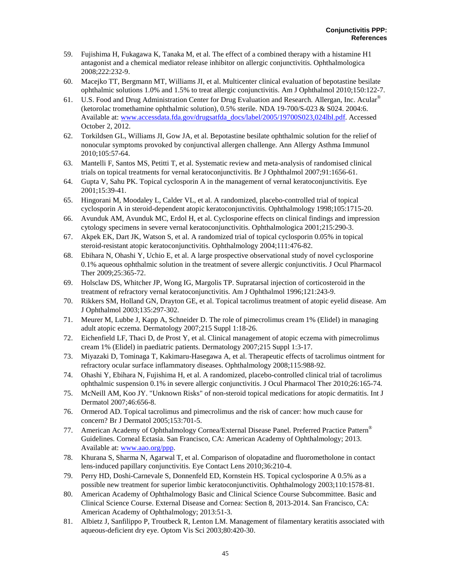- 59. Fujishima H, Fukagawa K, Tanaka M, et al. The effect of a combined therapy with a histamine H1 antagonist and a chemical mediator release inhibitor on allergic conjunctivitis. Ophthalmologica 2008;222:232-9.
- 60. Macejko TT, Bergmann MT, Williams JI, et al. Multicenter clinical evaluation of bepotastine besilate ophthalmic solutions 1.0% and 1.5% to treat allergic conjunctivitis. Am J Ophthalmol 2010;150:122-7.
- <span id="page-48-0"></span>61. U.S. Food and Drug Administration Center for Drug Evaluation and Research. Allergan, Inc. Acular® (ketorolac tromethamine ophthalmic solution), 0.5% sterile. NDA 19-700/S-023 & S024. 2004:6. Available at: [www.accessdata.fda.gov/drugsatfda\\_docs/label/2005/19700S023,024lbl.pdf.](http://www.accessdata.fda.gov/drugsatfda_docs/label/2005/19700S023,024lbl.pdf) Accessed October 2, 2012.
- <span id="page-48-1"></span>62. Torkildsen GL, Williams JI, Gow JA, et al. Bepotastine besilate ophthalmic solution for the relief of nonocular symptoms provoked by conjunctival allergen challenge. Ann Allergy Asthma Immunol 2010;105:57-64.
- <span id="page-48-2"></span>63. Mantelli F, Santos MS, Petitti T, et al. Systematic review and meta-analysis of randomised clinical trials on topical treatments for vernal keratoconjunctivitis. Br J Ophthalmol 2007;91:1656-61.
- <span id="page-48-3"></span>64. Gupta V, Sahu PK. Topical cyclosporin A in the management of vernal keratoconjunctivitis. Eye 2001;15:39-41.
- 65. Hingorani M, Moodaley L, Calder VL, et al. A randomized, placebo-controlled trial of topical cyclosporin A in steroid-dependent atopic keratoconjunctivitis. Ophthalmology 1998;105:1715-20.
- 66. Avunduk AM, Avunduk MC, Erdol H, et al. Cyclosporine effects on clinical findings and impression cytology specimens in severe vernal keratoconjunctivitis. Ophthalmologica 2001;215:290-3.
- <span id="page-48-4"></span>67. Akpek EK, Dart JK, Watson S, et al. A randomized trial of topical cyclosporin 0.05% in topical steroid-resistant atopic keratoconjunctivitis. Ophthalmology 2004;111:476-82.
- <span id="page-48-5"></span>68. Ebihara N, Ohashi Y, Uchio E, et al. A large prospective observational study of novel cyclosporine 0.1% aqueous ophthalmic solution in the treatment of severe allergic conjunctivitis. J Ocul Pharmacol Ther 2009;25:365-72.
- <span id="page-48-6"></span>69. Holsclaw DS, Whitcher JP, Wong IG, Margolis TP. Supratarsal injection of corticosteroid in the treatment of refractory vernal keratoconjunctivitis. Am J Ophthalmol 1996;121:243-9.
- <span id="page-48-7"></span>70. Rikkers SM, Holland GN, Drayton GE, et al. Topical tacrolimus treatment of atopic eyelid disease. Am J Ophthalmol 2003;135:297-302.
- 71. Meurer M, Lubbe J, Kapp A, Schneider D. The role of pimecrolimus cream 1% (Elidel) in managing adult atopic eczema. Dermatology 2007;215 Suppl 1:18-26.
- 72. Eichenfield LF, Thaci D, de Prost Y, et al. Clinical management of atopic eczema with pimecrolimus cream 1% (Elidel) in paediatric patients. Dermatology 2007;215 Suppl 1:3-17.
- 73. Miyazaki D, Tominaga T, Kakimaru-Hasegawa A, et al. Therapeutic effects of tacrolimus ointment for refractory ocular surface inflammatory diseases. Ophthalmology 2008;115:988-92.
- <span id="page-48-8"></span>74. Ohashi Y, Ebihara N, Fujishima H, et al. A randomized, placebo-controlled clinical trial of tacrolimus ophthalmic suspension 0.1% in severe allergic conjunctivitis. J Ocul Pharmacol Ther 2010;26:165-74.
- <span id="page-48-9"></span>75. McNeill AM, Koo JY. "Unknown Risks" of non-steroid topical medications for atopic dermatitis. Int J Dermatol 2007;46:656-8.
- <span id="page-48-10"></span>76. Ormerod AD. Topical tacrolimus and pimecrolimus and the risk of cancer: how much cause for concern? Br J Dermatol 2005;153:701-5.
- <span id="page-48-11"></span>77. American Academy of Ophthalmology Cornea/External Disease Panel. Preferred Practice Pattern® Guidelines. Corneal Ectasia. San Francisco, CA: American Academy of Ophthalmology; 2013. Available at: [www.aao.org/ppp.](http://www.aao.org/ppp)
- <span id="page-48-12"></span>78. Khurana S, Sharma N, Agarwal T, et al. Comparison of olopatadine and fluorometholone in contact lens-induced papillary conjunctivitis. Eye Contact Lens 2010;36:210-4.
- <span id="page-48-13"></span>79. Perry HD, Doshi-Carnevale S, Donnenfeld ED, Kornstein HS. Topical cyclosporine A 0.5% as a possible new treatment for superior limbic keratoconjunctivitis. Ophthalmology 2003;110:1578-81.
- <span id="page-48-14"></span>80. American Academy of Ophthalmology Basic and Clinical Science Course Subcommittee. Basic and Clinical Science Course. External Disease and Cornea: Section 8, 2013-2014. San Francisco, CA: American Academy of Ophthalmology; 2013:51-3.
- <span id="page-48-15"></span>81. Albietz J, Sanfilippo P, Troutbeck R, Lenton LM. Management of filamentary keratitis associated with aqueous-deficient dry eye. Optom Vis Sci 2003;80:420-30.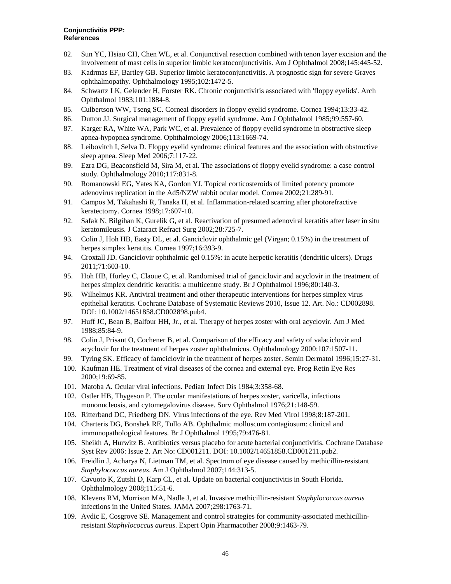#### **Conjunctivitis PPP: References**

- <span id="page-49-0"></span>82. Sun YC, Hsiao CH, Chen WL, et al. Conjunctival resection combined with tenon layer excision and the involvement of mast cells in superior limbic keratoconjunctivitis. Am J Ophthalmol 2008;145:445-52.
- <span id="page-49-1"></span>83. Kadrmas EF, Bartley GB. Superior limbic keratoconjunctivitis. A prognostic sign for severe Graves ophthalmopathy. Ophthalmology 1995;102:1472-5.
- <span id="page-49-2"></span>84. Schwartz LK, Gelender H, Forster RK. Chronic conjunctivitis associated with 'floppy eyelids'. Arch Ophthalmol 1983;101:1884-8.
- <span id="page-49-3"></span>85. Culbertson WW, Tseng SC. Corneal disorders in floppy eyelid syndrome. Cornea 1994;13:33-42.
- <span id="page-49-4"></span>86. Dutton JJ. Surgical management of floppy eyelid syndrome. Am J Ophthalmol 1985;99:557-60.
- <span id="page-49-5"></span>87. Karger RA, White WA, Park WC, et al. Prevalence of floppy eyelid syndrome in obstructive sleep apnea-hypopnea syndrome. Ophthalmology 2006;113:1669-74.
- <span id="page-49-6"></span>88. Leibovitch I, Selva D. Floppy eyelid syndrome: clinical features and the association with obstructive sleep apnea. Sleep Med 2006;7:117-22.
- <span id="page-49-7"></span>89. Ezra DG, Beaconsfield M, Sira M, et al. The associations of floppy eyelid syndrome: a case control study. Ophthalmology 2010;117:831-8.
- <span id="page-49-8"></span>90. Romanowski EG, Yates KA, Gordon YJ. Topical corticosteroids of limited potency promote adenovirus replication in the Ad5/NZW rabbit ocular model. Cornea 2002;21:289-91.
- <span id="page-49-9"></span>91. Campos M, Takahashi R, Tanaka H, et al. Inflammation-related scarring after photorefractive keratectomy. Cornea 1998;17:607-10.
- <span id="page-49-10"></span>92. Safak N, Bilgihan K, Gurelik G, et al. Reactivation of presumed adenoviral keratitis after laser in situ keratomileusis. J Cataract Refract Surg 2002;28:725-7.
- <span id="page-49-11"></span>93. Colin J, Hoh HB, Easty DL, et al. Ganciclovir ophthalmic gel (Virgan; 0.15%) in the treatment of herpes simplex keratitis. Cornea 1997;16:393-9.
- 94. Croxtall JD. Ganciclovir ophthalmic gel 0.15%: in acute herpetic keratitis (dendritic ulcers). Drugs 2011;71:603-10.
- 95. Hoh HB, Hurley C, Claoue C, et al. Randomised trial of ganciclovir and acyclovir in the treatment of herpes simplex dendritic keratitis: a multicentre study. Br J Ophthalmol 1996;80:140-3.
- 96. Wilhelmus KR. Antiviral treatment and other therapeutic interventions for herpes simplex virus epithelial keratitis. Cochrane Database of Systematic Reviews 2010, Issue 12. Art. No.: CD002898. DOI: 10.1002/14651858.CD002898.pub4.
- <span id="page-49-12"></span>97. Huff JC, Bean B, Balfour HH, Jr., et al. Therapy of herpes zoster with oral acyclovir. Am J Med 1988;85:84-9.
- <span id="page-49-13"></span>98. Colin J, Prisant O, Cochener B, et al. Comparison of the efficacy and safety of valaciclovir and acyclovir for the treatment of herpes zoster ophthalmicus. Ophthalmology 2000;107:1507-11.
- <span id="page-49-14"></span>99. Tyring SK. Efficacy of famciclovir in the treatment of herpes zoster. Semin Dermatol 1996;15:27-31.
- <span id="page-49-15"></span>100. Kaufman HE. Treatment of viral diseases of the cornea and external eye. Prog Retin Eye Res 2000;19:69-85.
- <span id="page-49-16"></span>101. Matoba A. Ocular viral infections. Pediatr Infect Dis 1984;3:358-68.
- <span id="page-49-17"></span>102. Ostler HB, Thygeson P. The ocular manifestations of herpes zoster, varicella, infectious mononucleosis, and cytomegalovirus disease. Surv Ophthalmol 1976;21:148-59.
- <span id="page-49-18"></span>103. Ritterband DC, Friedberg DN. Virus infections of the eye. Rev Med Virol 1998;8:187-201.
- <span id="page-49-19"></span>104. Charteris DG, Bonshek RE, Tullo AB. Ophthalmic molluscum contagiosum: clinical and immunopathological features. Br J Ophthalmol 1995;79:476-81.
- <span id="page-49-20"></span>105. Sheikh A, Hurwitz B. Antibiotics versus placebo for acute bacterial conjunctivitis. Cochrane Database Syst Rev 2006: Issue 2. Art No: CD001211. DOI: 10.1002/14651858.CD001211.pub2.
- <span id="page-49-21"></span>106. Freidlin J, Acharya N, Lietman TM, et al. Spectrum of eye disease caused by methicillin-resistant *Staphylococcus aureus*. Am J Ophthalmol 2007;144:313-5.
- <span id="page-49-22"></span>107. Cavuoto K, Zutshi D, Karp CL, et al. Update on bacterial conjunctivitis in South Florida. Ophthalmology 2008;115:51-6.
- <span id="page-49-23"></span>108. Klevens RM, Morrison MA, Nadle J, et al. Invasive methicillin-resistant *Staphylococcus aureus* infections in the United States. JAMA 2007;298:1763-71.
- <span id="page-49-24"></span>109. Avdic E, Cosgrove SE. Management and control strategies for community-associated methicillinresistant *Staphylococcus aureus*. Expert Opin Pharmacother 2008;9:1463-79.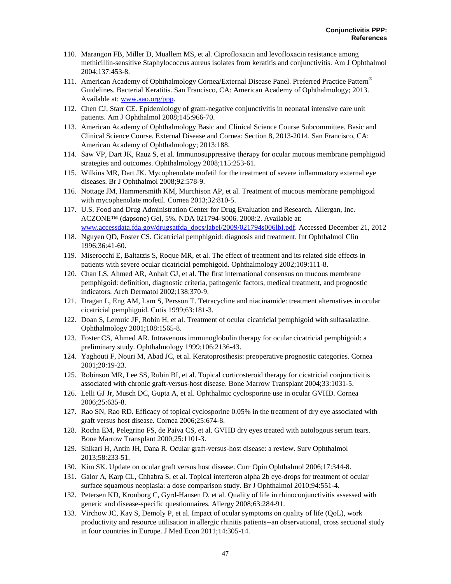- <span id="page-50-0"></span>110. Marangon FB, Miller D, Muallem MS, et al. Ciprofloxacin and levofloxacin resistance among methicillin-sensitive Staphylococcus aureus isolates from keratitis and conjunctivitis. Am J Ophthalmol 2004;137:453-8.
- <span id="page-50-1"></span>111. American Academy of Ophthalmology Cornea/External Disease Panel. Preferred Practice Pattern® Guidelines. Bacterial Keratitis. San Francisco, CA: American Academy of Ophthalmology; 2013. Available at: [www.aao.org/ppp.](http://www.aao.org/ppp)
- <span id="page-50-2"></span>112. Chen CJ, Starr CE. Epidemiology of gram-negative conjunctivitis in neonatal intensive care unit patients. Am J Ophthalmol 2008;145:966-70.
- <span id="page-50-3"></span>113. American Academy of Ophthalmology Basic and Clinical Science Course Subcommittee. Basic and Clinical Science Course. External Disease and Cornea: Section 8, 2013-2014. San Francisco, CA: American Academy of Ophthalmology; 2013:188.
- <span id="page-50-4"></span>114. Saw VP, Dart JK, Rauz S, et al. Immunosuppressive therapy for ocular mucous membrane pemphigoid strategies and outcomes. Ophthalmology 2008;115:253-61.
- 115. Wilkins MR, Dart JK. Mycophenolate mofetil for the treatment of severe inflammatory external eye diseases. Br J Ophthalmol 2008;92:578-9.
- 116. Nottage JM, Hammersmith KM, Murchison AP, et al. Treatment of mucous membrane pemphigoid with mycophenolate mofetil. Cornea 2013;32:810-5.
- <span id="page-50-5"></span>117. U.S. Food and Drug Administration Center for Drug Evaluation and Research. Allergan, Inc. ACZONE™ (dapsone) Gel, 5%. NDA 021794-S006. 2008:2. Available at: [www.accessdata.fda.gov/drugsatfda\\_docs/label/2009/021794s006lbl.pdf.](http://www.accessdata.fda.gov/drugsatfda_docs/label/2009/021794s006lbl.pdf) Accessed December 21, 2012
- <span id="page-50-6"></span>118. Nguyen QD, Foster CS. Cicatricial pemphigoid: diagnosis and treatment. Int Ophthalmol Clin 1996;36:41-60.
- <span id="page-50-7"></span>119. Miserocchi E, Baltatzis S, Roque MR, et al. The effect of treatment and its related side effects in patients with severe ocular cicatricial pemphigoid. Ophthalmology 2002;109:111-8.
- <span id="page-50-8"></span>120. Chan LS, Ahmed AR, Anhalt GJ, et al. The first international consensus on mucous membrane pemphigoid: definition, diagnostic criteria, pathogenic factors, medical treatment, and prognostic indicators. Arch Dermatol 2002;138:370-9.
- <span id="page-50-9"></span>121. Dragan L, Eng AM, Lam S, Persson T. Tetracycline and niacinamide: treatment alternatives in ocular cicatricial pemphigoid. Cutis 1999;63:181-3.
- <span id="page-50-10"></span>122. Doan S, Lerouic JF, Robin H, et al. Treatment of ocular cicatricial pemphigoid with sulfasalazine. Ophthalmology 2001;108:1565-8.
- <span id="page-50-11"></span>123. Foster CS, Ahmed AR. Intravenous immunoglobulin therapy for ocular cicatricial pemphigoid: a preliminary study. Ophthalmology 1999;106:2136-43.
- <span id="page-50-12"></span>124. Yaghouti F, Nouri M, Abad JC, et al. Keratoprosthesis: preoperative prognostic categories. Cornea 2001;20:19-23.
- <span id="page-50-13"></span>125. Robinson MR, Lee SS, Rubin BI, et al. Topical corticosteroid therapy for cicatricial conjunctivitis associated with chronic graft-versus-host disease. Bone Marrow Transplant 2004;33:1031-5.
- <span id="page-50-14"></span>126. Lelli GJ Jr, Musch DC, Gupta A, et al. Ophthalmic cyclosporine use in ocular GVHD. Cornea 2006;25:635-8.
- 127. Rao SN, Rao RD. Efficacy of topical cyclosporine 0.05% in the treatment of dry eye associated with graft versus host disease. Cornea 2006;25:674-8.
- 128. Rocha EM, Pelegrino FS, de Paiva CS, et al. GVHD dry eyes treated with autologous serum tears. Bone Marrow Transplant 2000;25:1101-3.
- <span id="page-50-15"></span>129. Shikari H, Antin JH, Dana R. Ocular graft-versus-host disease: a review. Surv Ophthalmol 2013;58:233-51.
- <span id="page-50-16"></span>130. Kim SK. Update on ocular graft versus host disease. Curr Opin Ophthalmol 2006;17:344-8.
- <span id="page-50-17"></span>131. Galor A, Karp CL, Chhabra S, et al. Topical interferon alpha 2b eye-drops for treatment of ocular surface squamous neoplasia: a dose comparison study. Br J Ophthalmol 2010;94:551-4.
- <span id="page-50-18"></span>132. Petersen KD, Kronborg C, Gyrd-Hansen D, et al. Quality of life in rhinoconjunctivitis assessed with generic and disease-specific questionnaires. Allergy 2008;63:284-91.
- <span id="page-50-19"></span>133. Virchow JC, Kay S, Demoly P, et al. Impact of ocular symptoms on quality of life (QoL), work productivity and resource utilisation in allergic rhinitis patients--an observational, cross sectional study in four countries in Europe. J Med Econ 2011;14:305-14.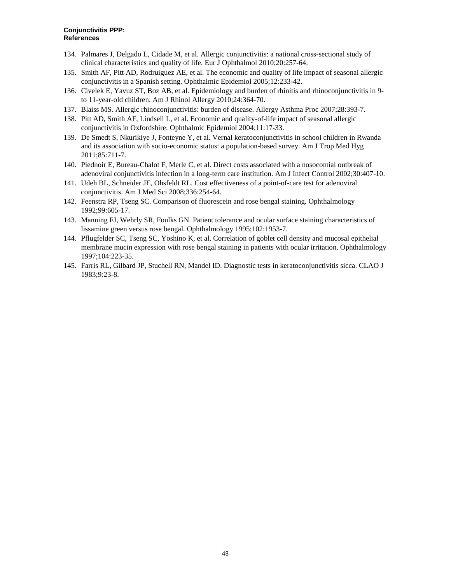#### **Conjunctivitis PPP: References**

- <span id="page-51-1"></span>134. Palmares J, Delgado L, Cidade M, et al. Allergic conjunctivitis: a national cross-sectional study of clinical characteristics and quality of life. Eur J Ophthalmol 2010;20:257-64.
- <span id="page-51-0"></span>135. Smith AF, Pitt AD, Rodruiguez AE, et al. The economic and quality of life impact of seasonal allergic conjunctivitis in a Spanish setting. Ophthalmic Epidemiol 2005;12:233-42.
- <span id="page-51-2"></span>136. Civelek E, Yavuz ST, Boz AB, et al. Epidemiology and burden of rhinitis and rhinoconjunctivitis in 9 to 11-year-old children. Am J Rhinol Allergy 2010;24:364-70.
- <span id="page-51-3"></span>137. Blaiss MS. Allergic rhinoconjunctivitis: burden of disease. Allergy Asthma Proc 2007;28:393-7.
- <span id="page-51-4"></span>138. Pitt AD, Smith AF, Lindsell L, et al. Economic and quality-of-life impact of seasonal allergic conjunctivitis in Oxfordshire. Ophthalmic Epidemiol 2004;11:17-33.
- <span id="page-51-5"></span>139. De Smedt S, Nkurikiye J, Fonteyne Y, et al. Vernal keratoconjunctivitis in school children in Rwanda and its association with socio-economic status: a population-based survey. Am J Trop Med Hyg 2011;85:711-7.
- <span id="page-51-6"></span>140. Piednoir E, Bureau-Chalot F, Merle C, et al. Direct costs associated with a nosocomial outbreak of adenoviral conjunctivitis infection in a long-term care institution. Am J Infect Control 2002;30:407-10.
- <span id="page-51-7"></span>141. Udeh BL, Schneider JE, Ohsfeldt RL. Cost effectiveness of a point-of-care test for adenoviral conjunctivitis. Am J Med Sci 2008;336:254-64.
- <span id="page-51-8"></span>142. Feenstra RP, Tseng SC. Comparison of fluorescein and rose bengal staining. Ophthalmology 1992;99:605-17.
- <span id="page-51-9"></span>143. Manning FJ, Wehrly SR, Foulks GN. Patient tolerance and ocular surface staining characteristics of lissamine green versus rose bengal. Ophthalmology 1995;102:1953-7.
- <span id="page-51-10"></span>144. Pflugfelder SC, Tseng SC, Yoshino K, et al. Correlation of goblet cell density and mucosal epithelial membrane mucin expression with rose bengal staining in patients with ocular irritation. Ophthalmology 1997;104:223-35.
- <span id="page-51-11"></span>145. Farris RL, Gilbard JP, Stuchell RN, Mandel ID. Diagnostic tests in keratoconjunctivitis sicca. CLAO J 1983;9:23-8.